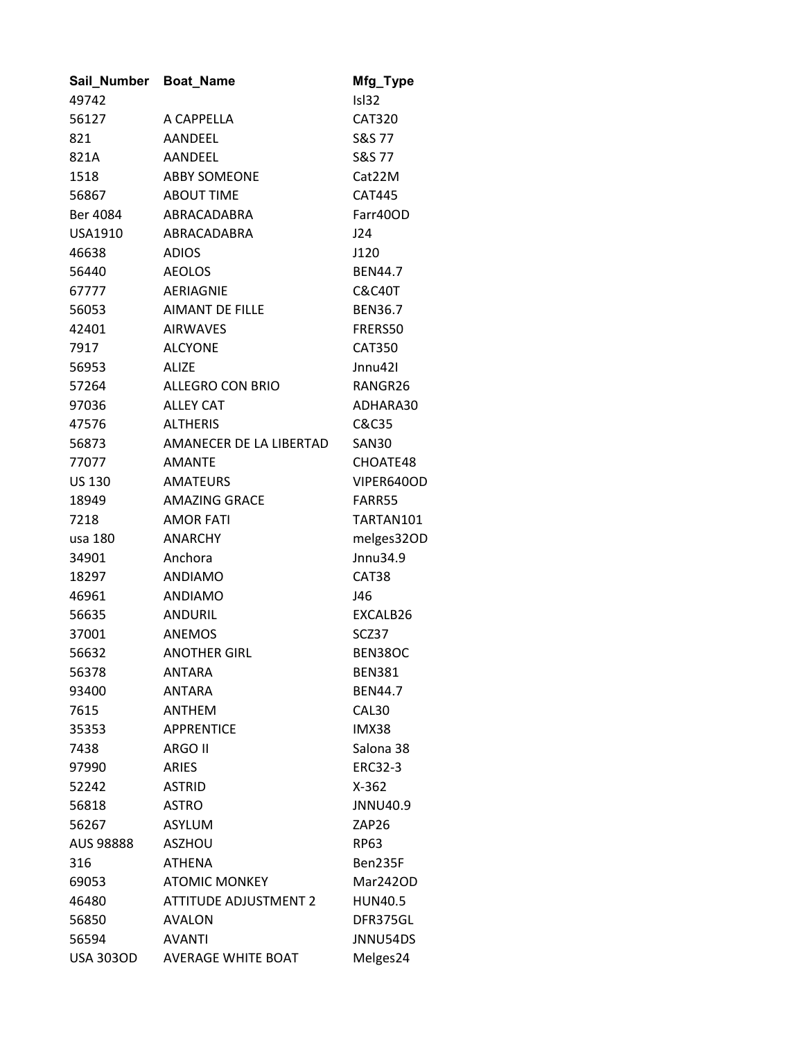| Sail_Number Boat_Name |                         | Mfg_Type          |
|-----------------------|-------------------------|-------------------|
| 49742                 |                         | Isl32             |
| 56127                 | A CAPPELLA              | <b>CAT320</b>     |
| 821                   | AANDEEL                 | <b>S&amp;S 77</b> |
| 821A                  | AANDEEL                 | S&S 77            |
| 1518                  | <b>ABBY SOMEONE</b>     | Cat22M            |
| 56867                 | <b>ABOUT TIME</b>       | <b>CAT445</b>     |
| Ber 4084              | ABRACADABRA             | Farr40OD          |
| USA1910               | ABRACADABRA             | J24               |
| 46638                 | <b>ADIOS</b>            | J120              |
| 56440                 | <b>AEOLOS</b>           | <b>BEN44.7</b>    |
| 67777                 | AERIAGNIE               | <b>C&amp;C40T</b> |
| 56053                 | AIMANT DE FILLE         | <b>BEN36.7</b>    |
| 42401                 | <b>AIRWAVES</b>         | FRERS50           |
| 7917                  | <b>ALCYONE</b>          | <b>CAT350</b>     |
| 56953                 | <b>ALIZE</b>            | Jnnu421           |
| 57264                 | ALLEGRO CON BRIO        | RANGR26           |
| 97036                 | <b>ALLEY CAT</b>        | ADHARA30          |
| 47576                 | <b>ALTHERIS</b>         | C&C35             |
| 56873                 | AMANECER DE LA LIBERTAD | <b>SAN30</b>      |
| 77077                 | AMANTE                  | CHOATE48          |
| <b>US 130</b>         | <b>AMATEURS</b>         | VIPER640OD        |
| 18949                 | <b>AMAZING GRACE</b>    | FARR55            |
| 7218                  | <b>AMOR FATI</b>        | TARTAN101         |
| usa 180               | <b>ANARCHY</b>          | melges32OD        |
| 34901                 | Anchora                 | Jnnu34.9          |
| 18297                 | <b>ANDIAMO</b>          | CAT38             |
| 46961                 | <b>ANDIAMO</b>          | J46               |
| 56635                 | <b>ANDURIL</b>          | EXCALB26          |
| 37001                 | <b>ANEMOS</b>           | SCZ37             |
| 56632                 | <b>ANOTHER GIRL</b>     | BEN38OC           |
| 56378                 | ANTARA                  | <b>BEN381</b>     |
| 93400                 | <b>ANTARA</b>           | <b>BEN44.7</b>    |
| 7615                  | <b>ANTHEM</b>           | CAL30             |
| 35353                 | <b>APPRENTICE</b>       | IMX38             |
| 7438                  | ARGO II                 | Salona 38         |
| 97990                 | ARIES                   | <b>ERC32-3</b>    |
| 52242                 | <b>ASTRID</b>           | $X-362$           |
| 56818                 | <b>ASTRO</b>            | JNNU40.9          |
| 56267                 | <b>ASYLUM</b>           | ZAP26             |
| AUS 98888             | <b>ASZHOU</b>           | RP63              |
| 316                   | <b>ATHENA</b>           | Ben235F           |
| 69053                 | <b>ATOMIC MONKEY</b>    | Mar242OD          |
| 46480                 | ATTITUDE ADJUSTMENT 2   | <b>HUN40.5</b>    |
| 56850                 | <b>AVALON</b>           | DFR375GL          |
| 56594                 | <b>AVANTI</b>           | JNNU54DS          |
| USA 303OD             | AVERAGE WHITE BOAT      | Melges24          |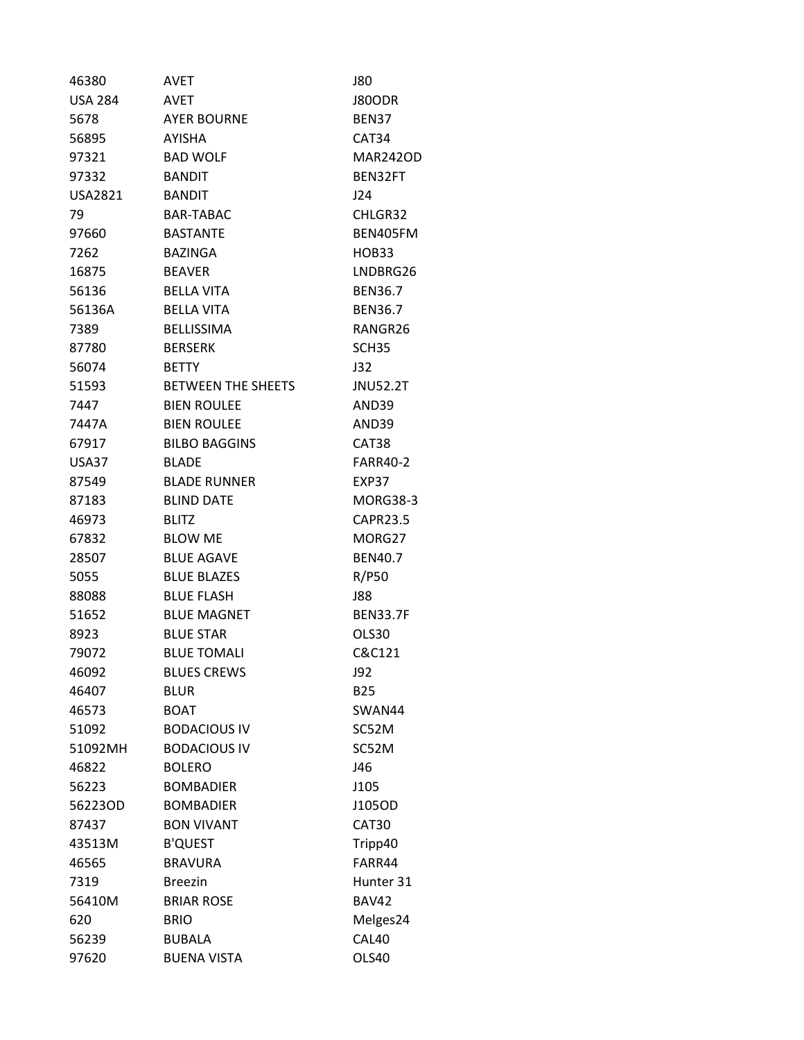| 46380          | AVET                      | J80               |
|----------------|---------------------------|-------------------|
| <b>USA 284</b> | AVET                      | J80ODR            |
| 5678           | <b>AYER BOURNE</b>        | <b>BEN37</b>      |
| 56895          | <b>AYISHA</b>             | CAT34             |
| 97321          | <b>BAD WOLF</b>           | <b>MAR242OD</b>   |
| 97332          | <b>BANDIT</b>             | BEN32FT           |
| USA2821        | <b>BANDIT</b>             | J24               |
| 79             | <b>BAR-TABAC</b>          | CHLGR32           |
| 97660          | <b>BASTANTE</b>           | BEN405FM          |
| 7262           | <b>BAZINGA</b>            | <b>HOB33</b>      |
| 16875          | <b>BEAVER</b>             | LNDBRG26          |
| 56136          | <b>BELLA VITA</b>         | <b>BEN36.7</b>    |
| 56136A         | <b>BELLA VITA</b>         | <b>BEN36.7</b>    |
| 7389           | <b>BELLISSIMA</b>         | RANGR26           |
| 87780          | <b>BERSERK</b>            | SCH <sub>35</sub> |
| 56074          | <b>BETTY</b>              | J32               |
| 51593          | <b>BETWEEN THE SHEETS</b> | <b>JNU52.2T</b>   |
| 7447           | <b>BIEN ROULEE</b>        | AND39             |
| 7447A          | <b>BIEN ROULEE</b>        | AND39             |
| 67917          | <b>BILBO BAGGINS</b>      | CAT38             |
| USA37          | <b>BLADE</b>              | <b>FARR40-2</b>   |
| 87549          | <b>BLADE RUNNER</b>       | EXP37             |
| 87183          | <b>BLIND DATE</b>         | <b>MORG38-3</b>   |
| 46973          | BLITZ                     | <b>CAPR23.5</b>   |
| 67832          | <b>BLOW ME</b>            | MORG27            |
| 28507          | <b>BLUE AGAVE</b>         | <b>BEN40.7</b>    |
| 5055           | <b>BLUE BLAZES</b>        | R/P50             |
| 88088          | <b>BLUE FLASH</b>         | <b>J88</b>        |
| 51652          | <b>BLUE MAGNET</b>        | <b>BEN33.7F</b>   |
| 8923           | <b>BLUE STAR</b>          | OLS30             |
| 79072          | <b>BLUE TOMALI</b>        | C&C121            |
| 46092          | <b>BLUES CREWS</b>        | J92               |
| 46407          | <b>BLUR</b>               | <b>B25</b>        |
| 46573          | <b>BOAT</b>               | SWAN44            |
| 51092          | <b>BODACIOUS IV</b>       | SC52M             |
| 51092MH        | <b>BODACIOUS IV</b>       | SC52M             |
| 46822          | <b>BOLERO</b>             | J46               |
| 56223          | <b>BOMBADIER</b>          | J105              |
| 56223OD        | <b>BOMBADIER</b>          | J105OD            |
| 87437          | <b>BON VIVANT</b>         | CAT30             |
| 43513M         | <b>B'QUEST</b>            | Tripp40           |
| 46565          | <b>BRAVURA</b>            | FARR44            |
| 7319           | <b>Breezin</b>            | Hunter 31         |
| 56410M         | <b>BRIAR ROSE</b>         | <b>BAV42</b>      |
| 620            | <b>BRIO</b>               | Melges24          |
| 56239          | <b>BUBALA</b>             | CAL40             |
| 97620          | <b>BUENA VISTA</b>        | OLS40             |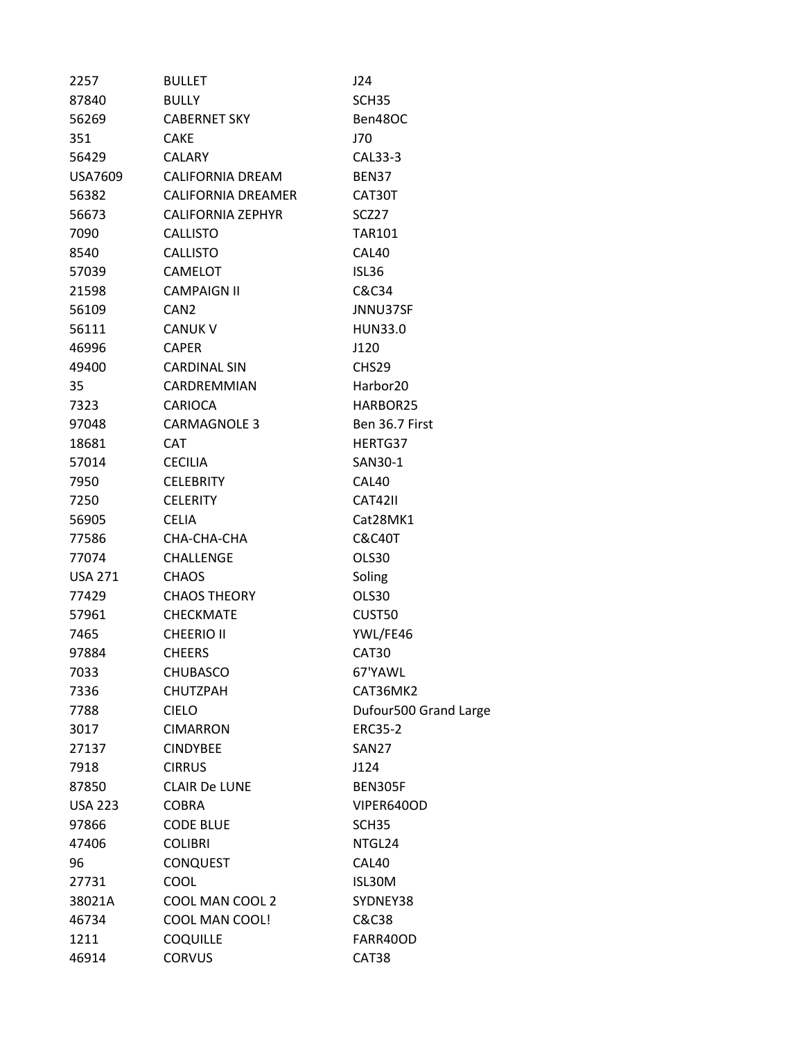| 2257           | <b>BULLET</b>            | J24                   |
|----------------|--------------------------|-----------------------|
| 87840          | <b>BULLY</b>             | SCH <sub>35</sub>     |
| 56269          | <b>CABERNET SKY</b>      | Ben48OC               |
| 351            | <b>CAKE</b>              | J70                   |
| 56429          | <b>CALARY</b>            | CAL33-3               |
| USA7609        | CALIFORNIA DREAM         | BEN37                 |
| 56382          | CALIFORNIA DREAMER       | CAT30T                |
| 56673          | <b>CALIFORNIA ZEPHYR</b> | SCZ27                 |
| 7090           | <b>CALLISTO</b>          | <b>TAR101</b>         |
| 8540           | <b>CALLISTO</b>          | CAL40                 |
| 57039          | <b>CAMELOT</b>           | ISL36                 |
| 21598          | <b>CAMPAIGN II</b>       | C&C34                 |
| 56109          | CAN <sub>2</sub>         | JNNU37SF              |
| 56111          | <b>CANUK V</b>           | <b>HUN33.0</b>        |
| 46996          | <b>CAPER</b>             | J120                  |
| 49400          | <b>CARDINAL SIN</b>      | CHS <sub>29</sub>     |
| 35             | CARDREMMIAN              | Harbor <sub>20</sub>  |
| 7323           | <b>CARIOCA</b>           | HARBOR25              |
| 97048          | <b>CARMAGNOLE 3</b>      | Ben 36.7 First        |
| 18681          | <b>CAT</b>               | HERTG37               |
| 57014          | <b>CECILIA</b>           | SAN30-1               |
| 7950           | <b>CELEBRITY</b>         | CAL40                 |
| 7250           | <b>CELERITY</b>          | CAT42II               |
| 56905          | <b>CELIA</b>             | Cat28MK1              |
| 77586          | CHA-CHA-CHA              | C&C40T                |
| 77074          | <b>CHALLENGE</b>         | OLS30                 |
| <b>USA 271</b> | <b>CHAOS</b>             | Soling                |
| 77429          | <b>CHAOS THEORY</b>      | OLS30                 |
| 57961          | <b>CHECKMATE</b>         | CUST50                |
| 7465           | <b>CHEERIO II</b>        | YWL/FE46              |
| 97884          | <b>CHEERS</b>            | CAT <sub>30</sub>     |
| 7033           | <b>CHUBASCO</b>          | 67'YAWL               |
| 7336           | <b>CHUTZPAH</b>          | CAT36MK2              |
| 7788           | <b>CIELO</b>             | Dufour500 Grand Large |
| 3017           | <b>CIMARRON</b>          | <b>ERC35-2</b>        |
| 27137          | <b>CINDYBEE</b>          | <b>SAN27</b>          |
| 7918           | <b>CIRRUS</b>            | J124                  |
| 87850          | <b>CLAIR De LUNE</b>     | <b>BEN305F</b>        |
| <b>USA 223</b> | <b>COBRA</b>             | VIPER640OD            |
| 97866          | <b>CODE BLUE</b>         | SCH35                 |
| 47406          | <b>COLIBRI</b>           | NTGL24                |
| 96             | <b>CONQUEST</b>          | CAL40                 |
| 27731          | COOL                     | ISL30M                |
| 38021A         | COOL MAN COOL 2          | SYDNEY38              |
| 46734          | COOL MAN COOL!           | C&C38                 |
| 1211           | <b>COQUILLE</b>          | FARR40OD              |
| 46914          | <b>CORVUS</b>            | CAT38                 |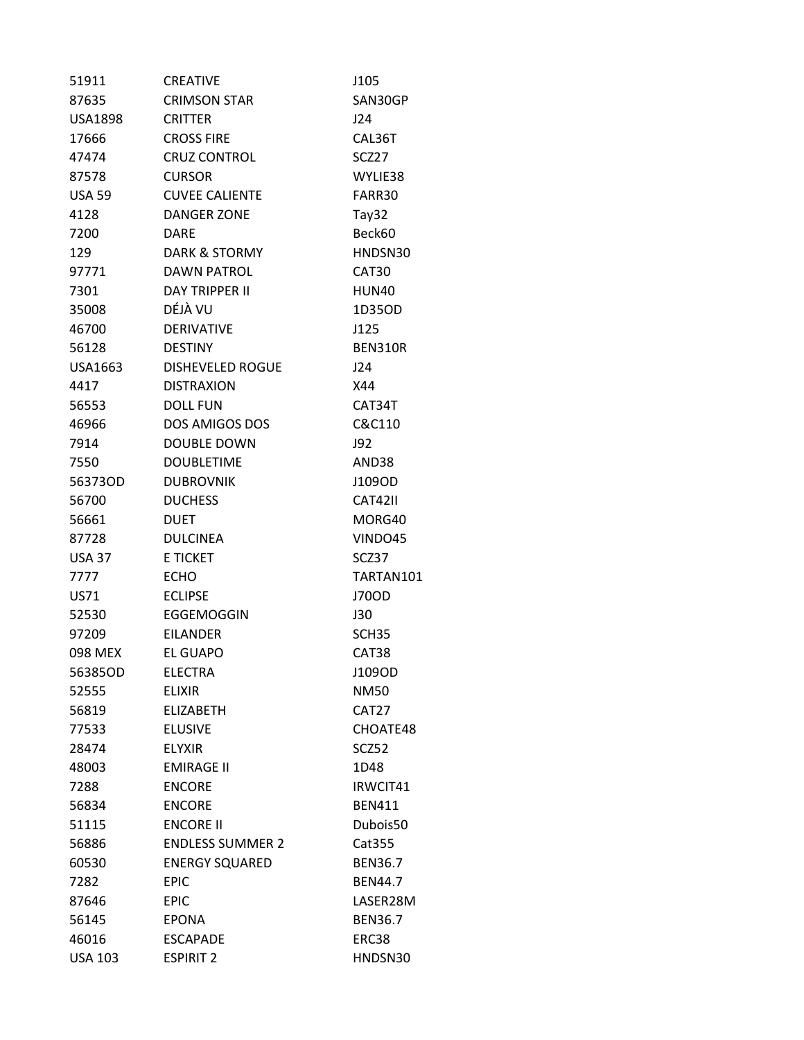| 51911          | <b>CREATIVE</b>          | J105           |
|----------------|--------------------------|----------------|
| 87635          | <b>CRIMSON STAR</b>      | SAN30GP        |
| <b>USA1898</b> | <b>CRITTER</b>           | J24            |
| 17666          | <b>CROSS FIRE</b>        | CAL36T         |
| 47474          | <b>CRUZ CONTROL</b>      | SCZ27          |
| 87578          | <b>CURSOR</b>            | WYLIE38        |
| <b>USA 59</b>  | <b>CUVEE CALIENTE</b>    | FARR30         |
| 4128           | <b>DANGER ZONE</b>       | Tay32          |
| 7200           | <b>DARE</b>              | Beck60         |
| 129            | <b>DARK &amp; STORMY</b> | HNDSN30        |
| 97771          | <b>DAWN PATROL</b>       | CAT30          |
| 7301           | <b>DAY TRIPPER II</b>    | HUN40          |
| 35008          | DÉJÀ VU                  | 1D35OD         |
| 46700          | <b>DERIVATIVE</b>        | J125           |
| 56128          | <b>DESTINY</b>           | <b>BEN310R</b> |
| USA1663        | <b>DISHEVELED ROGUE</b>  | J24            |
| 4417           | <b>DISTRAXION</b>        | X44            |
| 56553          | <b>DOLL FUN</b>          | CAT34T         |
| 46966          | DOS AMIGOS DOS           | C&C110         |
| 7914           | <b>DOUBLE DOWN</b>       | J92            |
| 7550           | <b>DOUBLETIME</b>        | AND38          |
| 56373OD        | <b>DUBROVNIK</b>         | J109OD         |
| 56700          | <b>DUCHESS</b>           | <b>CAT42II</b> |
| 56661          | <b>DUET</b>              | MORG40         |
| 87728          | <b>DULCINEA</b>          | VINDO45        |
| <b>USA 37</b>  | <b>E TICKET</b>          | SCZ37          |
| 7777           | <b>ECHO</b>              | TARTAN101      |
| US71           | <b>ECLIPSE</b>           | J70OD          |
| 52530          | EGGEMOGGIN               | J30            |
| 97209          | <b>EILANDER</b>          | SCH35          |
| 098 MEX        | <b>EL GUAPO</b>          | CAT38          |
| 56385OD        | <b>ELECTRA</b>           | J109OD         |
| 52555          | <b>ELIXIR</b>            | <b>NM50</b>    |
| 56819          | <b>ELIZABETH</b>         | CAT27          |
| 77533          | <b>ELUSIVE</b>           | CHOATE48       |
| 28474          | <b>ELYXIR</b>            | SCZ52          |
| 48003          | <b>EMIRAGE II</b>        | 1D48           |
| 7288           | <b>ENCORE</b>            | IRWCIT41       |
| 56834          | <b>ENCORE</b>            | <b>BEN411</b>  |
| 51115          | <b>ENCORE II</b>         | Dubois50       |
| 56886          | <b>ENDLESS SUMMER 2</b>  | Cat355         |
| 60530          | <b>ENERGY SQUARED</b>    | <b>BEN36.7</b> |
| 7282           | <b>EPIC</b>              | <b>BEN44.7</b> |
| 87646          | <b>EPIC</b>              | LASER28M       |
| 56145          | <b>EPONA</b>             | <b>BEN36.7</b> |
| 46016          | <b>ESCAPADE</b>          | ERC38          |
| <b>USA 103</b> | <b>ESPIRIT 2</b>         | HNDSN30        |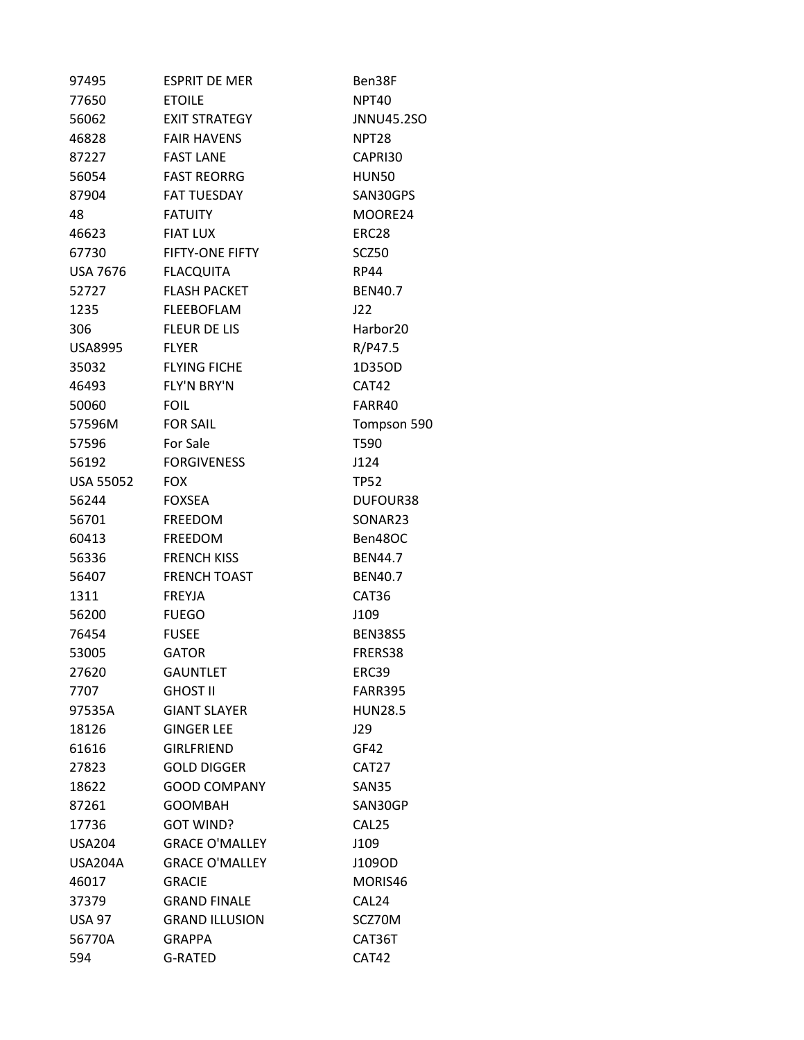| 97495            | <b>ESPRIT DE MER</b>   | Ben38F               |
|------------------|------------------------|----------------------|
| 77650            | <b>ETOILE</b>          | NPT40                |
| 56062            | <b>EXIT STRATEGY</b>   | JNNU45.2SO           |
| 46828            | <b>FAIR HAVENS</b>     | NPT <sub>28</sub>    |
| 87227            | <b>FAST LANE</b>       | CAPRI30              |
| 56054            | <b>FAST REORRG</b>     | HUN50                |
| 87904            | <b>FAT TUESDAY</b>     | SAN30GPS             |
| 48               | <b>FATUITY</b>         | MOORE24              |
| 46623            | <b>FIAT LUX</b>        | ERC28                |
| 67730            | <b>FIFTY-ONE FIFTY</b> | SCZ50                |
| <b>USA 7676</b>  | <b>FLACQUITA</b>       | <b>RP44</b>          |
| 52727            | <b>FLASH PACKET</b>    | <b>BEN40.7</b>       |
| 1235             | <b>FLEEBOFLAM</b>      | J22                  |
| 306              | <b>FLEUR DE LIS</b>    | Harbor <sub>20</sub> |
| <b>USA8995</b>   | <b>FLYER</b>           | R/P47.5              |
| 35032            | <b>FLYING FICHE</b>    | 1D350D               |
| 46493            | FLY'N BRY'N            | CAT42                |
| 50060            | <b>FOIL</b>            | FARR40               |
| 57596M           | <b>FOR SAIL</b>        | Tompson 590          |
| 57596            | For Sale               | T590                 |
| 56192            | <b>FORGIVENESS</b>     | J124                 |
| <b>USA 55052</b> | <b>FOX</b>             | TP52                 |
| 56244            | <b>FOXSEA</b>          | DUFOUR38             |
| 56701            | <b>FREEDOM</b>         | SONAR23              |
| 60413            | <b>FREEDOM</b>         | Ben48OC              |
| 56336            | <b>FRENCH KISS</b>     | <b>BEN44.7</b>       |
| 56407            | <b>FRENCH TOAST</b>    | <b>BEN40.7</b>       |
| 1311             | <b>FREYJA</b>          | CAT36                |
| 56200            | <b>FUEGO</b>           | J109                 |
| 76454            | <b>FUSEE</b>           | <b>BEN38S5</b>       |
| 53005            | <b>GATOR</b>           | FRERS38              |
| 27620            | <b>GAUNTLET</b>        | ERC39                |
| 7707             | <b>GHOST II</b>        | FARR395              |
| 97535A           | <b>GIANT SLAYER</b>    | <b>HUN28.5</b>       |
| 18126            | <b>GINGER LEE</b>      | J29                  |
| 61616            | <b>GIRLFRIEND</b>      | GF42                 |
| 27823            | <b>GOLD DIGGER</b>     | CAT <sub>27</sub>    |
| 18622            | <b>GOOD COMPANY</b>    | SAN35                |
| 87261            | <b>GOOMBAH</b>         | SAN30GP              |
| 17736            | <b>GOT WIND?</b>       | CAL <sub>25</sub>    |
| <b>USA204</b>    | <b>GRACE O'MALLEY</b>  | J109                 |
| USA204A          | <b>GRACE O'MALLEY</b>  | J109OD               |
| 46017            | <b>GRACIE</b>          | MORIS46              |
| 37379            | <b>GRAND FINALE</b>    | CAL <sub>24</sub>    |
| <b>USA 97</b>    | <b>GRAND ILLUSION</b>  | SCZ70M               |
| 56770A           | <b>GRAPPA</b>          | CAT36T               |
| 594              | G-RATED                | CAT42                |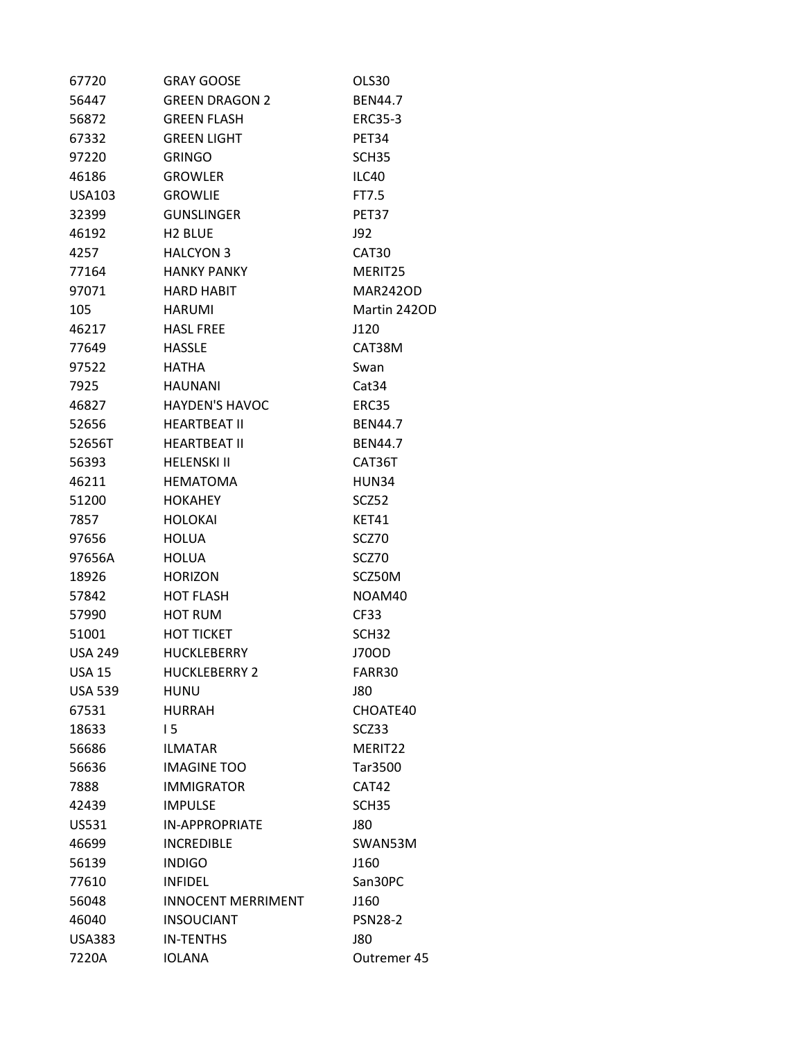| 67720          | <b>GRAY GOOSE</b>         | OLS30             |
|----------------|---------------------------|-------------------|
| 56447          | <b>GREEN DRAGON 2</b>     | <b>BEN44.7</b>    |
| 56872          | <b>GREEN FLASH</b>        | <b>ERC35-3</b>    |
| 67332          | <b>GREEN LIGHT</b>        | PET34             |
| 97220          | <b>GRINGO</b>             | SCH <sub>35</sub> |
| 46186          | <b>GROWLER</b>            | ILC40             |
| USA103         | <b>GROWLIE</b>            | FT7.5             |
| 32399          | <b>GUNSLINGER</b>         | PET37             |
| 46192          | H <sub>2</sub> BLUE       | J92               |
| 4257           | <b>HALCYON 3</b>          | CAT30             |
| 77164          | <b>HANKY PANKY</b>        | MERIT25           |
| 97071          | HARD HABIT                | <b>MAR242OD</b>   |
| 105            | <b>HARUMI</b>             | Martin 242OD      |
| 46217          | <b>HASL FREE</b>          | J120              |
| 77649          | <b>HASSLE</b>             | CAT38M            |
| 97522          | HATHA                     | Swan              |
| 7925           | <b>HAUNANI</b>            | Cat34             |
| 46827          | <b>HAYDEN'S HAVOC</b>     | ERC35             |
| 52656          | <b>HEARTBEAT II</b>       | <b>BEN44.7</b>    |
| 52656T         | <b>HEARTBEAT II</b>       | <b>BEN44.7</b>    |
| 56393          | <b>HELENSKI II</b>        | CAT36T            |
| 46211          | <b>HEMATOMA</b>           | HUN34             |
| 51200          | <b>HOKAHEY</b>            | SCZ52             |
| 7857           | <b>HOLOKAI</b>            | KET41             |
| 97656          | <b>HOLUA</b>              | SCZ70             |
| 97656A         | <b>HOLUA</b>              | SCZ70             |
| 18926          | <b>HORIZON</b>            | SCZ50M            |
| 57842          | <b>HOT FLASH</b>          | NOAM40            |
| 57990          | <b>HOT RUM</b>            | <b>CF33</b>       |
| 51001          | <b>HOT TICKET</b>         | SCH <sub>32</sub> |
| <b>USA 249</b> | <b>HUCKLEBERRY</b>        | J70OD             |
| <b>USA 15</b>  | <b>HUCKLEBERRY 2</b>      | FARR30            |
| <b>USA 539</b> | <b>HUNU</b>               | J80               |
| 67531          | <b>HURRAH</b>             | CHOATE40          |
| 18633          | 15                        | SCZ33             |
| 56686          | <b>ILMATAR</b>            | MERIT22           |
| 56636          | <b>IMAGINE TOO</b>        | Tar3500           |
| 7888           | <b>IMMIGRATOR</b>         | CAT42             |
| 42439          | <b>IMPULSE</b>            | SCH <sub>35</sub> |
| US531          | <b>IN-APPROPRIATE</b>     | <b>J80</b>        |
| 46699          | <b>INCREDIBLE</b>         | SWAN53M           |
| 56139          | <b>INDIGO</b>             | J160              |
| 77610          | <b>INFIDEL</b>            | San30PC           |
| 56048          | <b>INNOCENT MERRIMENT</b> | J160              |
| 46040          | <b>INSOUCIANT</b>         | <b>PSN28-2</b>    |
| <b>USA383</b>  | <b>IN-TENTHS</b>          | <b>J80</b>        |
| 7220A          | <b>IOLANA</b>             | Outremer 45       |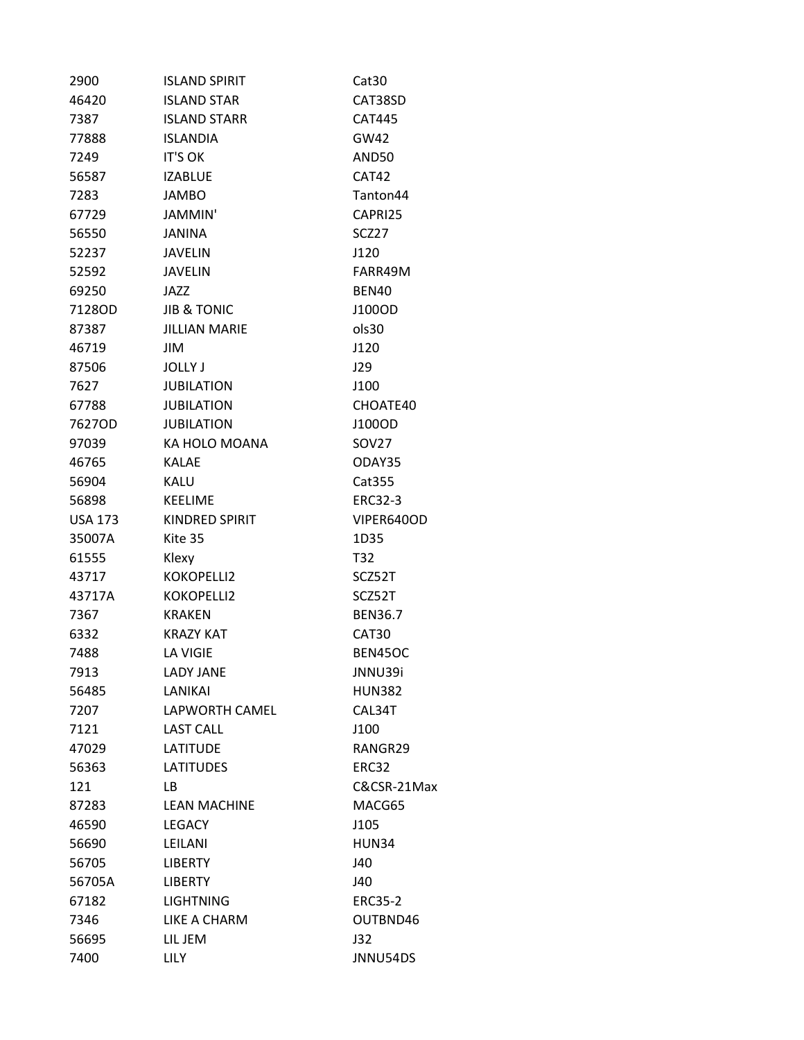| 2900           | <b>ISLAND SPIRIT</b>   | Cat <sub>30</sub> |
|----------------|------------------------|-------------------|
| 46420          | <b>ISLAND STAR</b>     | CAT38SD           |
| 7387           | <b>ISLAND STARR</b>    | <b>CAT445</b>     |
| 77888          | <b>ISLANDIA</b>        | GW42              |
| 7249           | <b>IT'S OK</b>         | AND50             |
| 56587          | <b>IZABLUE</b>         | CAT42             |
| 7283           | <b>JAMBO</b>           | Tanton44          |
| 67729          | JAMMIN'                | CAPRI25           |
| 56550          | JANINA                 | SCZ27             |
| 52237          | <b>JAVELIN</b>         | J120              |
| 52592          | JAVELIN                | FARR49M           |
| 69250          | JAZZ                   | BEN40             |
| 7128OD         | <b>JIB &amp; TONIC</b> | J100OD            |
| 87387          | <b>JILLIAN MARIE</b>   | ols30             |
| 46719          | JIM                    | J120              |
| 87506          | <b>JOLLY J</b>         | J29               |
| 7627           | <b>JUBILATION</b>      | J100              |
| 67788          | <b>JUBILATION</b>      | CHOATE40          |
| 7627OD         | <b>JUBILATION</b>      | J100OD            |
| 97039          | KA HOLO MOANA          | SOV27             |
| 46765          | <b>KALAE</b>           | ODAY35            |
| 56904          | KALU                   | Cat355            |
| 56898          | <b>KEELIME</b>         | ERC32-3           |
| <b>USA 173</b> | <b>KINDRED SPIRIT</b>  | VIPER640OD        |
| 35007A         | Kite 35                | 1D35              |
| 61555          | Klexy                  | T32               |
| 43717          | KOKOPELLI2             | SCZ52T            |
| 43717A         | KOKOPELLI2             | SCZ52T            |
| 7367           | <b>KRAKEN</b>          | <b>BEN36.7</b>    |
| 6332           | <b>KRAZY KAT</b>       | CAT30             |
| 7488           | <b>LA VIGIE</b>        | BEN45OC           |
| 7913           | <b>LADY JANE</b>       | JNNU39i           |
| 56485          | LANIKAI                | <b>HUN382</b>     |
| 7207           | LAPWORTH CAMEL         | CAL34T            |
| 7121           | <b>LAST CALL</b>       | J100              |
| 47029          | <b>LATITUDE</b>        | RANGR29           |
| 56363          | <b>LATITUDES</b>       | ERC32             |
| 121            | LB.                    | C&CSR-21Max       |
| 87283          | <b>LEAN MACHINE</b>    | MACG65            |
| 46590          | <b>LEGACY</b>          | J105              |
| 56690          | LEILANI                | HUN34             |
| 56705          | <b>LIBERTY</b>         | J40               |
| 56705A         | <b>LIBERTY</b>         | J40               |
| 67182          | <b>LIGHTNING</b>       | <b>ERC35-2</b>    |
| 7346           | LIKE A CHARM           | OUTBND46          |
| 56695          | LIL JEM                | J32               |
| 7400           | <b>LILY</b>            | JNNU54DS          |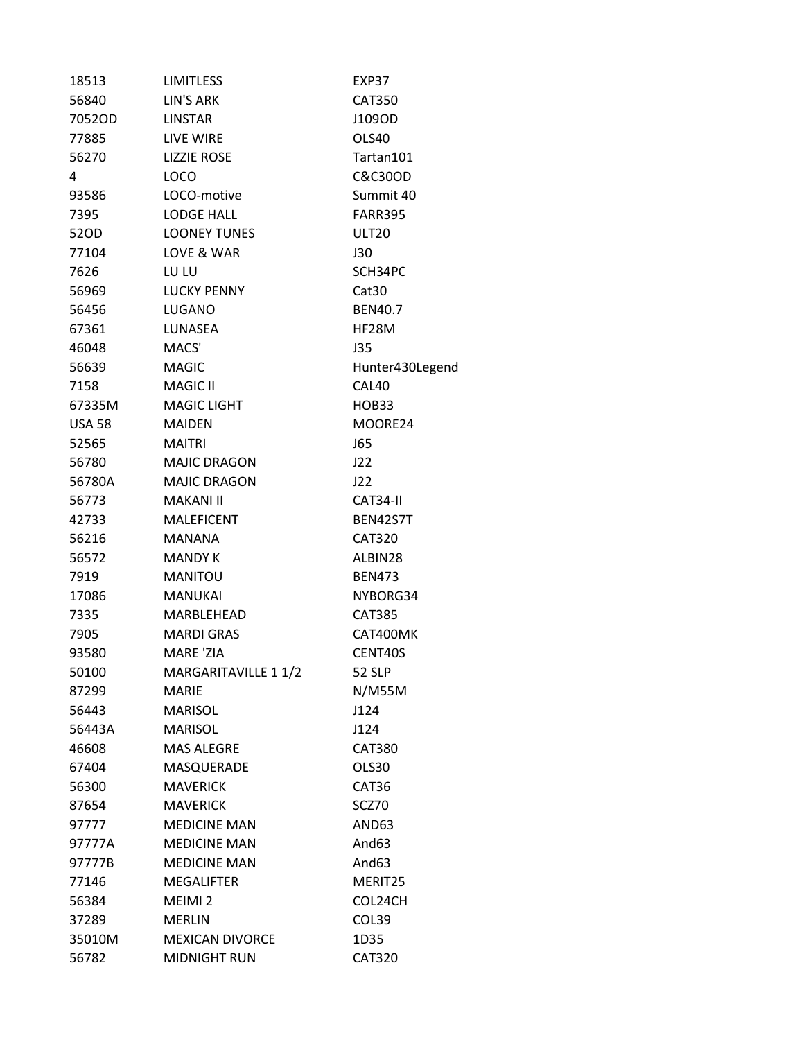| 18513         | <b>LIMITLESS</b>       | EXP37             |
|---------------|------------------------|-------------------|
| 56840         | LIN'S ARK              | <b>CAT350</b>     |
| 7052OD        | <b>LINSTAR</b>         | J109OD            |
| 77885         | LIVE WIRE              | OLS40             |
| 56270         | <b>LIZZIE ROSE</b>     | Tartan101         |
| 4             | LOCO                   | C&C30OD           |
| 93586         | LOCO-motive            | Summit 40         |
| 7395          | <b>LODGE HALL</b>      | <b>FARR395</b>    |
| 52OD          | <b>LOONEY TUNES</b>    | ULT <sub>20</sub> |
| 77104         | LOVE & WAR             | J30               |
| 7626          | LU LU                  | SCH34PC           |
| 56969         | <b>LUCKY PENNY</b>     | Cat <sub>30</sub> |
| 56456         | LUGANO                 | <b>BEN40.7</b>    |
| 67361         | LUNASEA                | HF28M             |
| 46048         | MACS'                  | J35               |
| 56639         | <b>MAGIC</b>           | Hunter430Legend   |
| 7158          | <b>MAGIC II</b>        | CAL40             |
| 67335M        | <b>MAGIC LIGHT</b>     | HOB33             |
| <b>USA 58</b> | <b>MAIDEN</b>          | MOORE24           |
| 52565         | <b>MAITRI</b>          | <b>J65</b>        |
| 56780         | <b>MAJIC DRAGON</b>    | J22               |
| 56780A        | <b>MAJIC DRAGON</b>    | J22               |
| 56773         | MAKANI II              | CAT34-II          |
| 42733         | <b>MALEFICENT</b>      | <b>BEN42S7T</b>   |
| 56216         | <b>MANANA</b>          | <b>CAT320</b>     |
| 56572         | MANDY K                | ALBIN28           |
| 7919          | <b>MANITOU</b>         | <b>BEN473</b>     |
| 17086         | <b>MANUKAI</b>         | NYBORG34          |
| 7335          | MARBLEHEAD             | <b>CAT385</b>     |
| 7905          | <b>MARDI GRAS</b>      | CAT400MK          |
| 93580         | MARE 'ZIA              | CENT40S           |
| 50100         | MARGARITAVILLE 1 1/2   | <b>52 SLP</b>     |
| 87299         | <b>MARIE</b>           | N/M55M            |
| 56443         | <b>MARISOL</b>         | J124              |
| 56443A        | <b>MARISOL</b>         | J124              |
| 46608         | <b>MAS ALEGRE</b>      | <b>CAT380</b>     |
| 67404         | MASQUERADE             | OLS30             |
| 56300         | <b>MAVERICK</b>        | CAT36             |
| 87654         | <b>MAVERICK</b>        | SCZ70             |
| 97777         | <b>MEDICINE MAN</b>    | AND63             |
| 97777A        | <b>MEDICINE MAN</b>    | And63             |
| 97777B        | <b>MEDICINE MAN</b>    | And63             |
| 77146         | <b>MEGALIFTER</b>      | MERIT25           |
| 56384         | MEIMI <sub>2</sub>     | COL24CH           |
| 37289         | <b>MERLIN</b>          | COL39             |
| 35010M        | <b>MEXICAN DIVORCE</b> | 1D35              |
| 56782         | MIDNIGHT RUN           | <b>CAT320</b>     |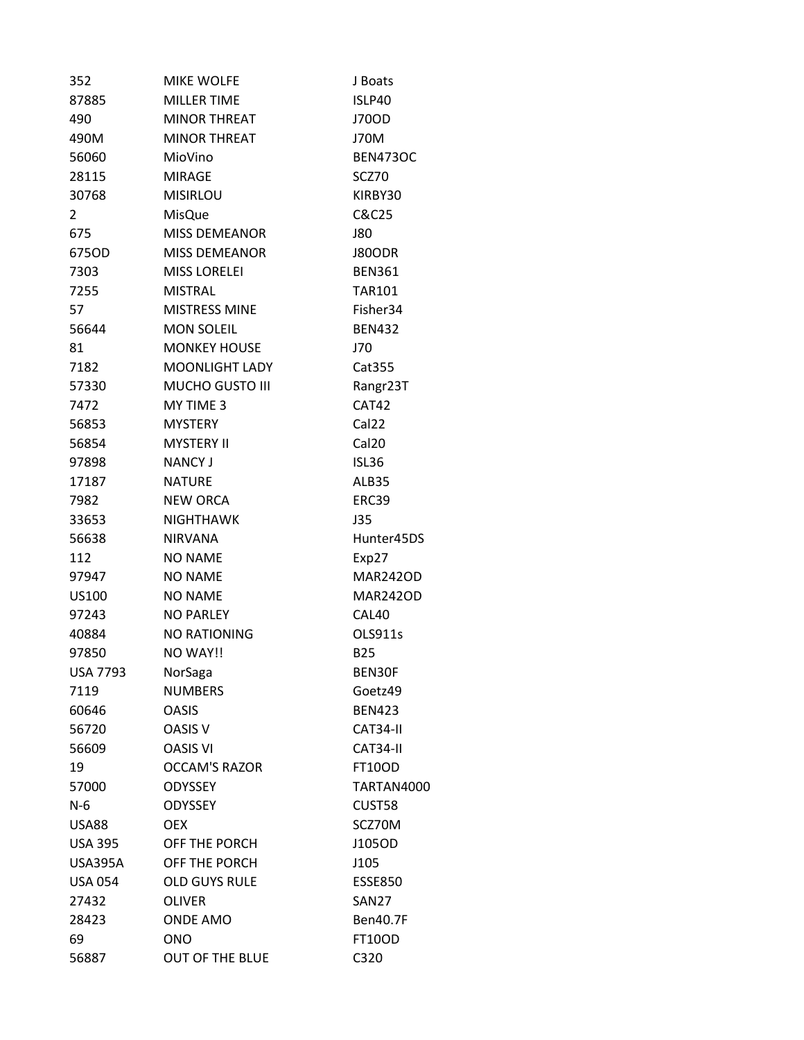| 352             | <b>MIKE WOLFE</b>     | J Boats           |
|-----------------|-----------------------|-------------------|
| 87885           | <b>MILLER TIME</b>    | ISLP40            |
| 490             | <b>MINOR THREAT</b>   | J70OD             |
| 490M            | <b>MINOR THREAT</b>   | <b>J70M</b>       |
| 56060           | MioVino               | <b>BEN473OC</b>   |
| 28115           | <b>MIRAGE</b>         | SCZ70             |
| 30768           | <b>MISIRLOU</b>       | KIRBY30           |
| $\mathbf{2}$    | <b>MisQue</b>         | C&C25             |
| 675             | <b>MISS DEMEANOR</b>  | J80               |
| 675OD           | <b>MISS DEMEANOR</b>  | <b>J80ODR</b>     |
| 7303            | <b>MISS LORELEI</b>   | <b>BEN361</b>     |
| 7255            | <b>MISTRAL</b>        | <b>TAR101</b>     |
| 57              | <b>MISTRESS MINE</b>  | Fisher34          |
| 56644           | <b>MON SOLEIL</b>     | <b>BEN432</b>     |
| 81              | <b>MONKEY HOUSE</b>   | J70               |
| 7182            | <b>MOONLIGHT LADY</b> | Cat355            |
| 57330           | MUCHO GUSTO III       | Rangr23T          |
| 7472            | MY TIME 3             | CAT42             |
| 56853           | <b>MYSTERY</b>        | Cal <sub>22</sub> |
| 56854           | <b>MYSTERY II</b>     | Cal <sub>20</sub> |
| 97898           | <b>NANCY J</b>        | <b>ISL36</b>      |
| 17187           | <b>NATURE</b>         | ALB35             |
| 7982            | <b>NEW ORCA</b>       | ERC39             |
| 33653           | <b>NIGHTHAWK</b>      | J35               |
| 56638           | <b>NIRVANA</b>        | Hunter45DS        |
| 112             | <b>NO NAME</b>        | Exp27             |
| 97947           | <b>NO NAME</b>        | <b>MAR242OD</b>   |
| US100           | <b>NO NAME</b>        | <b>MAR242OD</b>   |
| 97243           | <b>NO PARLEY</b>      | CAL40             |
| 40884           | <b>NO RATIONING</b>   | OLS911s           |
| 97850           | NO WAY!!              | <b>B25</b>        |
| <b>USA 7793</b> | NorSaga               | BEN30F            |
| 7119            | <b>NUMBERS</b>        | Goetz49           |
| 60646           | <b>OASIS</b>          | <b>BEN423</b>     |
| 56720           | OASIS V               | CAT34-II          |
| 56609           | <b>OASIS VI</b>       | CAT34-II          |
| 19              | <b>OCCAM'S RAZOR</b>  | <b>FT10OD</b>     |
| 57000           | <b>ODYSSEY</b>        | TARTAN4000        |
| $N-6$           | <b>ODYSSEY</b>        | CUST58            |
| <b>USA88</b>    | <b>OEX</b>            | SCZ70M            |
| <b>USA 395</b>  | OFF THE PORCH         | J105OD            |
| <b>USA395A</b>  | OFF THE PORCH         | J105              |
| <b>USA 054</b>  | <b>OLD GUYS RULE</b>  | <b>ESSE850</b>    |
| 27432           | <b>OLIVER</b>         | <b>SAN27</b>      |
| 28423           | <b>ONDE AMO</b>       | <b>Ben40.7F</b>   |
| 69              | <b>ONO</b>            | <b>FT10OD</b>     |
| 56887           | OUT OF THE BLUE       | C320              |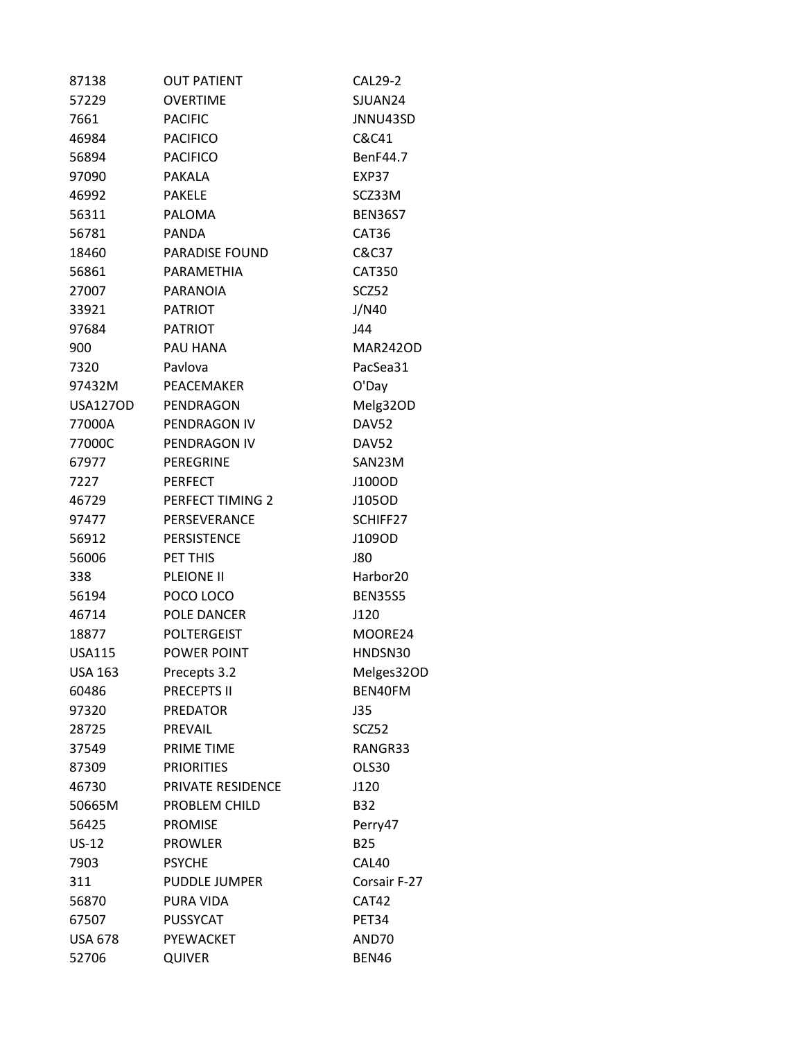| 87138           | <b>OUT PATIENT</b>    | <b>CAL29-2</b>       |
|-----------------|-----------------------|----------------------|
| 57229           | <b>OVERTIME</b>       | SJUAN24              |
| 7661            | <b>PACIFIC</b>        | JNNU43SD             |
| 46984           | <b>PACIFICO</b>       | C&C41                |
| 56894           | <b>PACIFICO</b>       | BenF44.7             |
| 97090           | <b>PAKALA</b>         | EXP37                |
| 46992           | <b>PAKELE</b>         | SCZ33M               |
| 56311           | <b>PALOMA</b>         | <b>BEN36S7</b>       |
| 56781           | <b>PANDA</b>          | CAT36                |
| 18460           | <b>PARADISE FOUND</b> | C&C37                |
| 56861           | PARAMETHIA            | <b>CAT350</b>        |
| 27007           | <b>PARANOIA</b>       | SCZ52                |
| 33921           | <b>PATRIOT</b>        | J/N40                |
| 97684           | <b>PATRIOT</b>        | J44                  |
| 900             | PAU HANA              | <b>MAR242OD</b>      |
| 7320            | Pavlova               | PacSea31             |
| 97432M          | PEACEMAKER            | O'Day                |
| <b>USA127OD</b> | PENDRAGON             | Melg32OD             |
| 77000A          | PENDRAGON IV          | <b>DAV52</b>         |
| 77000C          | PENDRAGON IV          | <b>DAV52</b>         |
| 67977           | <b>PEREGRINE</b>      | SAN23M               |
| 7227            | <b>PERFECT</b>        | J100OD               |
| 46729           | PERFECT TIMING 2      | J105OD               |
| 97477           | PERSEVERANCE          | SCHIFF27             |
| 56912           | <b>PERSISTENCE</b>    | J109OD               |
| 56006           | PET THIS              | <b>J80</b>           |
| 338             | PLEIONE II            | Harbor <sub>20</sub> |
| 56194           | POCO LOCO             | <b>BEN35S5</b>       |
| 46714           | POLE DANCER           | J120                 |
| 18877           | <b>POLTERGEIST</b>    | MOORE24              |
| <b>USA115</b>   | POWER POINT           | HNDSN30              |
| <b>USA 163</b>  | Precepts 3.2          | Melges32OD           |
| 60486           | <b>PRECEPTS II</b>    | BEN40FM              |
| 97320           | <b>PREDATOR</b>       | <b>J35</b>           |
| 28725           | PREVAIL               | SCZ52                |
| 37549           | PRIME TIME            | RANGR33              |
| 87309           | <b>PRIORITIES</b>     | OLS30                |
| 46730           | PRIVATE RESIDENCE     | J120                 |
| 50665M          | PROBLEM CHILD         | <b>B32</b>           |
| 56425           | <b>PROMISE</b>        | Perry47              |
| $US-12$         | <b>PROWLER</b>        | <b>B25</b>           |
| 7903            | <b>PSYCHE</b>         | CAL40                |
| 311             | <b>PUDDLE JUMPER</b>  | Corsair F-27         |
| 56870           | PURA VIDA             | CAT42                |
| 67507           | <b>PUSSYCAT</b>       | PET34                |
| <b>USA 678</b>  | PYEWACKET             | AND70                |
| 52706           | QUIVER                | <b>BEN46</b>         |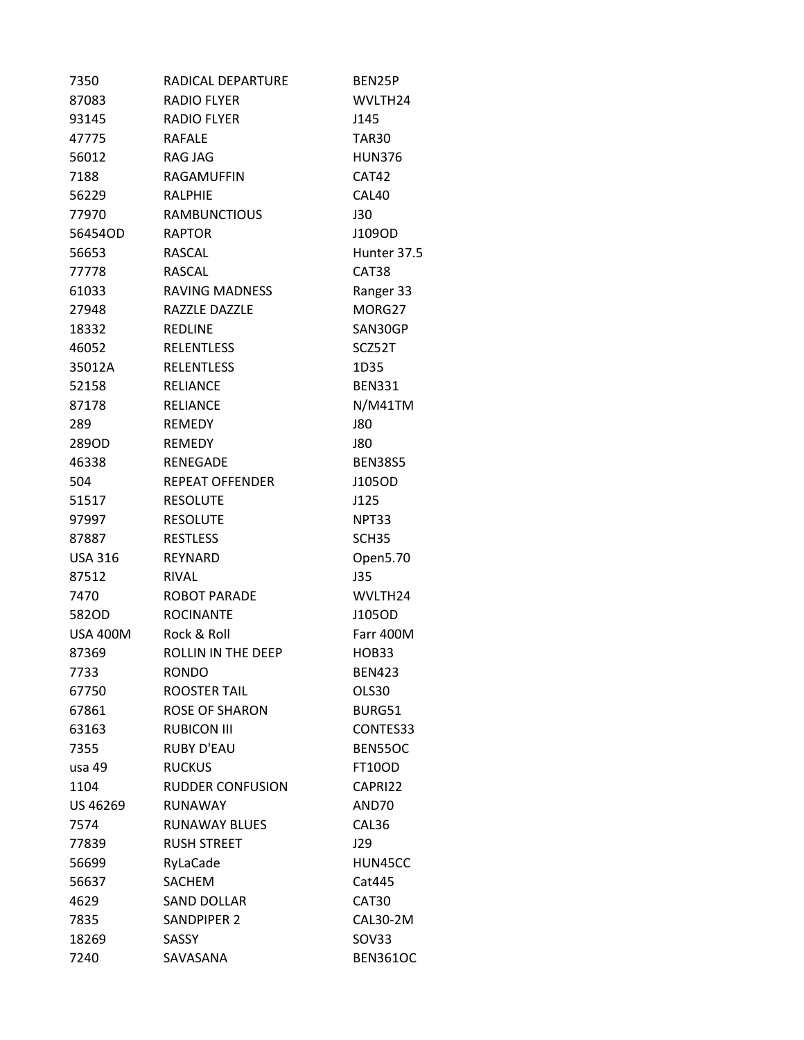| 7350            | RADICAL DEPARTURE       | BEN25P              |
|-----------------|-------------------------|---------------------|
| 87083           | <b>RADIO FLYER</b>      | WVLTH24             |
| 93145           | <b>RADIO FLYER</b>      | J145                |
| 47775           | <b>RAFALE</b>           | TAR30               |
| 56012           | RAG JAG                 | <b>HUN376</b>       |
| 7188            | RAGAMUFFIN              | <b>CAT42</b>        |
| 56229           | <b>RALPHIE</b>          | CAL40               |
| 77970           | <b>RAMBUNCTIOUS</b>     | <b>J30</b>          |
| 56454OD         | <b>RAPTOR</b>           | J109OD              |
| 56653           | <b>RASCAL</b>           | Hunter 37.5         |
| 77778           | <b>RASCAL</b>           | CAT38               |
| 61033           | <b>RAVING MADNESS</b>   | Ranger 33           |
| 27948           | RAZZLE DAZZLE           | MORG27              |
| 18332           | <b>REDLINE</b>          | SAN30GP             |
| 46052           | <b>RELENTLESS</b>       | SCZ52T              |
| 35012A          | <b>RELENTLESS</b>       | 1D35                |
| 52158           | <b>RELIANCE</b>         | <b>BEN331</b>       |
| 87178           | <b>RELIANCE</b>         | N/M41TM             |
| 289             | <b>REMEDY</b>           | J80                 |
| 289OD           | <b>REMEDY</b>           | J80                 |
| 46338           | <b>RENEGADE</b>         | <b>BEN38S5</b>      |
| 504             | <b>REPEAT OFFENDER</b>  | J105OD              |
| 51517           | <b>RESOLUTE</b>         | J125                |
| 97997           | <b>RESOLUTE</b>         | NPT33               |
| 87887           | <b>RESTLESS</b>         | SCH <sub>35</sub>   |
| USA 316         | REYNARD                 | Open5.70            |
| 87512           | <b>RIVAL</b>            | J35                 |
| 7470            | <b>ROBOT PARADE</b>     | WVLTH <sub>24</sub> |
| 582OD           | <b>ROCINANTE</b>        | J105OD              |
| <b>USA 400M</b> | Rock & Roll             | Farr 400M           |
| 87369           | ROLLIN IN THE DEEP      | HOB33               |
| 7733            | <b>RONDO</b>            | <b>BEN423</b>       |
| 67750           | <b>ROOSTER TAIL</b>     | OLS30               |
| 67861           | <b>ROSE OF SHARON</b>   | BURG51              |
| 63163           | <b>RUBICON III</b>      | CONTES33            |
| 7355            | <b>RUBY D'EAU</b>       | BEN55OC             |
| usa 49          | <b>RUCKUS</b>           | <b>FT10OD</b>       |
| 1104            | <b>RUDDER CONFUSION</b> | CAPRI22             |
| US 46269        | <b>RUNAWAY</b>          | AND70               |
| 7574            | RUNAWAY BLUES           | CAL36               |
| 77839           | <b>RUSH STREET</b>      | J29                 |
| 56699           | RyLaCade                | HUN45CC             |
| 56637           | <b>SACHEM</b>           | Cat445              |
| 4629            | <b>SAND DOLLAR</b>      | CAT30               |
| 7835            | <b>SANDPIPER 2</b>      | CAL30-2M            |
| 18269           | SASSY                   | SOV33               |
| 7240            | SAVASANA                | <b>BEN361OC</b>     |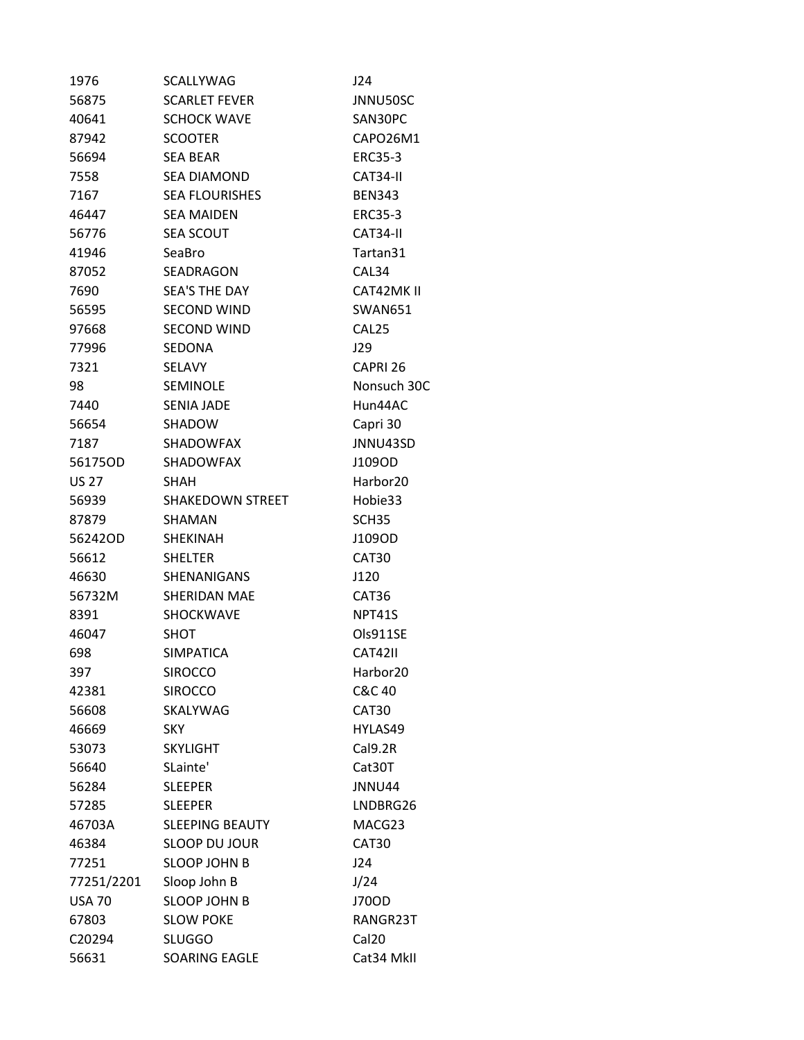| 1976          | <b>SCALLYWAG</b>        | J24                  |
|---------------|-------------------------|----------------------|
| 56875         | <b>SCARLET FEVER</b>    | JNNU50SC             |
| 40641         | <b>SCHOCK WAVE</b>      | SAN30PC              |
| 87942         | <b>SCOOTER</b>          | CAPO26M1             |
| 56694         | <b>SEA BEAR</b>         | <b>ERC35-3</b>       |
| 7558          | <b>SEA DIAMOND</b>      | CAT34-II             |
| 7167          | <b>SEA FLOURISHES</b>   | <b>BEN343</b>        |
| 46447         | <b>SEA MAIDEN</b>       | <b>ERC35-3</b>       |
| 56776         | <b>SEA SCOUT</b>        | CAT34-II             |
| 41946         | SeaBro                  | Tartan31             |
| 87052         | SEADRAGON               | CAL34                |
| 7690          | <b>SEA'S THE DAY</b>    | CAT42MK II           |
| 56595         | <b>SECOND WIND</b>      | <b>SWAN651</b>       |
| 97668         | <b>SECOND WIND</b>      | CAL <sub>25</sub>    |
| 77996         | SEDONA                  | J29                  |
| 7321          | <b>SELAVY</b>           | CAPRI 26             |
| 98            | <b>SEMINOLE</b>         | Nonsuch 30C          |
| 7440          | <b>SENIA JADE</b>       | Hun44AC              |
| 56654         | <b>SHADOW</b>           | Capri 30             |
| 7187          | <b>SHADOWFAX</b>        | JNNU43SD             |
| 56175OD       | <b>SHADOWFAX</b>        | J109OD               |
| <b>US 27</b>  | <b>SHAH</b>             | Harbor <sub>20</sub> |
| 56939         | <b>SHAKEDOWN STREET</b> | Hobie33              |
| 87879         | SHAMAN                  | SCH <sub>35</sub>    |
| 56242OD       | <b>SHEKINAH</b>         | J109OD               |
| 56612         | <b>SHELTER</b>          | CAT <sub>30</sub>    |
| 46630         | <b>SHENANIGANS</b>      | J120                 |
| 56732M        | SHERIDAN MAE            | CAT36                |
| 8391          | SHOCKWAVE               | NPT41S               |
| 46047         | SHOT                    | Ols911SE             |
| 698           | <b>SIMPATICA</b>        | <b>CAT42II</b>       |
| 397           | <b>SIROCCO</b>          | Harbor <sub>20</sub> |
| 42381         | <b>SIROCCO</b>          | C&C 40               |
| 56608         | SKALYWAG                | CAT30                |
| 46669         | <b>SKY</b>              | HYLAS49              |
| 53073         | <b>SKYLIGHT</b>         | Cal9.2R              |
| 56640         | SLainte'                | Cat30T               |
| 56284         | <b>SLEEPER</b>          | JNNU44               |
| 57285         | <b>SLEEPER</b>          | LNDBRG26             |
| 46703A        | <b>SLEEPING BEAUTY</b>  | MACG23               |
| 46384         | <b>SLOOP DU JOUR</b>    | CAT30                |
| 77251         | <b>SLOOP JOHN B</b>     | J24                  |
| 77251/2201    | Sloop John B            | J/24                 |
| <b>USA 70</b> | <b>SLOOP JOHN B</b>     | J70OD                |
| 67803         | <b>SLOW POKE</b>        | RANGR23T             |
| C20294        | <b>SLUGGO</b>           | Cal20                |
| 56631         | SOARING EAGLE           | Cat34 MkII           |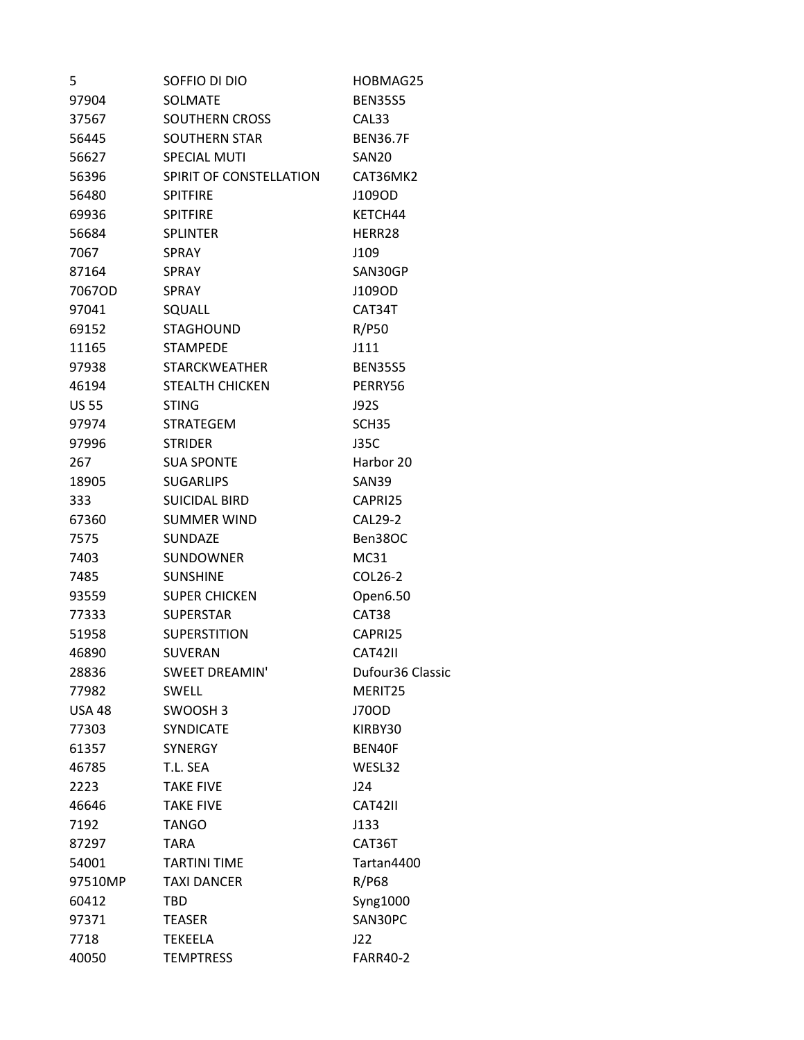| 5            | Soffio di Dio           | HOBMAG25          |
|--------------|-------------------------|-------------------|
| 97904        | <b>SOLMATE</b>          | <b>BEN35S5</b>    |
| 37567        | <b>SOUTHERN CROSS</b>   | CAL33             |
| 56445        | <b>SOUTHERN STAR</b>    | <b>BEN36.7F</b>   |
| 56627        | <b>SPECIAL MUTI</b>     | <b>SAN20</b>      |
| 56396        | SPIRIT OF CONSTELLATION | CAT36MK2          |
| 56480        | <b>SPITFIRE</b>         | J109OD            |
| 69936        | <b>SPITFIRE</b>         | KETCH44           |
| 56684        | <b>SPLINTER</b>         | HERR28            |
| 7067         | <b>SPRAY</b>            | J109              |
| 87164        | <b>SPRAY</b>            | SAN30GP           |
| 7067OD       | <b>SPRAY</b>            | J109OD            |
| 97041        | SQUALL                  | CAT34T            |
| 69152        | <b>STAGHOUND</b>        | R/P50             |
| 11165        | <b>STAMPEDE</b>         | J111              |
| 97938        | <b>STARCKWEATHER</b>    | <b>BEN35S5</b>    |
| 46194        | <b>STEALTH CHICKEN</b>  | PERRY56           |
| <b>US 55</b> | <b>STING</b>            | J92S              |
| 97974        | STRATEGEM               | SCH <sub>35</sub> |
| 97996        | <b>STRIDER</b>          | <b>J35C</b>       |
| 267          | <b>SUA SPONTE</b>       | Harbor 20         |
| 18905        | <b>SUGARLIPS</b>        | SAN39             |
| 333          | <b>SUICIDAL BIRD</b>    | CAPRI25           |
| 67360        | <b>SUMMER WIND</b>      | CAL29-2           |
| 7575         | <b>SUNDAZE</b>          | Ben38OC           |
| 7403         | <b>SUNDOWNER</b>        | MC31              |
| 7485         | <b>SUNSHINE</b>         | COL26-2           |
| 93559        | <b>SUPER CHICKEN</b>    | Open6.50          |
| 77333        | <b>SUPERSTAR</b>        | CAT38             |
| 51958        | <b>SUPERSTITION</b>     | CAPRI25           |
| 46890        | <b>SUVERAN</b>          | CAT42II           |
| 28836        | SWEET DREAMIN'          | Dufour36 Classic  |
| 77982        | <b>SWELL</b>            | MERIT25           |
| USA 48       | SWOOSH <sub>3</sub>     | J70OD             |
| 77303        | <b>SYNDICATE</b>        | KIRBY30           |
| 61357        | <b>SYNERGY</b>          | BEN40F            |
| 46785        | T.L. SEA                | WESL32            |
| 2223         | <b>TAKE FIVE</b>        | J24               |
| 46646        | <b>TAKE FIVE</b>        | CAT42II           |
| 7192         | <b>TANGO</b>            | J133              |
| 87297        | <b>TARA</b>             | CAT36T            |
| 54001        | <b>TARTINI TIME</b>     | Tartan4400        |
| 97510MP      | <b>TAXI DANCER</b>      | R/P68             |
| 60412        | TBD                     | Syng1000          |
| 97371        | <b>TEASER</b>           | SAN30PC           |
| 7718         | <b>TEKEELA</b>          | J22               |
| 40050        | <b>TEMPTRESS</b>        | <b>FARR40-2</b>   |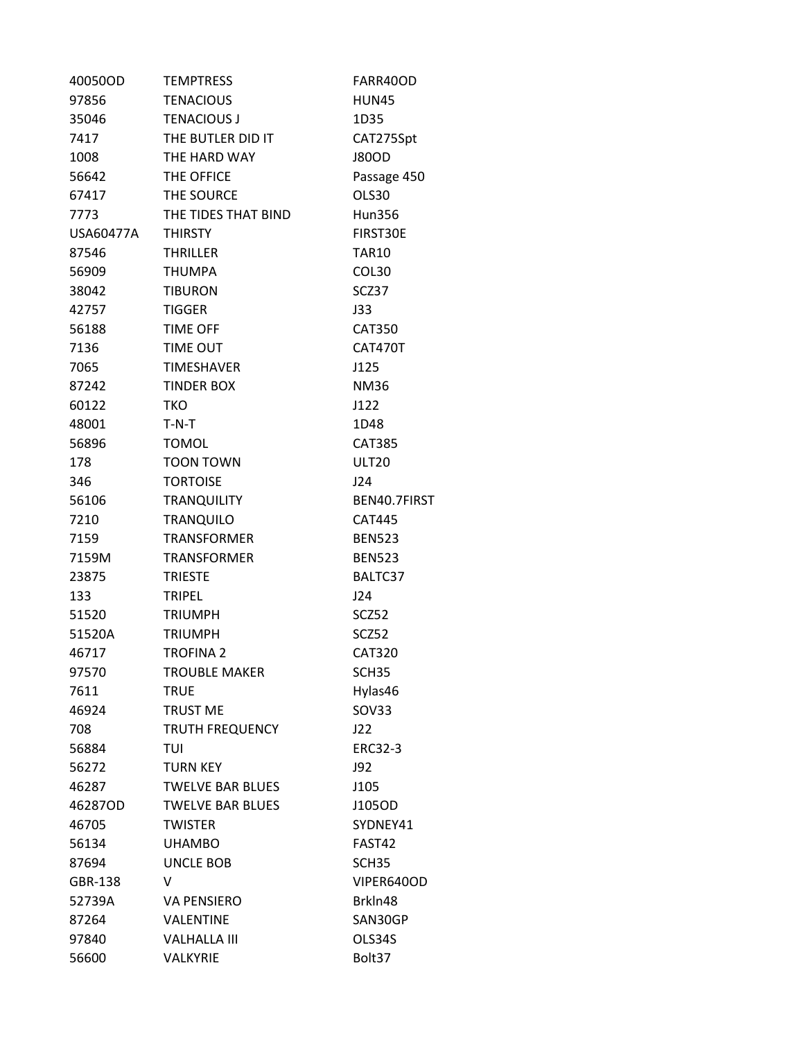| 40050OD   | <b>TEMPTRESS</b>        | FARR40OD          |
|-----------|-------------------------|-------------------|
| 97856     | <b>TENACIOUS</b>        | HUN45             |
| 35046     | <b>TENACIOUS J</b>      | 1D35              |
| 7417      | THE BUTLER DID IT       | CAT275Spt         |
| 1008      | THE HARD WAY            | <b>J80OD</b>      |
| 56642     | THE OFFICE              | Passage 450       |
| 67417     | THE SOURCE              | OLS30             |
| 7773      | THE TIDES THAT BIND     | Hun356            |
| USA60477A | <b>THIRSTY</b>          | FIRST30E          |
| 87546     | <b>THRILLER</b>         | <b>TAR10</b>      |
| 56909     | <b>THUMPA</b>           | COL30             |
| 38042     | <b>TIBURON</b>          | SCZ37             |
| 42757     | <b>TIGGER</b>           | J33               |
| 56188     | <b>TIME OFF</b>         | <b>CAT350</b>     |
| 7136      | <b>TIME OUT</b>         | CAT470T           |
| 7065      | <b>TIMESHAVER</b>       | J125              |
| 87242     | <b>TINDER BOX</b>       | <b>NM36</b>       |
| 60122     | TKO                     | J122              |
| 48001     | $T-N-T$                 | 1D48              |
| 56896     | <b>TOMOL</b>            | <b>CAT385</b>     |
| 178       | <b>TOON TOWN</b>        | <b>ULT20</b>      |
| 346       | <b>TORTOISE</b>         | J24               |
| 56106     | <b>TRANQUILITY</b>      | BEN40.7FIRST      |
| 7210      | <b>TRANQUILO</b>        | <b>CAT445</b>     |
| 7159      | <b>TRANSFORMER</b>      | <b>BEN523</b>     |
| 7159M     | <b>TRANSFORMER</b>      | <b>BEN523</b>     |
| 23875     | <b>TRIESTE</b>          | BALTC37           |
| 133       | <b>TRIPEL</b>           | J24               |
| 51520     | <b>TRIUMPH</b>          | SCZ52             |
| 51520A    | <b>TRIUMPH</b>          | SCZ52             |
| 46717     | <b>TROFINA 2</b>        | <b>CAT320</b>     |
| 97570     | <b>TROUBLE MAKER</b>    | SCH <sub>35</sub> |
| 7611      | <b>TRUE</b>             | Hylas46           |
| 46924     | <b>TRUST ME</b>         | SOV33             |
| 708       | <b>TRUTH FREQUENCY</b>  | J22               |
| 56884     | TUI                     | <b>ERC32-3</b>    |
| 56272     | <b>TURN KEY</b>         | J92               |
| 46287     | <b>TWELVE BAR BLUES</b> | J105              |
| 46287OD   | <b>TWELVE BAR BLUES</b> | J105OD            |
| 46705     | <b>TWISTER</b>          | SYDNEY41          |
| 56134     | <b>UHAMBO</b>           | FAST42            |
| 87694     | UNCLE BOB               | SCH <sub>35</sub> |
| GBR-138   | V                       | VIPER640OD        |
| 52739A    | <b>VA PENSIERO</b>      | BrkIn48           |
| 87264     | VALENTINE               | SAN30GP           |
| 97840     | <b>VALHALLA III</b>     | OLS34S            |
| 56600     | VALKYRIE                | Bolt37            |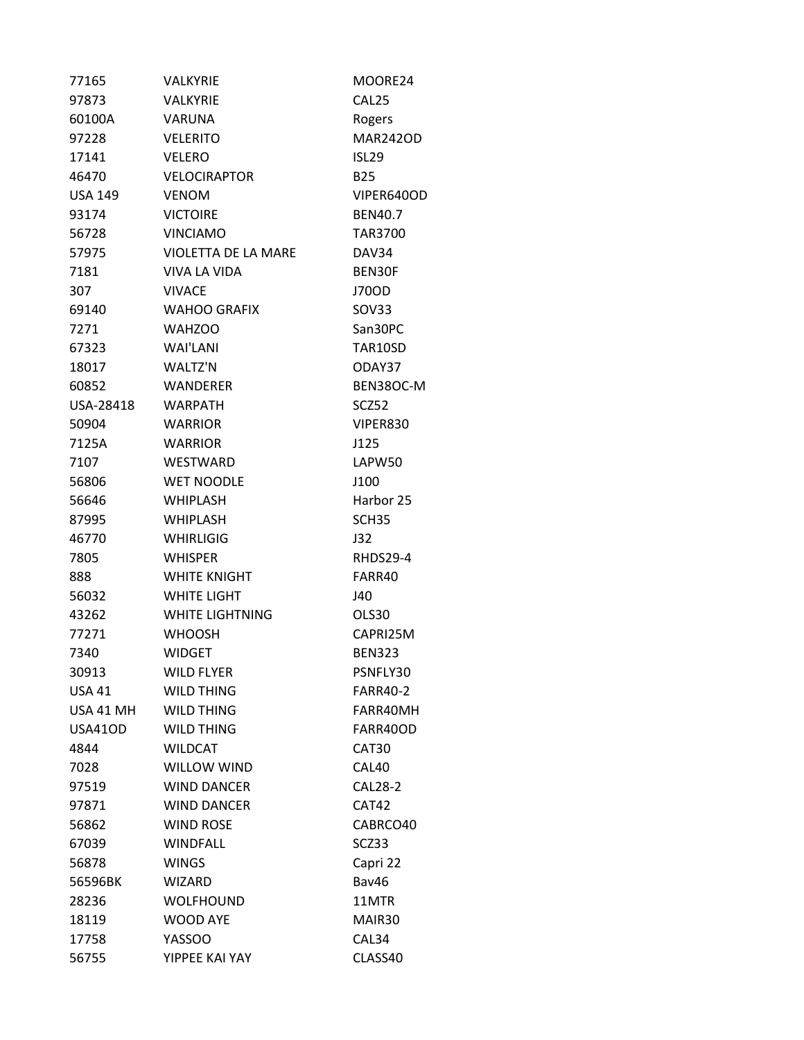| 77165          | <b>VALKYRIE</b>        | MOORE24           |
|----------------|------------------------|-------------------|
| 97873          | VALKYRIE               | CAL <sub>25</sub> |
| 60100A         | <b>VARUNA</b>          | Rogers            |
| 97228          | <b>VELERITO</b>        | <b>MAR242OD</b>   |
| 17141          | <b>VELERO</b>          | ISL <sub>29</sub> |
| 46470          | <b>VELOCIRAPTOR</b>    | <b>B25</b>        |
| <b>USA 149</b> | <b>VENOM</b>           | VIPER640OD        |
| 93174          | <b>VICTOIRE</b>        | <b>BEN40.7</b>    |
| 56728          | <b>VINCIAMO</b>        | <b>TAR3700</b>    |
| 57975          | VIOLETTA DE LA MARE    | DAV34             |
| 7181           | VIVA LA VIDA           | BEN30F            |
| 307            | <b>VIVACE</b>          | J70OD             |
| 69140          | <b>WAHOO GRAFIX</b>    | SOV33             |
| 7271           | <b>WAHZOO</b>          | San30PC           |
| 67323          | WAI'LANI               | TAR10SD           |
| 18017          | WALTZ'N                | ODAY37            |
| 60852          | <b>WANDERER</b>        | BEN38OC-M         |
| USA-28418      | <b>WARPATH</b>         | SCZ52             |
| 50904          | <b>WARRIOR</b>         | VIPER830          |
| 7125A          | <b>WARRIOR</b>         | J125              |
| 7107           | WESTWARD               | LAPW50            |
| 56806          | <b>WET NOODLE</b>      | J100              |
| 56646          | <b>WHIPLASH</b>        | Harbor 25         |
| 87995          | <b>WHIPLASH</b>        | SCH <sub>35</sub> |
| 46770          | WHIRLIGIG              | J32               |
| 7805           | <b>WHISPER</b>         | RHDS29-4          |
| 888            | WHITE KNIGHT           | FARR40            |
| 56032          | <b>WHITE LIGHT</b>     | J40               |
| 43262          | <b>WHITE LIGHTNING</b> | OLS30             |
| 77271          | <b>WHOOSH</b>          | CAPRI25M          |
| 7340           | <b>WIDGET</b>          | <b>BEN323</b>     |
| 30913          | <b>WILD FLYER</b>      | PSNFLY30          |
| USA 41         | <b>WILD THING</b>      | <b>FARR40-2</b>   |
| USA 41 MH      | <b>WILD THING</b>      | FARR40MH          |
| USA41OD        | <b>WILD THING</b>      | FARR40OD          |
| 4844           | <b>WILDCAT</b>         | CAT30             |
| 7028           | WILLOW WIND            | CAL40             |
| 97519          | <b>WIND DANCER</b>     | <b>CAL28-2</b>    |
| 97871          | <b>WIND DANCER</b>     | CAT42             |
| 56862          | <b>WIND ROSE</b>       | CABRCO40          |
| 67039          | <b>WINDFALL</b>        | SCZ33             |
| 56878          | <b>WINGS</b>           | Capri 22          |
| 56596BK        | <b>WIZARD</b>          | Bav46             |
| 28236          | <b>WOLFHOUND</b>       | 11MTR             |
| 18119          | <b>WOOD AYE</b>        | MAIR30            |
| 17758          | <b>YASSOO</b>          | CAL34             |
| 56755          | YIPPEE KAI YAY         | CLASS40           |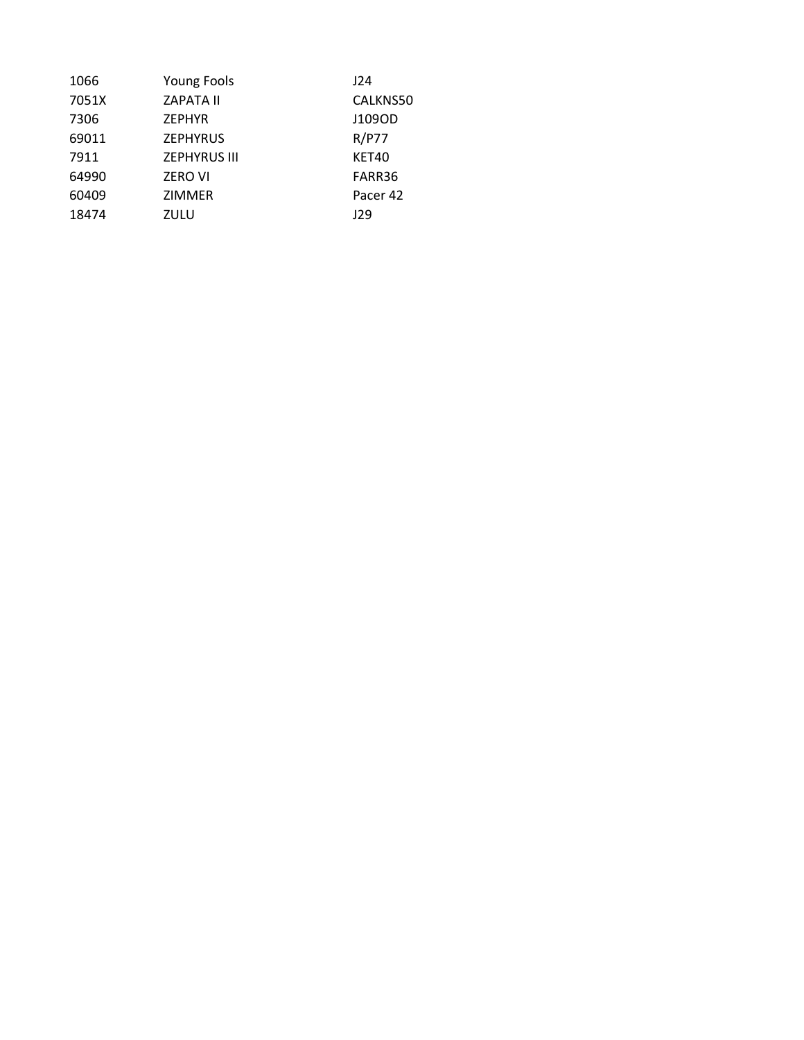| <b>Young Fools</b>  | J24          |
|---------------------|--------------|
| <b>ZAPATA II</b>    | CALKNS50     |
| <b>ZEPHYR</b>       | J109OD       |
| <b>ZEPHYRUS</b>     | <b>R/P77</b> |
| <b>ZEPHYRUS III</b> | KET40        |
| <b>ZERO VI</b>      | FARR36       |
| <b>ZIMMER</b>       | Pacer 42     |
| ZULU                | J29          |
|                     |              |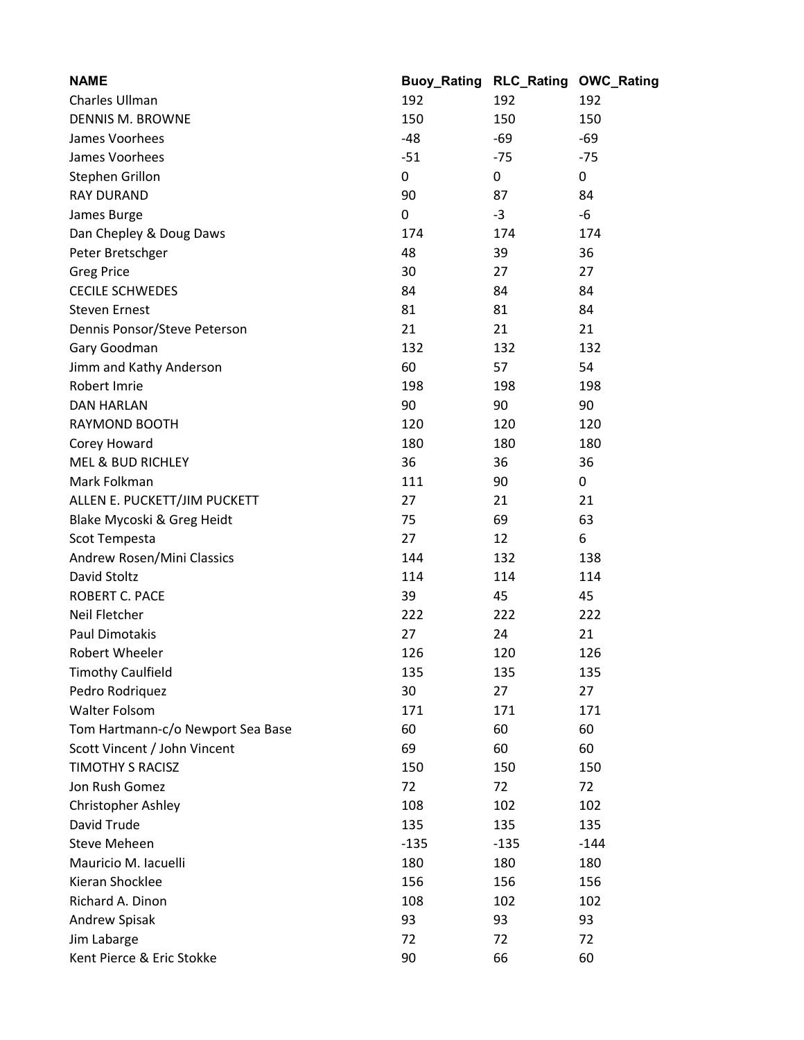| <b>NAME</b>                       | <b>Buoy_Rating</b> | <b>RLC_Rating</b> | <b>OWC_Rating</b> |
|-----------------------------------|--------------------|-------------------|-------------------|
| Charles Ullman                    | 192                | 192               | 192               |
| <b>DENNIS M. BROWNE</b>           | 150                | 150               | 150               |
| James Voorhees                    | $-48$              | -69               | $-69$             |
| James Voorhees                    | $-51$              | $-75$             | $-75$             |
| Stephen Grillon                   | 0                  | 0                 | 0                 |
| <b>RAY DURAND</b>                 | 90                 | 87                | 84                |
| James Burge                       | 0                  | $-3$              | -6                |
| Dan Chepley & Doug Daws           | 174                | 174               | 174               |
| Peter Bretschger                  | 48                 | 39                | 36                |
| <b>Greg Price</b>                 | 30                 | 27                | 27                |
| <b>CECILE SCHWEDES</b>            | 84                 | 84                | 84                |
| <b>Steven Ernest</b>              | 81                 | 81                | 84                |
| Dennis Ponsor/Steve Peterson      | 21                 | 21                | 21                |
| Gary Goodman                      | 132                | 132               | 132               |
| Jimm and Kathy Anderson           | 60                 | 57                | 54                |
| Robert Imrie                      | 198                | 198               | 198               |
| <b>DAN HARLAN</b>                 | 90                 | 90                | 90                |
| RAYMOND BOOTH                     | 120                | 120               | 120               |
| Corey Howard                      | 180                | 180               | 180               |
| <b>MEL &amp; BUD RICHLEY</b>      | 36                 | 36                | 36                |
| Mark Folkman                      | 111                | 90                | 0                 |
| ALLEN E. PUCKETT/JIM PUCKETT      | 27                 | 21                | 21                |
| Blake Mycoski & Greg Heidt        | 75                 | 69                | 63                |
| Scot Tempesta                     | 27                 | 12                | 6                 |
| Andrew Rosen/Mini Classics        | 144                | 132               | 138               |
| David Stoltz                      | 114                | 114               | 114               |
| ROBERT C. PACE                    | 39                 | 45                | 45                |
| Neil Fletcher                     | 222                | 222               | 222               |
| <b>Paul Dimotakis</b>             | 27                 | 24                | 21                |
| Robert Wheeler                    | 126                | 120               | 126               |
| <b>Timothy Caulfield</b>          | 135                | 135               | 135               |
| Pedro Rodriquez                   | 30                 | 27                | 27                |
| <b>Walter Folsom</b>              | 171                | 171               | 171               |
| Tom Hartmann-c/o Newport Sea Base | 60                 | 60                | 60                |
| Scott Vincent / John Vincent      | 69                 | 60                | 60                |
| <b>TIMOTHY S RACISZ</b>           | 150                | 150               | 150               |
| Jon Rush Gomez                    | 72                 | 72                | 72                |
| Christopher Ashley                | 108                | 102               | 102               |
| David Trude                       | 135                | 135               | 135               |
| <b>Steve Meheen</b>               | $-135$             | $-135$            | $-144$            |
| Mauricio M. Iacuelli              | 180                | 180               | 180               |
| Kieran Shocklee                   | 156                | 156               | 156               |
| Richard A. Dinon                  | 108                | 102               | 102               |
| Andrew Spisak                     | 93                 | 93                | 93                |
| Jim Labarge                       | 72                 | 72                | 72                |
| Kent Pierce & Eric Stokke         | 90                 | 66                | 60                |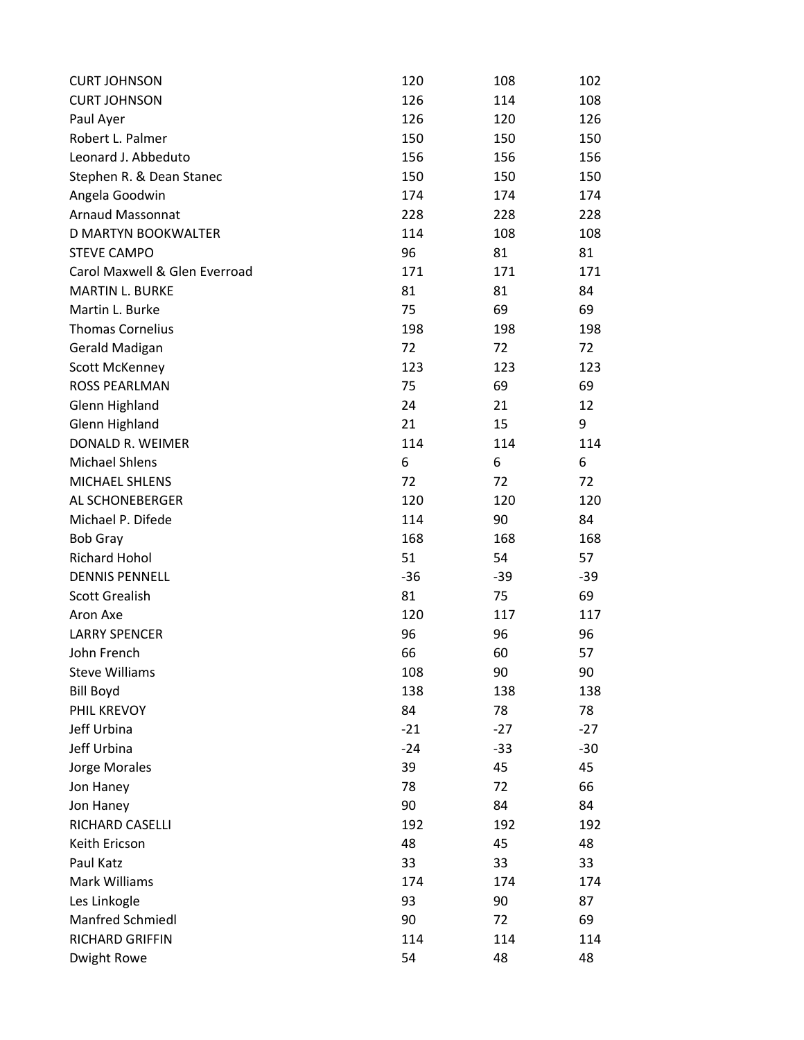| <b>CURT JOHNSON</b>           | 120   | 108   | 102   |
|-------------------------------|-------|-------|-------|
| <b>CURT JOHNSON</b>           | 126   | 114   | 108   |
| Paul Ayer                     | 126   | 120   | 126   |
| Robert L. Palmer              | 150   | 150   | 150   |
| Leonard J. Abbeduto           | 156   | 156   | 156   |
| Stephen R. & Dean Stanec      | 150   | 150   | 150   |
| Angela Goodwin                | 174   | 174   | 174   |
| Arnaud Massonnat              | 228   | 228   | 228   |
| <b>D MARTYN BOOKWALTER</b>    | 114   | 108   | 108   |
| <b>STEVE CAMPO</b>            | 96    | 81    | 81    |
| Carol Maxwell & Glen Everroad | 171   | 171   | 171   |
| <b>MARTIN L. BURKE</b>        | 81    | 81    | 84    |
| Martin L. Burke               | 75    | 69    | 69    |
| <b>Thomas Cornelius</b>       | 198   | 198   | 198   |
| Gerald Madigan                | 72    | 72    | 72    |
| Scott McKenney                | 123   | 123   | 123   |
| <b>ROSS PEARLMAN</b>          | 75    | 69    | 69    |
| Glenn Highland                | 24    | 21    | 12    |
| Glenn Highland                | 21    | 15    | 9     |
| DONALD R. WEIMER              | 114   | 114   | 114   |
| <b>Michael Shlens</b>         | 6     | 6     | 6     |
| MICHAEL SHLENS                | 72    | 72    | 72    |
| AL SCHONEBERGER               | 120   | 120   | 120   |
| Michael P. Difede             | 114   | 90    | 84    |
| <b>Bob Gray</b>               | 168   | 168   | 168   |
| <b>Richard Hohol</b>          | 51    | 54    | 57    |
| <b>DENNIS PENNELL</b>         | $-36$ | $-39$ | $-39$ |
| <b>Scott Grealish</b>         | 81    | 75    | 69    |
| Aron Axe                      | 120   | 117   | 117   |
| <b>LARRY SPENCER</b>          | 96    | 96    | 96    |
| John French                   | 66    | 60    | 57    |
| <b>Steve Williams</b>         | 108   | 90    | 90    |
| <b>Bill Boyd</b>              | 138   | 138   | 138   |
| PHIL KREVOY                   | 84    | 78    | 78    |
| Jeff Urbina                   | $-21$ | $-27$ | $-27$ |
| Jeff Urbina                   | $-24$ | $-33$ | $-30$ |
| Jorge Morales                 | 39    | 45    | 45    |
| Jon Haney                     | 78    | 72    | 66    |
| Jon Haney                     | 90    | 84    | 84    |
| RICHARD CASELLI               | 192   | 192   | 192   |
| Keith Ericson                 | 48    | 45    | 48    |
| Paul Katz                     | 33    | 33    | 33    |
| Mark Williams                 | 174   | 174   | 174   |
| Les Linkogle                  | 93    | 90    | 87    |
| Manfred Schmiedl              | 90    | 72    | 69    |
| RICHARD GRIFFIN               | 114   | 114   | 114   |
| Dwight Rowe                   | 54    | 48    | 48    |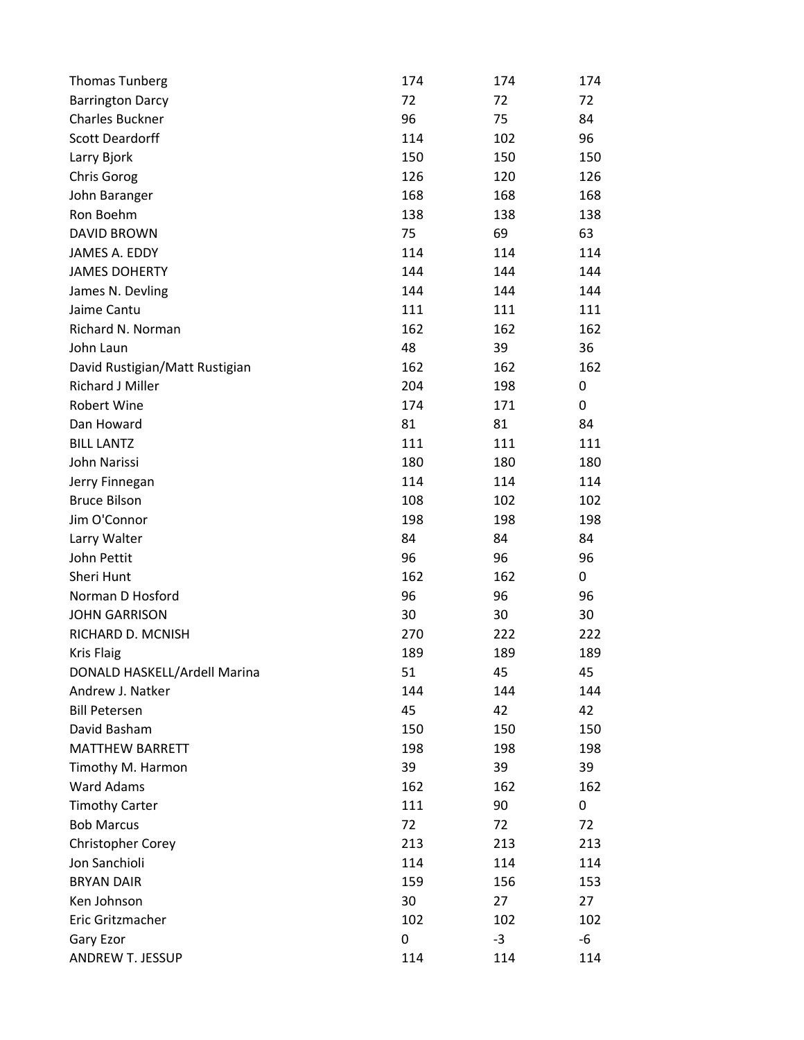| <b>Thomas Tunberg</b>          | 174 | 174  | 174 |
|--------------------------------|-----|------|-----|
| <b>Barrington Darcy</b>        | 72  | 72   | 72  |
| <b>Charles Buckner</b>         | 96  | 75   | 84  |
| <b>Scott Deardorff</b>         | 114 | 102  | 96  |
| Larry Bjork                    | 150 | 150  | 150 |
| Chris Gorog                    | 126 | 120  | 126 |
| John Baranger                  | 168 | 168  | 168 |
| Ron Boehm                      | 138 | 138  | 138 |
| <b>DAVID BROWN</b>             | 75  | 69   | 63  |
| JAMES A. EDDY                  | 114 | 114  | 114 |
| <b>JAMES DOHERTY</b>           | 144 | 144  | 144 |
| James N. Devling               | 144 | 144  | 144 |
| Jaime Cantu                    | 111 | 111  | 111 |
| Richard N. Norman              | 162 | 162  | 162 |
| John Laun                      | 48  | 39   | 36  |
| David Rustigian/Matt Rustigian | 162 | 162  | 162 |
| Richard J Miller               | 204 | 198  | 0   |
| Robert Wine                    | 174 | 171  | 0   |
| Dan Howard                     | 81  | 81   | 84  |
| <b>BILL LANTZ</b>              | 111 | 111  | 111 |
| John Narissi                   | 180 | 180  | 180 |
| Jerry Finnegan                 | 114 | 114  | 114 |
| <b>Bruce Bilson</b>            | 108 | 102  | 102 |
| Jim O'Connor                   | 198 | 198  | 198 |
| Larry Walter                   | 84  | 84   | 84  |
| John Pettit                    | 96  | 96   | 96  |
| Sheri Hunt                     | 162 | 162  | 0   |
| Norman D Hosford               | 96  | 96   | 96  |
| <b>JOHN GARRISON</b>           | 30  | 30   | 30  |
| RICHARD D. MCNISH              | 270 | 222  | 222 |
| <b>Kris Flaig</b>              | 189 | 189  | 189 |
| DONALD HASKELL/Ardell Marina   | 51  | 45   | 45  |
| Andrew J. Natker               | 144 | 144  | 144 |
| <b>Bill Petersen</b>           | 45  | 42   | 42  |
| David Basham                   | 150 | 150  | 150 |
| <b>MATTHEW BARRETT</b>         | 198 | 198  | 198 |
| Timothy M. Harmon              | 39  | 39   | 39  |
| Ward Adams                     | 162 | 162  | 162 |
| <b>Timothy Carter</b>          | 111 | 90   | 0   |
| <b>Bob Marcus</b>              | 72  | 72   | 72  |
| <b>Christopher Corey</b>       | 213 | 213  | 213 |
| Jon Sanchioli                  | 114 | 114  | 114 |
| <b>BRYAN DAIR</b>              | 159 | 156  | 153 |
| Ken Johnson                    | 30  | 27   | 27  |
| Eric Gritzmacher               | 102 | 102  | 102 |
| Gary Ezor                      | 0   | $-3$ | -6  |
| ANDREW T. JESSUP               | 114 | 114  | 114 |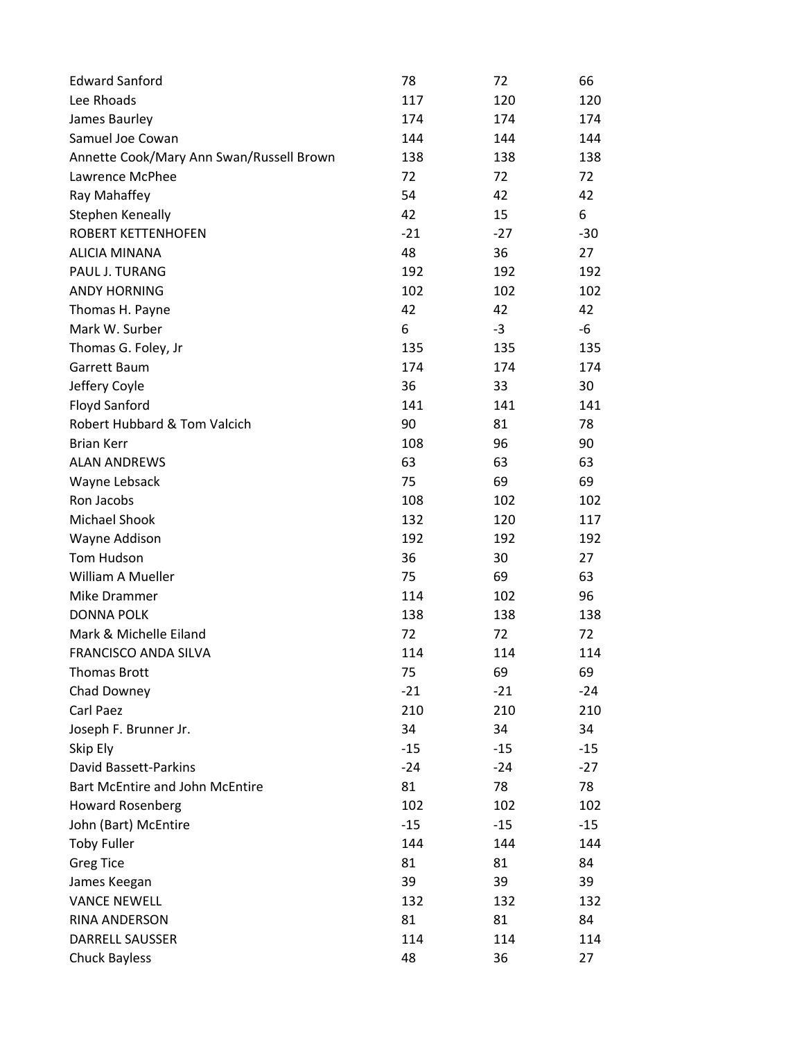| <b>Edward Sanford</b>                    | 78    | 72    | 66    |
|------------------------------------------|-------|-------|-------|
| Lee Rhoads                               | 117   | 120   | 120   |
| James Baurley                            | 174   | 174   | 174   |
| Samuel Joe Cowan                         | 144   | 144   | 144   |
| Annette Cook/Mary Ann Swan/Russell Brown | 138   | 138   | 138   |
| Lawrence McPhee                          | 72    | 72    | 72    |
| Ray Mahaffey                             | 54    | 42    | 42    |
| Stephen Keneally                         | 42    | 15    | 6     |
| <b>ROBERT KETTENHOFEN</b>                | $-21$ | $-27$ | $-30$ |
| <b>ALICIA MINANA</b>                     | 48    | 36    | 27    |
| PAUL J. TURANG                           | 192   | 192   | 192   |
| <b>ANDY HORNING</b>                      | 102   | 102   | 102   |
| Thomas H. Payne                          | 42    | 42    | 42    |
| Mark W. Surber                           | 6     | $-3$  | -6    |
| Thomas G. Foley, Jr                      | 135   | 135   | 135   |
| Garrett Baum                             | 174   | 174   | 174   |
| Jeffery Coyle                            | 36    | 33    | 30    |
| Floyd Sanford                            | 141   | 141   | 141   |
| Robert Hubbard & Tom Valcich             | 90    | 81    | 78    |
| <b>Brian Kerr</b>                        | 108   | 96    | 90    |
| <b>ALAN ANDREWS</b>                      | 63    | 63    | 63    |
| Wayne Lebsack                            | 75    | 69    | 69    |
| Ron Jacobs                               | 108   | 102   | 102   |
| Michael Shook                            | 132   | 120   | 117   |
| Wayne Addison                            | 192   | 192   | 192   |
| Tom Hudson                               | 36    | 30    | 27    |
| William A Mueller                        | 75    | 69    | 63    |
| Mike Drammer                             | 114   | 102   | 96    |
| <b>DONNA POLK</b>                        | 138   | 138   | 138   |
| Mark & Michelle Eiland                   | 72    | 72    | 72    |
| FRANCISCO ANDA SILVA                     | 114   | 114   | 114   |
| <b>Thomas Brott</b>                      | 75    | 69    | 69    |
| Chad Downey                              | $-21$ | $-21$ | $-24$ |
| Carl Paez                                | 210   | 210   | 210   |
| Joseph F. Brunner Jr.                    | 34    | 34    | 34    |
| Skip Ely                                 | $-15$ | $-15$ | $-15$ |
| David Bassett-Parkins                    | $-24$ | $-24$ | $-27$ |
| <b>Bart McEntire and John McEntire</b>   | 81    | 78    | 78    |
| <b>Howard Rosenberg</b>                  | 102   | 102   | 102   |
| John (Bart) McEntire                     | $-15$ | $-15$ | $-15$ |
| <b>Toby Fuller</b>                       | 144   | 144   | 144   |
| <b>Greg Tice</b>                         | 81    | 81    | 84    |
| James Keegan                             | 39    | 39    | 39    |
| <b>VANCE NEWELL</b>                      | 132   | 132   | 132   |
| RINA ANDERSON                            | 81    | 81    | 84    |
| <b>DARRELL SAUSSER</b>                   | 114   | 114   | 114   |
| <b>Chuck Bayless</b>                     | 48    | 36    | 27    |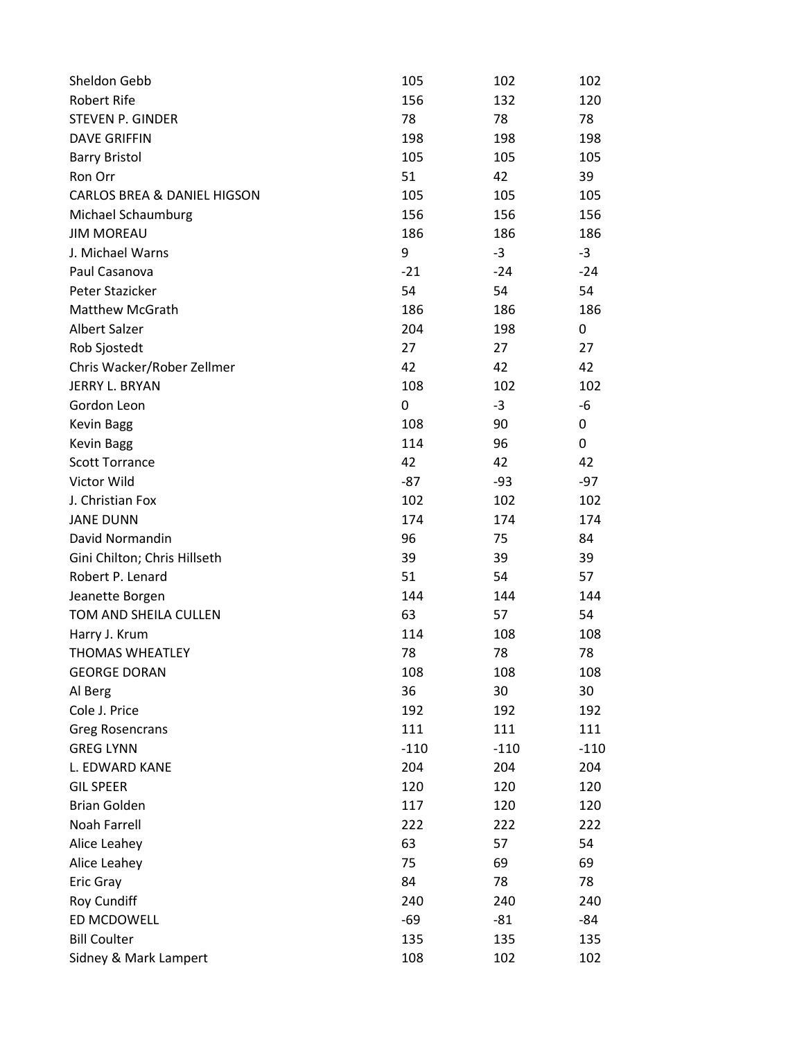| Sheldon Gebb                 | 105    | 102    | 102    |
|------------------------------|--------|--------|--------|
| Robert Rife                  | 156    | 132    | 120    |
| <b>STEVEN P. GINDER</b>      | 78     | 78     | 78     |
| <b>DAVE GRIFFIN</b>          | 198    | 198    | 198    |
| <b>Barry Bristol</b>         | 105    | 105    | 105    |
| Ron Orr                      | 51     | 42     | 39     |
| CARLOS BREA & DANIEL HIGSON  | 105    | 105    | 105    |
| Michael Schaumburg           | 156    | 156    | 156    |
| <b>JIM MOREAU</b>            | 186    | 186    | 186    |
| J. Michael Warns             | 9      | $-3$   | $-3$   |
| Paul Casanova                | $-21$  | $-24$  | $-24$  |
| Peter Stazicker              | 54     | 54     | 54     |
| <b>Matthew McGrath</b>       | 186    | 186    | 186    |
| <b>Albert Salzer</b>         | 204    | 198    | 0      |
| Rob Sjostedt                 | 27     | 27     | 27     |
| Chris Wacker/Rober Zellmer   | 42     | 42     | 42     |
| JERRY L. BRYAN               | 108    | 102    | 102    |
| Gordon Leon                  | 0      | $-3$   | -6     |
| <b>Kevin Bagg</b>            | 108    | 90     | 0      |
| <b>Kevin Bagg</b>            | 114    | 96     | 0      |
| <b>Scott Torrance</b>        | 42     | 42     | 42     |
| Victor Wild                  | $-87$  | -93    | $-97$  |
| J. Christian Fox             | 102    | 102    | 102    |
| <b>JANE DUNN</b>             | 174    | 174    | 174    |
| David Normandin              | 96     | 75     | 84     |
| Gini Chilton; Chris Hillseth | 39     | 39     | 39     |
| Robert P. Lenard             | 51     | 54     | 57     |
| Jeanette Borgen              | 144    | 144    | 144    |
| TOM AND SHEILA CULLEN        | 63     | 57     | 54     |
| Harry J. Krum                | 114    | 108    | 108    |
| <b>THOMAS WHEATLEY</b>       | 78     | 78     | 78     |
| <b>GEORGE DORAN</b>          | 108    | 108    | 108    |
| Al Berg                      | 36     | 30     | 30     |
| Cole J. Price                | 192    | 192    | 192    |
| <b>Greg Rosencrans</b>       | 111    | 111    | 111    |
| <b>GREG LYNN</b>             | $-110$ | $-110$ | $-110$ |
| L. EDWARD KANE               | 204    | 204    | 204    |
| <b>GIL SPEER</b>             | 120    | 120    | 120    |
| <b>Brian Golden</b>          | 117    | 120    | 120    |
| Noah Farrell                 | 222    | 222    | 222    |
| Alice Leahey                 | 63     | 57     | 54     |
| Alice Leahey                 | 75     | 69     | 69     |
| Eric Gray                    | 84     | 78     | 78     |
| Roy Cundiff                  | 240    | 240    | 240    |
| ED MCDOWELL                  | $-69$  | $-81$  | -84    |
| <b>Bill Coulter</b>          | 135    | 135    | 135    |
| Sidney & Mark Lampert        | 108    | 102    | 102    |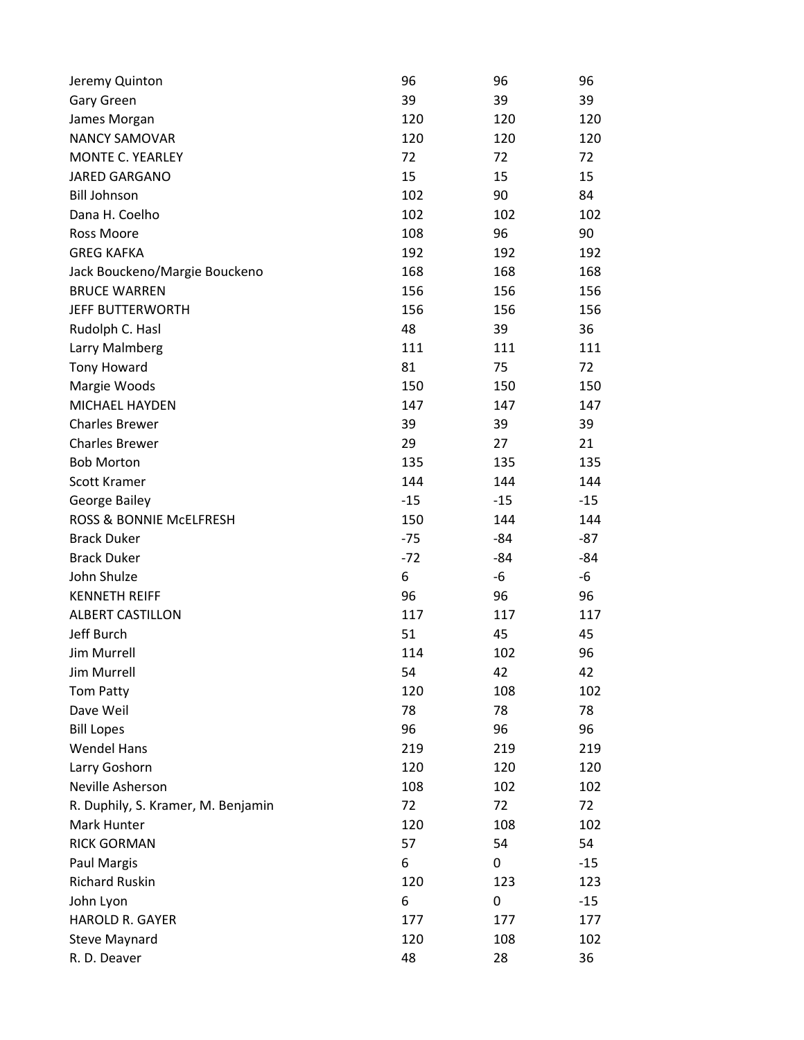| Jeremy Quinton                     | 96    | 96    | 96    |
|------------------------------------|-------|-------|-------|
| Gary Green                         | 39    | 39    | 39    |
| James Morgan                       | 120   | 120   | 120   |
| <b>NANCY SAMOVAR</b>               | 120   | 120   | 120   |
| <b>MONTE C. YEARLEY</b>            | 72    | 72    | 72    |
| <b>JARED GARGANO</b>               | 15    | 15    | 15    |
| <b>Bill Johnson</b>                | 102   | 90    | 84    |
| Dana H. Coelho                     | 102   | 102   | 102   |
| Ross Moore                         | 108   | 96    | 90    |
| <b>GREG KAFKA</b>                  | 192   | 192   | 192   |
| Jack Bouckeno/Margie Bouckeno      | 168   | 168   | 168   |
| <b>BRUCE WARREN</b>                | 156   | 156   | 156   |
| <b>JEFF BUTTERWORTH</b>            | 156   | 156   | 156   |
| Rudolph C. Hasl                    | 48    | 39    | 36    |
| Larry Malmberg                     | 111   | 111   | 111   |
| Tony Howard                        | 81    | 75    | 72    |
| Margie Woods                       | 150   | 150   | 150   |
| MICHAEL HAYDEN                     | 147   | 147   | 147   |
| <b>Charles Brewer</b>              | 39    | 39    | 39    |
| <b>Charles Brewer</b>              | 29    | 27    | 21    |
| <b>Bob Morton</b>                  | 135   | 135   | 135   |
| Scott Kramer                       | 144   | 144   | 144   |
| George Bailey                      | $-15$ | $-15$ | $-15$ |
| ROSS & BONNIE MCELFRESH            | 150   | 144   | 144   |
| <b>Brack Duker</b>                 | $-75$ | $-84$ | $-87$ |
| <b>Brack Duker</b>                 | $-72$ | $-84$ | $-84$ |
| John Shulze                        | 6     | -6    | -6    |
| <b>KENNETH REIFF</b>               | 96    | 96    | 96    |
| <b>ALBERT CASTILLON</b>            | 117   | 117   | 117   |
| Jeff Burch                         | 51    | 45    | 45    |
| <b>Jim Murrell</b>                 | 114   | 102   | 96    |
| Jim Murrell                        | 54    | 42    | 42    |
| <b>Tom Patty</b>                   | 120   | 108   | 102   |
| Dave Weil                          | 78    | 78    | 78    |
| <b>Bill Lopes</b>                  | 96    | 96    | 96    |
| <b>Wendel Hans</b>                 | 219   | 219   | 219   |
| Larry Goshorn                      | 120   | 120   | 120   |
| Neville Asherson                   | 108   | 102   | 102   |
| R. Duphily, S. Kramer, M. Benjamin | 72    | 72    | 72    |
| Mark Hunter                        | 120   | 108   | 102   |
| <b>RICK GORMAN</b>                 | 57    | 54    | 54    |
| Paul Margis                        | 6     | 0     | $-15$ |
| <b>Richard Ruskin</b>              | 120   | 123   | 123   |
| John Lyon                          | 6     | 0     | $-15$ |
| HAROLD R. GAYER                    | 177   | 177   | 177   |
| <b>Steve Maynard</b>               | 120   | 108   | 102   |
| R. D. Deaver                       | 48    | 28    | 36    |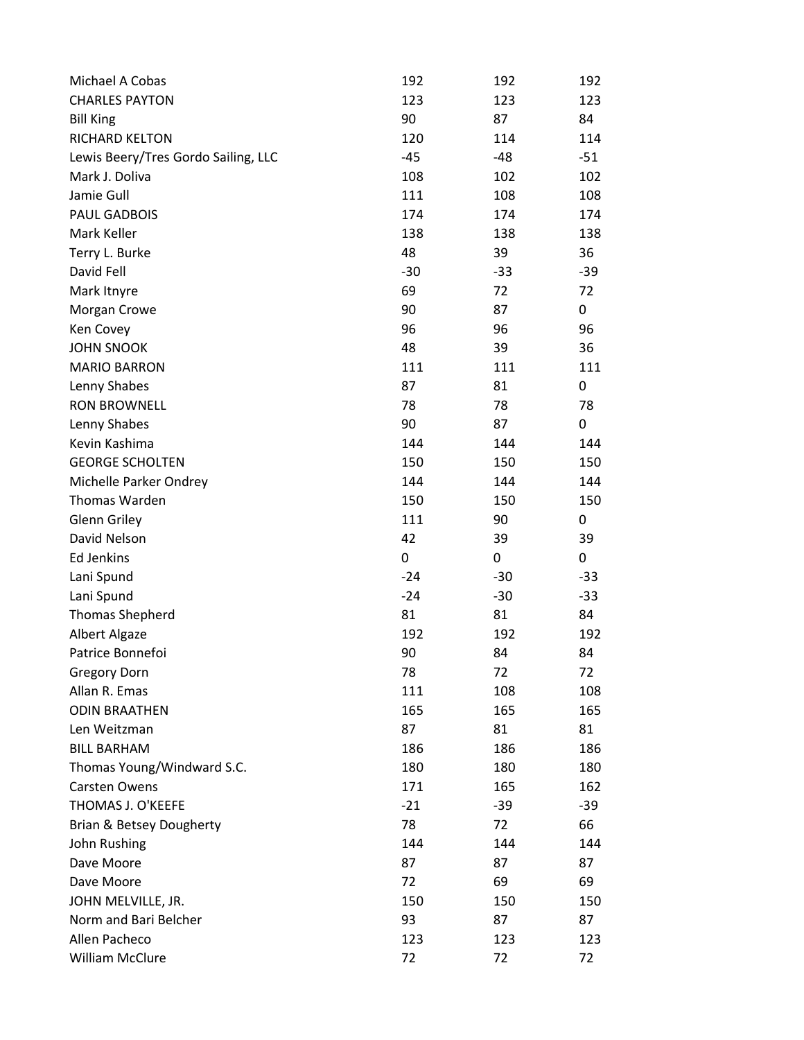| Michael A Cobas                     | 192   | 192   | 192   |
|-------------------------------------|-------|-------|-------|
| <b>CHARLES PAYTON</b>               | 123   | 123   | 123   |
| <b>Bill King</b>                    | 90    | 87    | 84    |
| RICHARD KELTON                      | 120   | 114   | 114   |
| Lewis Beery/Tres Gordo Sailing, LLC | $-45$ | -48   | $-51$ |
| Mark J. Doliva                      | 108   | 102   | 102   |
| Jamie Gull                          | 111   | 108   | 108   |
| PAUL GADBOIS                        | 174   | 174   | 174   |
| Mark Keller                         | 138   | 138   | 138   |
| Terry L. Burke                      | 48    | 39    | 36    |
| David Fell                          | $-30$ | $-33$ | $-39$ |
| Mark Itnyre                         | 69    | 72    | 72    |
| Morgan Crowe                        | 90    | 87    | 0     |
| Ken Covey                           | 96    | 96    | 96    |
| <b>JOHN SNOOK</b>                   | 48    | 39    | 36    |
| <b>MARIO BARRON</b>                 | 111   | 111   | 111   |
| Lenny Shabes                        | 87    | 81    | 0     |
| <b>RON BROWNELL</b>                 | 78    | 78    | 78    |
| Lenny Shabes                        | 90    | 87    | 0     |
| Kevin Kashima                       | 144   | 144   | 144   |
| <b>GEORGE SCHOLTEN</b>              | 150   | 150   | 150   |
| Michelle Parker Ondrey              | 144   | 144   | 144   |
| Thomas Warden                       | 150   | 150   | 150   |
| Glenn Griley                        | 111   | 90    | 0     |
| David Nelson                        | 42    | 39    | 39    |
| <b>Ed Jenkins</b>                   | 0     | 0     | 0     |
| Lani Spund                          | $-24$ | $-30$ | $-33$ |
| Lani Spund                          | $-24$ | $-30$ | $-33$ |
| <b>Thomas Shepherd</b>              | 81    | 81    | 84    |
| <b>Albert Algaze</b>                | 192   | 192   | 192   |
| Patrice Bonnefoi                    | 90    | 84    | 84    |
| <b>Gregory Dorn</b>                 | 78    | 72    | 72    |
| Allan R. Emas                       | 111   | 108   | 108   |
| <b>ODIN BRAATHEN</b>                | 165   | 165   | 165   |
| Len Weitzman                        | 87    | 81    | 81    |
| <b>BILL BARHAM</b>                  | 186   | 186   | 186   |
| Thomas Young/Windward S.C.          | 180   | 180   | 180   |
| Carsten Owens                       | 171   | 165   | 162   |
| THOMAS J. O'KEEFE                   | $-21$ | $-39$ | $-39$ |
| Brian & Betsey Dougherty            | 78    | 72    | 66    |
| John Rushing                        | 144   | 144   | 144   |
| Dave Moore                          | 87    | 87    | 87    |
| Dave Moore                          | 72    | 69    | 69    |
| JOHN MELVILLE, JR.                  | 150   | 150   | 150   |
| Norm and Bari Belcher               | 93    | 87    | 87    |
| Allen Pacheco                       | 123   | 123   | 123   |
| William McClure                     | 72    | 72    | 72    |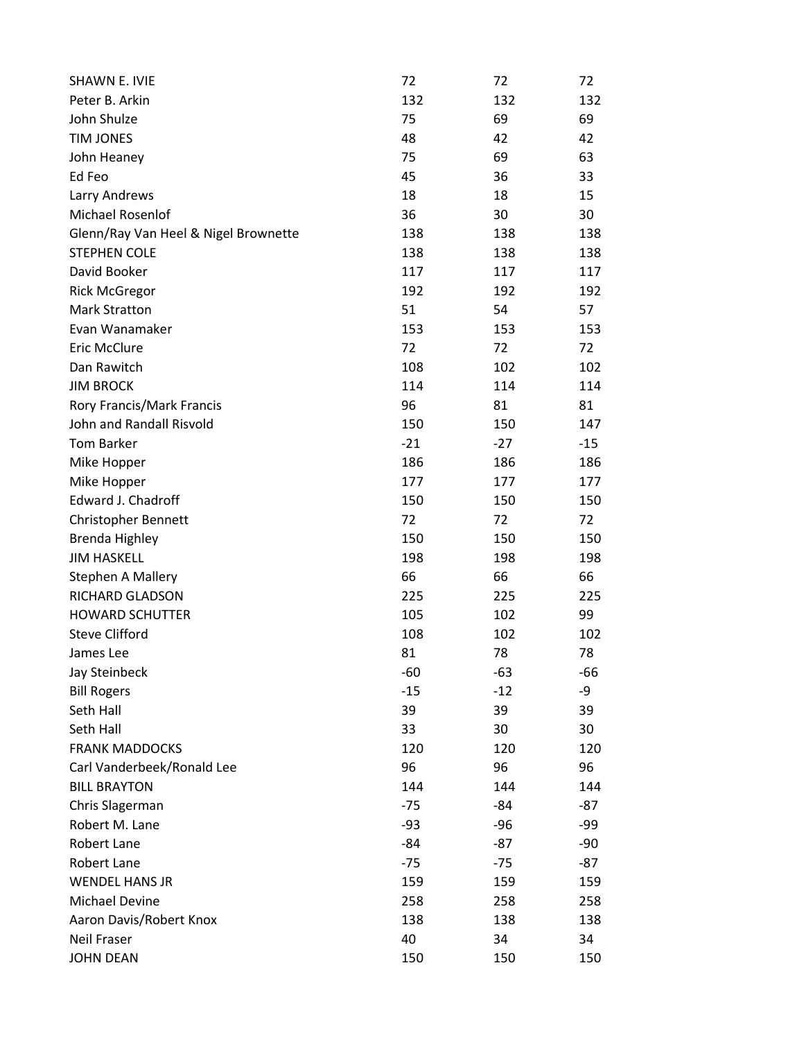| <b>SHAWN E. IVIE</b>                 | 72    | 72    | 72    |
|--------------------------------------|-------|-------|-------|
| Peter B. Arkin                       | 132   | 132   | 132   |
| John Shulze                          | 75    | 69    | 69    |
| <b>TIM JONES</b>                     | 48    | 42    | 42    |
| John Heaney                          | 75    | 69    | 63    |
| Ed Feo                               | 45    | 36    | 33    |
| Larry Andrews                        | 18    | 18    | 15    |
| Michael Rosenlof                     | 36    | 30    | 30    |
| Glenn/Ray Van Heel & Nigel Brownette | 138   | 138   | 138   |
| <b>STEPHEN COLE</b>                  | 138   | 138   | 138   |
| David Booker                         | 117   | 117   | 117   |
| <b>Rick McGregor</b>                 | 192   | 192   | 192   |
| <b>Mark Stratton</b>                 | 51    | 54    | 57    |
| Evan Wanamaker                       | 153   | 153   | 153   |
| <b>Eric McClure</b>                  | 72    | 72    | 72    |
| Dan Rawitch                          | 108   | 102   | 102   |
| <b>JIM BROCK</b>                     | 114   | 114   | 114   |
| Rory Francis/Mark Francis            | 96    | 81    | 81    |
| John and Randall Risvold             | 150   | 150   | 147   |
| <b>Tom Barker</b>                    | $-21$ | $-27$ | $-15$ |
| Mike Hopper                          | 186   | 186   | 186   |
| Mike Hopper                          | 177   | 177   | 177   |
| Edward J. Chadroff                   | 150   | 150   | 150   |
| Christopher Bennett                  | 72    | 72    | 72    |
| <b>Brenda Highley</b>                | 150   | 150   | 150   |
| <b>JIM HASKELL</b>                   | 198   | 198   | 198   |
| Stephen A Mallery                    | 66    | 66    | 66    |
| RICHARD GLADSON                      | 225   | 225   | 225   |
| <b>HOWARD SCHUTTER</b>               | 105   | 102   | 99    |
| <b>Steve Clifford</b>                | 108   | 102   | 102   |
| James Lee                            | 81    | 78    | 78    |
| Jay Steinbeck                        | $-60$ | $-63$ | -66   |
| <b>Bill Rogers</b>                   | $-15$ | $-12$ | -9    |
| Seth Hall                            | 39    | 39    | 39    |
| Seth Hall                            | 33    | 30    | 30    |
| <b>FRANK MADDOCKS</b>                | 120   | 120   | 120   |
| Carl Vanderbeek/Ronald Lee           | 96    | 96    | 96    |
| <b>BILL BRAYTON</b>                  | 144   | 144   | 144   |
| Chris Slagerman                      | $-75$ | $-84$ | $-87$ |
| Robert M. Lane                       | $-93$ | $-96$ | -99   |
| Robert Lane                          | $-84$ | $-87$ | -90   |
| Robert Lane                          | $-75$ | $-75$ | -87   |
| <b>WENDEL HANS JR</b>                | 159   | 159   | 159   |
| Michael Devine                       | 258   | 258   | 258   |
| Aaron Davis/Robert Knox              | 138   | 138   | 138   |
| <b>Neil Fraser</b>                   | 40    | 34    | 34    |
| <b>JOHN DEAN</b>                     | 150   | 150   | 150   |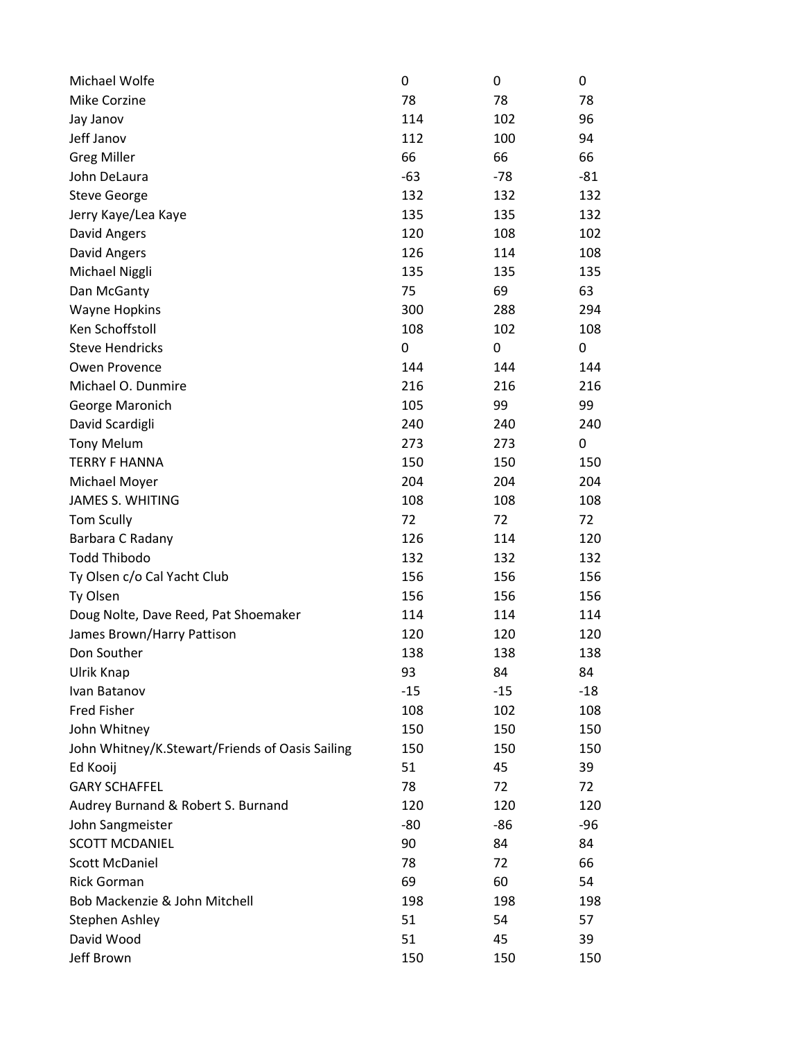| Michael Wolfe                                   | 0     | 0     | 0     |
|-------------------------------------------------|-------|-------|-------|
| Mike Corzine                                    | 78    | 78    | 78    |
| Jay Janov                                       | 114   | 102   | 96    |
| Jeff Janov                                      | 112   | 100   | 94    |
| <b>Greg Miller</b>                              | 66    | 66    | 66    |
| John DeLaura                                    | $-63$ | $-78$ | $-81$ |
| <b>Steve George</b>                             | 132   | 132   | 132   |
| Jerry Kaye/Lea Kaye                             | 135   | 135   | 132   |
| David Angers                                    | 120   | 108   | 102   |
| David Angers                                    | 126   | 114   | 108   |
| Michael Niggli                                  | 135   | 135   | 135   |
| Dan McGanty                                     | 75    | 69    | 63    |
| <b>Wayne Hopkins</b>                            | 300   | 288   | 294   |
| Ken Schoffstoll                                 | 108   | 102   | 108   |
| <b>Steve Hendricks</b>                          | 0     | 0     | 0     |
| Owen Provence                                   | 144   | 144   | 144   |
| Michael O. Dunmire                              | 216   | 216   | 216   |
| George Maronich                                 | 105   | 99    | 99    |
| David Scardigli                                 | 240   | 240   | 240   |
| <b>Tony Melum</b>                               | 273   | 273   | 0     |
| <b>TERRY F HANNA</b>                            | 150   | 150   | 150   |
| Michael Moyer                                   | 204   | 204   | 204   |
| <b>JAMES S. WHITING</b>                         | 108   | 108   | 108   |
| <b>Tom Scully</b>                               | 72    | 72    | 72    |
| Barbara C Radany                                | 126   | 114   | 120   |
| <b>Todd Thibodo</b>                             | 132   | 132   | 132   |
| Ty Olsen c/o Cal Yacht Club                     | 156   | 156   | 156   |
| Ty Olsen                                        | 156   | 156   | 156   |
| Doug Nolte, Dave Reed, Pat Shoemaker            | 114   | 114   | 114   |
| James Brown/Harry Pattison                      | 120   | 120   | 120   |
| Don Souther                                     | 138   | 138   | 138   |
| Ulrik Knap                                      | 93    | 84    | 84    |
| Ivan Batanov                                    | $-15$ | $-15$ | $-18$ |
| <b>Fred Fisher</b>                              | 108   | 102   | 108   |
| John Whitney                                    | 150   | 150   | 150   |
| John Whitney/K.Stewart/Friends of Oasis Sailing | 150   | 150   | 150   |
| Ed Kooij                                        | 51    | 45    | 39    |
| <b>GARY SCHAFFEL</b>                            | 78    | 72    | 72    |
| Audrey Burnand & Robert S. Burnand              | 120   | 120   | 120   |
| John Sangmeister                                | -80   | $-86$ | -96   |
| <b>SCOTT MCDANIEL</b>                           | 90    | 84    | 84    |
| <b>Scott McDaniel</b>                           | 78    | 72    | 66    |
| <b>Rick Gorman</b>                              | 69    | 60    | 54    |
| Bob Mackenzie & John Mitchell                   | 198   | 198   | 198   |
| Stephen Ashley                                  | 51    | 54    | 57    |
| David Wood                                      | 51    | 45    | 39    |
| Jeff Brown                                      | 150   | 150   | 150   |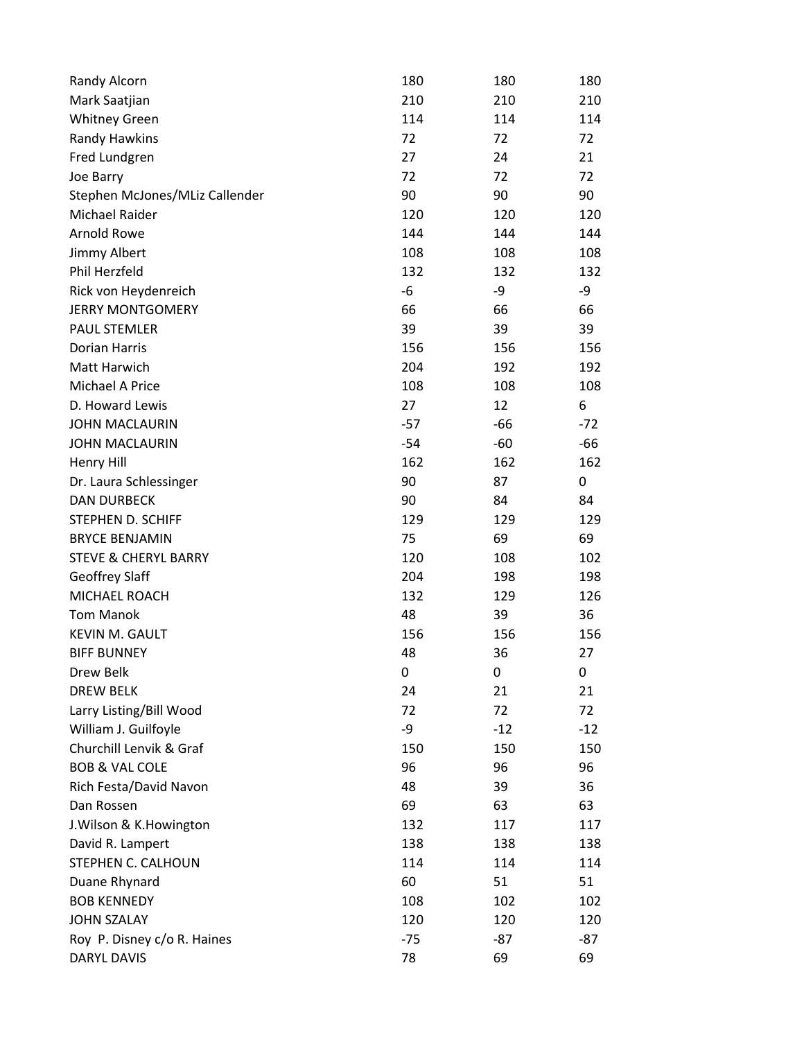| Randy Alcorn                    | 180   | 180   | 180   |
|---------------------------------|-------|-------|-------|
| Mark Saatjian                   | 210   | 210   | 210   |
| <b>Whitney Green</b>            | 114   | 114   | 114   |
| Randy Hawkins                   | 72    | 72    | 72    |
| Fred Lundgren                   | 27    | 24    | 21    |
| Joe Barry                       | 72    | 72    | 72    |
| Stephen McJones/MLiz Callender  | 90    | 90    | 90    |
| Michael Raider                  | 120   | 120   | 120   |
| Arnold Rowe                     | 144   | 144   | 144   |
| Jimmy Albert                    | 108   | 108   | 108   |
| Phil Herzfeld                   | 132   | 132   | 132   |
| Rick von Heydenreich            | -6    | -9    | -9    |
| <b>JERRY MONTGOMERY</b>         | 66    | 66    | 66    |
| <b>PAUL STEMLER</b>             | 39    | 39    | 39    |
| <b>Dorian Harris</b>            | 156   | 156   | 156   |
| Matt Harwich                    | 204   | 192   | 192   |
| Michael A Price                 | 108   | 108   | 108   |
| D. Howard Lewis                 | 27    | 12    | 6     |
| <b>JOHN MACLAURIN</b>           | $-57$ | $-66$ | $-72$ |
| <b>JOHN MACLAURIN</b>           | $-54$ | $-60$ | -66   |
| <b>Henry Hill</b>               | 162   | 162   | 162   |
| Dr. Laura Schlessinger          | 90    | 87    | 0     |
| <b>DAN DURBECK</b>              | 90    | 84    | 84    |
| STEPHEN D. SCHIFF               | 129   | 129   | 129   |
| <b>BRYCE BENJAMIN</b>           | 75    | 69    | 69    |
| <b>STEVE &amp; CHERYL BARRY</b> | 120   | 108   | 102   |
| <b>Geoffrey Slaff</b>           | 204   | 198   | 198   |
| MICHAEL ROACH                   | 132   | 129   | 126   |
| <b>Tom Manok</b>                | 48    | 39    | 36    |
| KEVIN M. GAULT                  | 156   | 156   | 156   |
| <b>BIFF BUNNEY</b>              | 48    | 36    | 27    |
| Drew Belk                       | 0     | 0     | 0     |
| <b>DREW BELK</b>                | 24    | 21    | 21    |
| Larry Listing/Bill Wood         | 72    | 72    | 72    |
| William J. Guilfoyle            | -9    | $-12$ | $-12$ |
| Churchill Lenvik & Graf         | 150   | 150   | 150   |
| <b>BOB &amp; VAL COLE</b>       | 96    | 96    | 96    |
| Rich Festa/David Navon          | 48    | 39    | 36    |
| Dan Rossen                      | 69    | 63    | 63    |
| J. Wilson & K. Howington        | 132   | 117   | 117   |
| David R. Lampert                | 138   | 138   | 138   |
| STEPHEN C. CALHOUN              | 114   | 114   | 114   |
| Duane Rhynard                   | 60    | 51    | 51    |
| <b>BOB KENNEDY</b>              | 108   | 102   | 102   |
| <b>JOHN SZALAY</b>              | 120   | 120   | 120   |
| Roy P. Disney c/o R. Haines     | $-75$ | $-87$ | $-87$ |
| <b>DARYL DAVIS</b>              | 78    | 69    | 69    |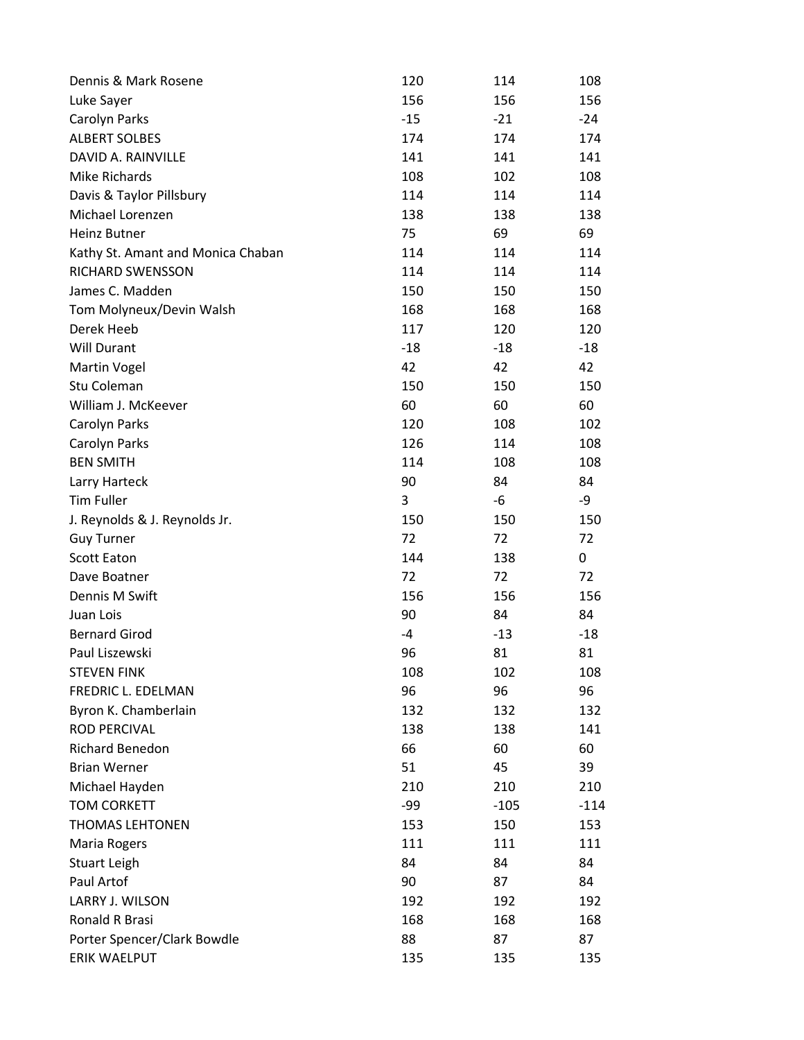| Dennis & Mark Rosene              | 120   | 114    | 108    |
|-----------------------------------|-------|--------|--------|
| Luke Sayer                        | 156   | 156    | 156    |
| Carolyn Parks                     | $-15$ | $-21$  | $-24$  |
| <b>ALBERT SOLBES</b>              | 174   | 174    | 174    |
| DAVID A. RAINVILLE                | 141   | 141    | 141    |
| Mike Richards                     | 108   | 102    | 108    |
| Davis & Taylor Pillsbury          | 114   | 114    | 114    |
| Michael Lorenzen                  | 138   | 138    | 138    |
| <b>Heinz Butner</b>               | 75    | 69     | 69     |
| Kathy St. Amant and Monica Chaban | 114   | 114    | 114    |
| RICHARD SWENSSON                  | 114   | 114    | 114    |
| James C. Madden                   | 150   | 150    | 150    |
| Tom Molyneux/Devin Walsh          | 168   | 168    | 168    |
| Derek Heeb                        | 117   | 120    | 120    |
| <b>Will Durant</b>                | $-18$ | -18    | $-18$  |
| <b>Martin Vogel</b>               | 42    | 42     | 42     |
| Stu Coleman                       | 150   | 150    | 150    |
| William J. McKeever               | 60    | 60     | 60     |
| Carolyn Parks                     | 120   | 108    | 102    |
| Carolyn Parks                     | 126   | 114    | 108    |
| <b>BEN SMITH</b>                  | 114   | 108    | 108    |
| Larry Harteck                     | 90    | 84     | 84     |
| <b>Tim Fuller</b>                 | 3     | -6     | -9     |
| J. Reynolds & J. Reynolds Jr.     | 150   | 150    | 150    |
| <b>Guy Turner</b>                 | 72    | 72     | 72     |
| <b>Scott Eaton</b>                | 144   | 138    | 0      |
| Dave Boatner                      | 72    | 72     | 72     |
| Dennis M Swift                    | 156   | 156    | 156    |
| Juan Lois                         | 90    | 84     | 84     |
| <b>Bernard Girod</b>              | $-4$  | $-13$  | $-18$  |
| Paul Liszewski                    | 96    | 81     | 81     |
| <b>STEVEN FINK</b>                | 108   | 102    | 108    |
| FREDRIC L. EDELMAN                | 96    | 96     | 96     |
| Byron K. Chamberlain              | 132   | 132    | 132    |
| <b>ROD PERCIVAL</b>               | 138   | 138    | 141    |
| <b>Richard Benedon</b>            | 66    | 60     | 60     |
| <b>Brian Werner</b>               | 51    | 45     | 39     |
| Michael Hayden                    | 210   | 210    | 210    |
| <b>TOM CORKETT</b>                | -99   | $-105$ | $-114$ |
| <b>THOMAS LEHTONEN</b>            | 153   | 150    | 153    |
| Maria Rogers                      | 111   | 111    | 111    |
| <b>Stuart Leigh</b>               | 84    | 84     | 84     |
| Paul Artof                        | 90    | 87     | 84     |
| LARRY J. WILSON                   | 192   | 192    | 192    |
| Ronald R Brasi                    | 168   | 168    | 168    |
| Porter Spencer/Clark Bowdle       | 88    | 87     | 87     |
| ERIK WAELPUT                      | 135   | 135    | 135    |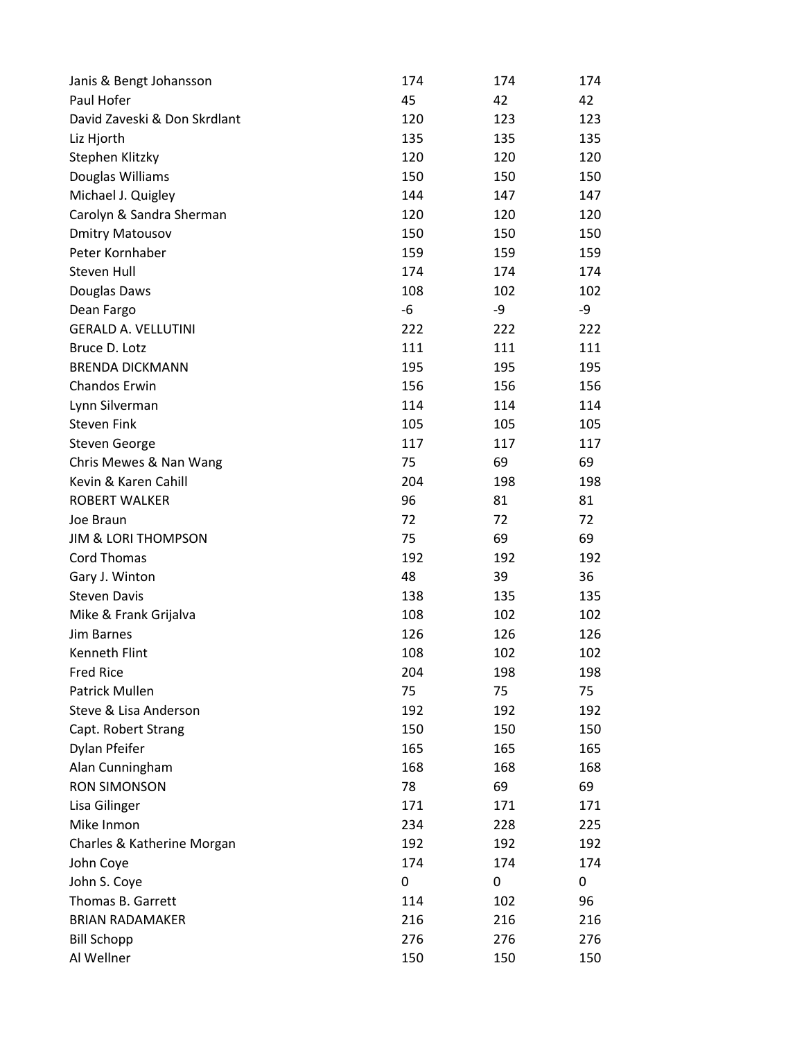| Janis & Bengt Johansson        | 174 | 174 | 174 |
|--------------------------------|-----|-----|-----|
| Paul Hofer                     | 45  | 42  | 42  |
| David Zaveski & Don Skrdlant   | 120 | 123 | 123 |
| Liz Hjorth                     | 135 | 135 | 135 |
| Stephen Klitzky                | 120 | 120 | 120 |
| Douglas Williams               | 150 | 150 | 150 |
| Michael J. Quigley             | 144 | 147 | 147 |
| Carolyn & Sandra Sherman       | 120 | 120 | 120 |
| <b>Dmitry Matousov</b>         | 150 | 150 | 150 |
| Peter Kornhaber                | 159 | 159 | 159 |
| Steven Hull                    | 174 | 174 | 174 |
| Douglas Daws                   | 108 | 102 | 102 |
| Dean Fargo                     | -6  | -9  | -9  |
| <b>GERALD A. VELLUTINI</b>     | 222 | 222 | 222 |
| Bruce D. Lotz                  | 111 | 111 | 111 |
| <b>BRENDA DICKMANN</b>         | 195 | 195 | 195 |
| Chandos Erwin                  | 156 | 156 | 156 |
| Lynn Silverman                 | 114 | 114 | 114 |
| <b>Steven Fink</b>             | 105 | 105 | 105 |
| <b>Steven George</b>           | 117 | 117 | 117 |
| Chris Mewes & Nan Wang         | 75  | 69  | 69  |
| Kevin & Karen Cahill           | 204 | 198 | 198 |
| <b>ROBERT WALKER</b>           | 96  | 81  | 81  |
| Joe Braun                      | 72  | 72  | 72  |
| <b>JIM &amp; LORI THOMPSON</b> | 75  | 69  | 69  |
| <b>Cord Thomas</b>             | 192 | 192 | 192 |
| Gary J. Winton                 | 48  | 39  | 36  |
| <b>Steven Davis</b>            | 138 | 135 | 135 |
| Mike & Frank Grijalva          | 108 | 102 | 102 |
| Jim Barnes                     | 126 | 126 | 126 |
| Kenneth Flint                  | 108 | 102 | 102 |
| <b>Fred Rice</b>               | 204 | 198 | 198 |
| <b>Patrick Mullen</b>          | 75  | 75  | 75  |
| Steve & Lisa Anderson          | 192 | 192 | 192 |
| Capt. Robert Strang            | 150 | 150 | 150 |
| Dylan Pfeifer                  | 165 | 165 | 165 |
| Alan Cunningham                | 168 | 168 | 168 |
| <b>RON SIMONSON</b>            | 78  | 69  | 69  |
| Lisa Gilinger                  | 171 | 171 | 171 |
| Mike Inmon                     | 234 | 228 | 225 |
| Charles & Katherine Morgan     | 192 | 192 | 192 |
| John Coye                      | 174 | 174 | 174 |
| John S. Coye                   | 0   | 0   | 0   |
| Thomas B. Garrett              | 114 | 102 | 96  |
| <b>BRIAN RADAMAKER</b>         | 216 | 216 | 216 |
| <b>Bill Schopp</b>             | 276 | 276 | 276 |
| Al Wellner                     | 150 | 150 | 150 |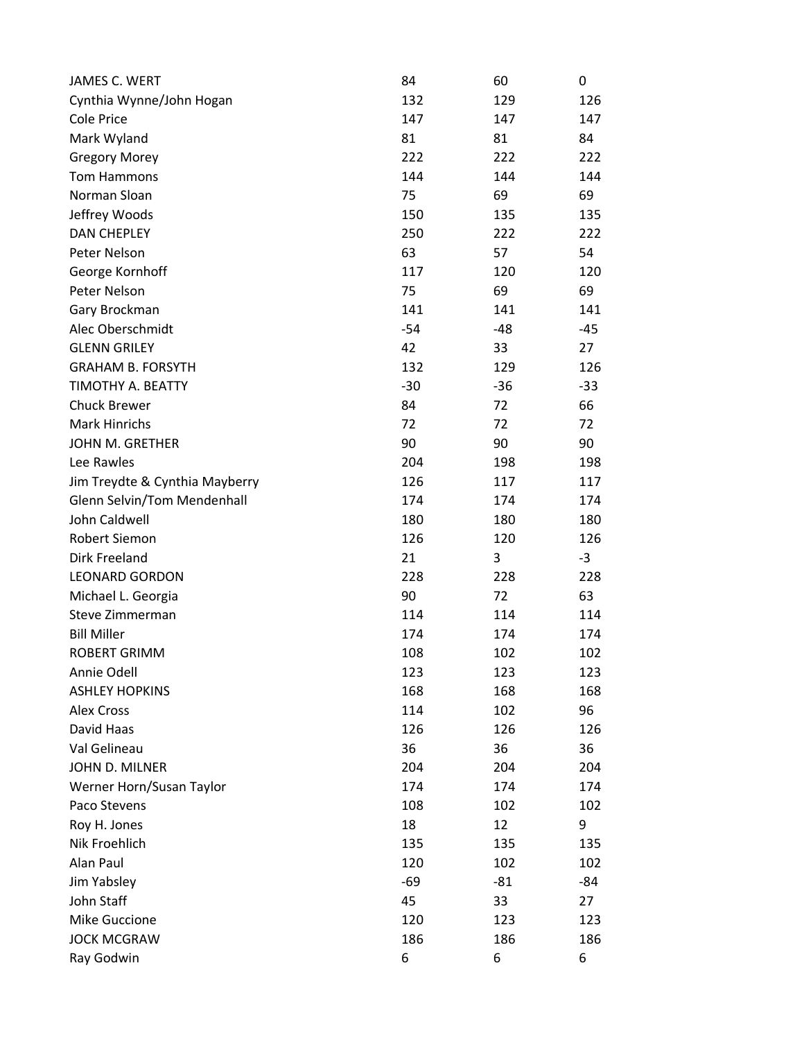| JAMES C. WERT                  | 84    | 60    | 0     |
|--------------------------------|-------|-------|-------|
| Cynthia Wynne/John Hogan       | 132   | 129   | 126   |
| <b>Cole Price</b>              | 147   | 147   | 147   |
| Mark Wyland                    | 81    | 81    | 84    |
| <b>Gregory Morey</b>           | 222   | 222   | 222   |
| Tom Hammons                    | 144   | 144   | 144   |
| Norman Sloan                   | 75    | 69    | 69    |
| Jeffrey Woods                  | 150   | 135   | 135   |
| <b>DAN CHEPLEY</b>             | 250   | 222   | 222   |
| Peter Nelson                   | 63    | 57    | 54    |
| George Kornhoff                | 117   | 120   | 120   |
| Peter Nelson                   | 75    | 69    | 69    |
| Gary Brockman                  | 141   | 141   | 141   |
| Alec Oberschmidt               | $-54$ | $-48$ | $-45$ |
| <b>GLENN GRILEY</b>            | 42    | 33    | 27    |
| <b>GRAHAM B. FORSYTH</b>       | 132   | 129   | 126   |
| TIMOTHY A. BEATTY              | $-30$ | $-36$ | $-33$ |
| <b>Chuck Brewer</b>            | 84    | 72    | 66    |
| <b>Mark Hinrichs</b>           | 72    | 72    | 72    |
| JOHN M. GRETHER                | 90    | 90    | 90    |
| Lee Rawles                     | 204   | 198   | 198   |
| Jim Treydte & Cynthia Mayberry | 126   | 117   | 117   |
| Glenn Selvin/Tom Mendenhall    | 174   | 174   | 174   |
| John Caldwell                  | 180   | 180   | 180   |
| <b>Robert Siemon</b>           | 126   | 120   | 126   |
| Dirk Freeland                  | 21    | 3     | $-3$  |
| <b>LEONARD GORDON</b>          | 228   | 228   | 228   |
| Michael L. Georgia             | 90    | 72    | 63    |
| Steve Zimmerman                | 114   | 114   | 114   |
| <b>Bill Miller</b>             | 174   | 174   | 174   |
| <b>ROBERT GRIMM</b>            | 108   | 102   | 102   |
| Annie Odell                    | 123   | 123   | 123   |
| <b>ASHLEY HOPKINS</b>          | 168   | 168   | 168   |
| <b>Alex Cross</b>              | 114   | 102   | 96    |
| David Haas                     | 126   | 126   | 126   |
| Val Gelineau                   | 36    | 36    | 36    |
| JOHN D. MILNER                 | 204   | 204   | 204   |
| Werner Horn/Susan Taylor       | 174   | 174   | 174   |
| Paco Stevens                   | 108   | 102   | 102   |
| Roy H. Jones                   | 18    | 12    | 9     |
| Nik Froehlich                  | 135   | 135   | 135   |
| Alan Paul                      | 120   | 102   | 102   |
| Jim Yabsley                    | $-69$ | $-81$ | -84   |
| John Staff                     | 45    | 33    | 27    |
| Mike Guccione                  | 120   | 123   | 123   |
| <b>JOCK MCGRAW</b>             | 186   | 186   | 186   |
| Ray Godwin                     | 6     | 6     | 6     |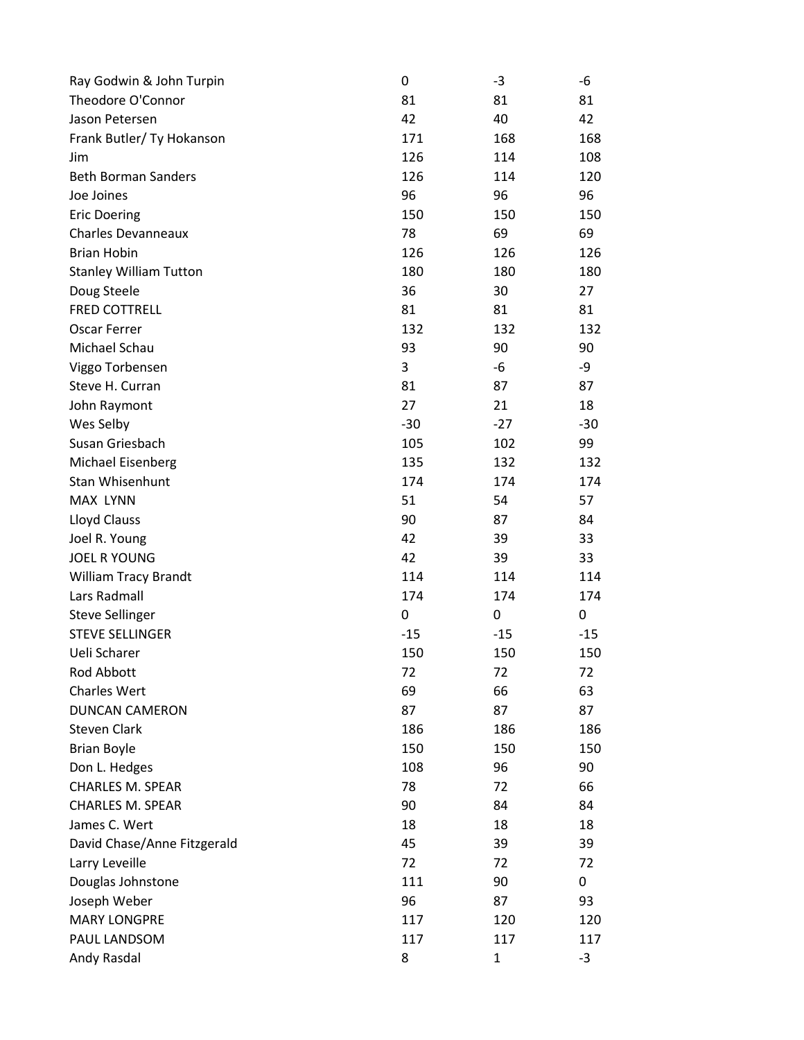| Ray Godwin & John Turpin      | 0           | -3    | -6    |
|-------------------------------|-------------|-------|-------|
| Theodore O'Connor             | 81          | 81    | 81    |
| Jason Petersen                | 42          | 40    | 42    |
| Frank Butler/ Ty Hokanson     | 171         | 168   | 168   |
| Jim                           | 126         | 114   | 108   |
| <b>Beth Borman Sanders</b>    | 126         | 114   | 120   |
| Joe Joines                    | 96          | 96    | 96    |
| <b>Eric Doering</b>           | 150         | 150   | 150   |
| <b>Charles Devanneaux</b>     | 78          | 69    | 69    |
| <b>Brian Hobin</b>            | 126         | 126   | 126   |
| <b>Stanley William Tutton</b> | 180         | 180   | 180   |
| Doug Steele                   | 36          | 30    | 27    |
| <b>FRED COTTRELL</b>          | 81          | 81    | 81    |
| <b>Oscar Ferrer</b>           | 132         | 132   | 132   |
| Michael Schau                 | 93          | 90    | 90    |
| Viggo Torbensen               | 3           | -6    | -9    |
| Steve H. Curran               | 81          | 87    | 87    |
| John Raymont                  | 27          | 21    | 18    |
| Wes Selby                     | $-30$       | $-27$ | $-30$ |
| Susan Griesbach               | 105         | 102   | 99    |
| Michael Eisenberg             | 135         | 132   | 132   |
| Stan Whisenhunt               | 174         | 174   | 174   |
| <b>MAX LYNN</b>               | 51          | 54    | 57    |
| Lloyd Clauss                  | 90          | 87    | 84    |
| Joel R. Young                 | 42          | 39    | 33    |
| <b>JOEL R YOUNG</b>           | 42          | 39    | 33    |
| William Tracy Brandt          | 114         | 114   | 114   |
| Lars Radmall                  | 174         | 174   | 174   |
| <b>Steve Sellinger</b>        | $\mathbf 0$ | 0     | 0     |
| <b>STEVE SELLINGER</b>        | $-15$       | $-15$ | $-15$ |
| Ueli Scharer                  | 150         | 150   | 150   |
| Rod Abbott                    | 72          | 72    | 72    |
| Charles Wert                  | 69          | 66    | 63    |
| <b>DUNCAN CAMERON</b>         | 87          | 87    | 87    |
| <b>Steven Clark</b>           | 186         | 186   | 186   |
| <b>Brian Boyle</b>            | 150         | 150   | 150   |
| Don L. Hedges                 | 108         | 96    | 90    |
| CHARLES M. SPEAR              | 78          | 72    | 66    |
| <b>CHARLES M. SPEAR</b>       | 90          | 84    | 84    |
| James C. Wert                 | 18          | 18    | 18    |
| David Chase/Anne Fitzgerald   | 45          | 39    | 39    |
| Larry Leveille                | 72          | 72    | 72    |
| Douglas Johnstone             | 111         | 90    | 0     |
| Joseph Weber                  | 96          | 87    | 93    |
| <b>MARY LONGPRE</b>           | 117         | 120   | 120   |
| PAUL LANDSOM                  | 117         | 117   | 117   |
| Andy Rasdal                   | 8           | 1     | $-3$  |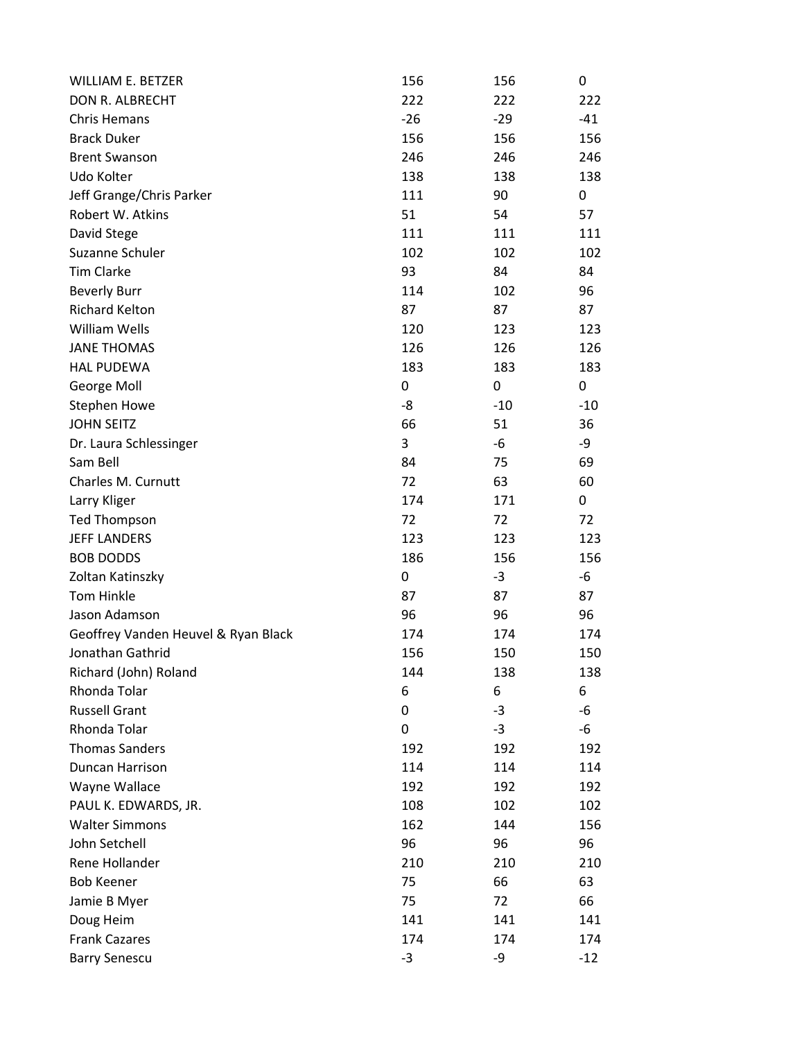| <b>WILLIAM E. BETZER</b>            | 156   | 156   | 0     |
|-------------------------------------|-------|-------|-------|
| DON R. ALBRECHT                     | 222   | 222   | 222   |
| <b>Chris Hemans</b>                 | $-26$ | $-29$ | $-41$ |
| <b>Brack Duker</b>                  | 156   | 156   | 156   |
| <b>Brent Swanson</b>                | 246   | 246   | 246   |
| Udo Kolter                          | 138   | 138   | 138   |
| Jeff Grange/Chris Parker            | 111   | 90    | 0     |
| Robert W. Atkins                    | 51    | 54    | 57    |
| David Stege                         | 111   | 111   | 111   |
| Suzanne Schuler                     | 102   | 102   | 102   |
| <b>Tim Clarke</b>                   | 93    | 84    | 84    |
| <b>Beverly Burr</b>                 | 114   | 102   | 96    |
| <b>Richard Kelton</b>               | 87    | 87    | 87    |
| <b>William Wells</b>                | 120   | 123   | 123   |
| <b>JANE THOMAS</b>                  | 126   | 126   | 126   |
| <b>HAL PUDEWA</b>                   | 183   | 183   | 183   |
| George Moll                         | 0     | 0     | 0     |
| <b>Stephen Howe</b>                 | -8    | $-10$ | $-10$ |
| <b>JOHN SEITZ</b>                   | 66    | 51    | 36    |
| Dr. Laura Schlessinger              | 3     | -6    | -9    |
| Sam Bell                            | 84    | 75    | 69    |
| Charles M. Curnutt                  | 72    | 63    | 60    |
| Larry Kliger                        | 174   | 171   | 0     |
| <b>Ted Thompson</b>                 | 72    | 72    | 72    |
| <b>JEFF LANDERS</b>                 | 123   | 123   | 123   |
| <b>BOB DODDS</b>                    | 186   | 156   | 156   |
| Zoltan Katinszky                    | 0     | $-3$  | -6    |
| <b>Tom Hinkle</b>                   | 87    | 87    | 87    |
| Jason Adamson                       | 96    | 96    | 96    |
| Geoffrey Vanden Heuvel & Ryan Black | 174   | 174   | 174   |
| Jonathan Gathrid                    | 156   | 150   | 150   |
| Richard (John) Roland               | 144   | 138   | 138   |
| Rhonda Tolar                        | 6     | 6     | 6     |
| <b>Russell Grant</b>                | 0     | $-3$  | -6    |
| Rhonda Tolar                        | 0     | $-3$  | -6    |
| <b>Thomas Sanders</b>               | 192   | 192   | 192   |
| Duncan Harrison                     | 114   | 114   | 114   |
| Wayne Wallace                       | 192   | 192   | 192   |
| PAUL K. EDWARDS, JR.                | 108   | 102   | 102   |
| <b>Walter Simmons</b>               | 162   | 144   | 156   |
| John Setchell                       | 96    | 96    | 96    |
| Rene Hollander                      | 210   | 210   | 210   |
| <b>Bob Keener</b>                   | 75    | 66    | 63    |
| Jamie B Myer                        | 75    | 72    | 66    |
| Doug Heim                           | 141   | 141   | 141   |
| <b>Frank Cazares</b>                | 174   | 174   | 174   |
| <b>Barry Senescu</b>                | $-3$  | -9    | $-12$ |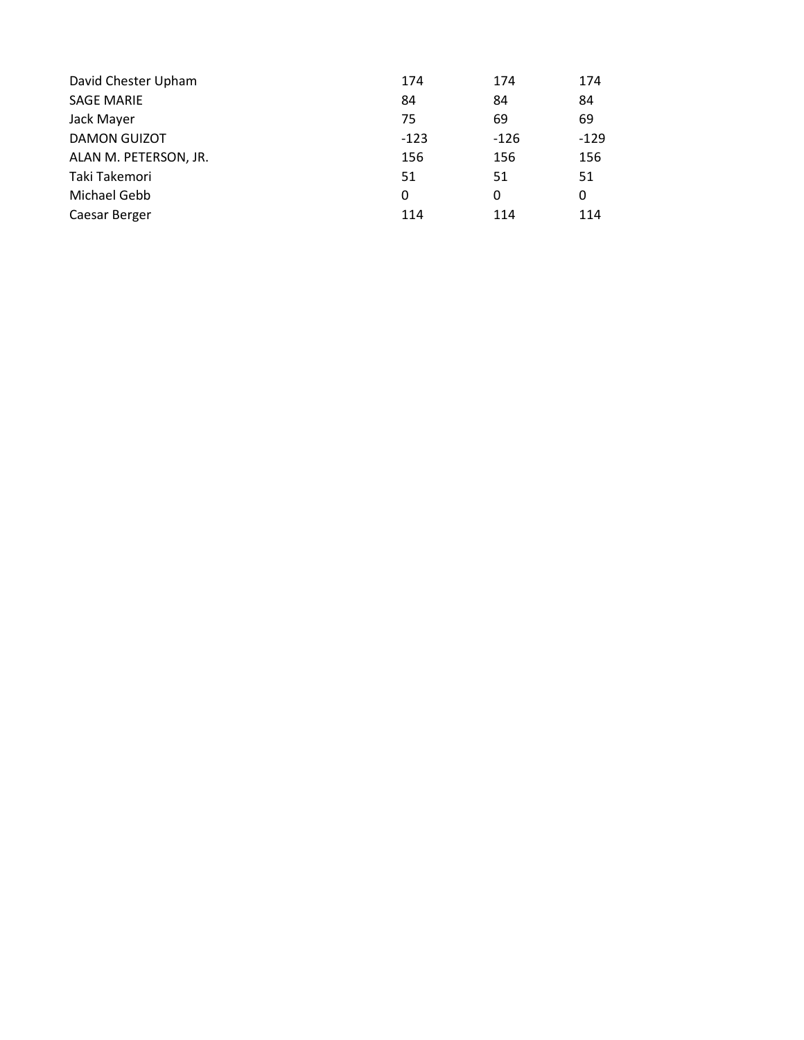| David Chester Upham   | 174    | 174    | 174    |
|-----------------------|--------|--------|--------|
| <b>SAGE MARIE</b>     | 84     | 84     | 84     |
| Jack Mayer            | 75     | 69     | 69     |
| <b>DAMON GUIZOT</b>   | $-123$ | $-126$ | $-129$ |
| ALAN M. PETERSON, JR. | 156    | 156    | 156    |
| Taki Takemori         | 51     | 51     | 51     |
| Michael Gebb          | 0      | 0      | 0      |
| Caesar Berger         | 114    | 114    | 114    |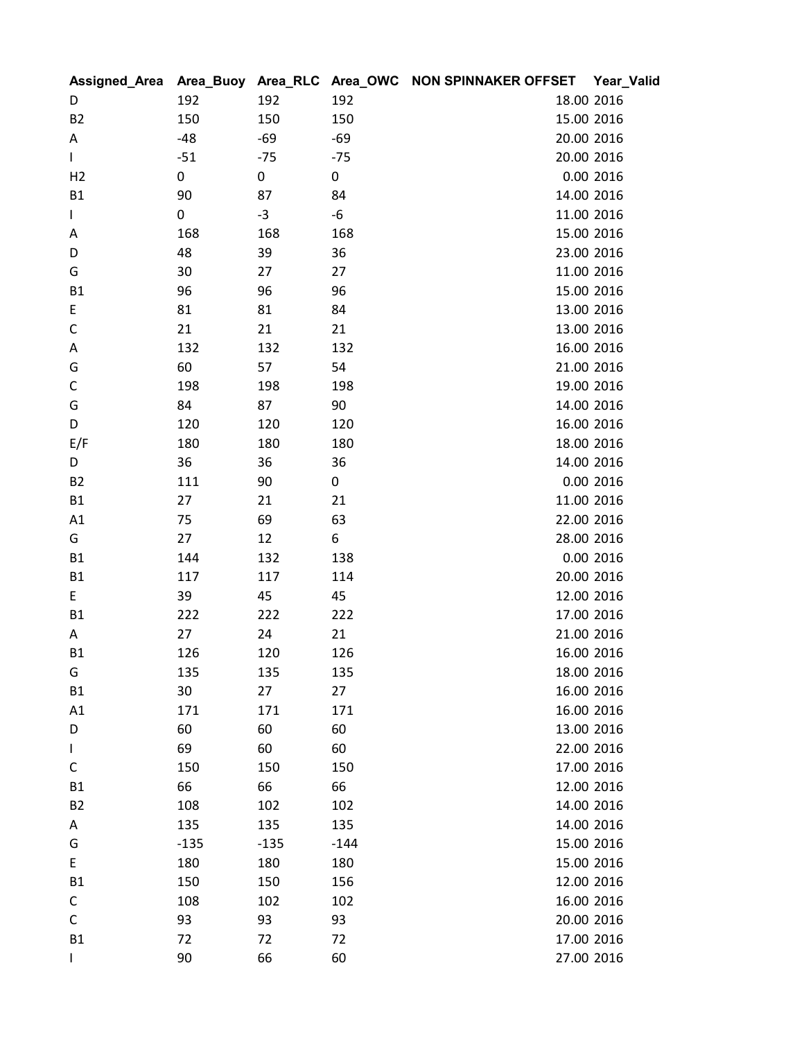|                |        |        |        | Assigned_Area Area_Buoy Area_RLC Area_OWC NON SPINNAKER OFFSET | Year_Valid |
|----------------|--------|--------|--------|----------------------------------------------------------------|------------|
| D              | 192    | 192    | 192    |                                                                | 18.00 2016 |
| <b>B2</b>      | 150    | 150    | 150    |                                                                | 15.00 2016 |
| A              | $-48$  | $-69$  | $-69$  | 20.00 2016                                                     |            |
| L              | $-51$  | $-75$  | $-75$  |                                                                | 20.00 2016 |
| H <sub>2</sub> | 0      | 0      | 0      |                                                                | 0.00 2016  |
| <b>B1</b>      | 90     | 87     | 84     |                                                                | 14.00 2016 |
| L              | 0      | $-3$   | -6     |                                                                | 11.00 2016 |
| A              | 168    | 168    | 168    |                                                                | 15.00 2016 |
| D              | 48     | 39     | 36     | 23.00 2016                                                     |            |
| G              | 30     | 27     | 27     |                                                                | 11.00 2016 |
| <b>B1</b>      | 96     | 96     | 96     | 15.00 2016                                                     |            |
| E              | 81     | 81     | 84     |                                                                | 13.00 2016 |
| С              | 21     | 21     | 21     |                                                                | 13.00 2016 |
| Α              | 132    | 132    | 132    |                                                                | 16.00 2016 |
| G              | 60     | 57     | 54     | 21.00 2016                                                     |            |
| $\mathsf C$    | 198    | 198    | 198    |                                                                | 19.00 2016 |
| G              | 84     | 87     | 90     |                                                                | 14.00 2016 |
| D              | 120    | 120    | 120    |                                                                | 16.00 2016 |
| E/F            | 180    | 180    | 180    |                                                                | 18.00 2016 |
| D              | 36     | 36     | 36     |                                                                | 14.00 2016 |
| <b>B2</b>      | 111    | 90     | 0      |                                                                | 0.00 2016  |
| <b>B1</b>      | 27     | 21     | 21     | 11.00 2016                                                     |            |
| A1             | 75     | 69     | 63     |                                                                | 22.00 2016 |
| G              | 27     | 12     | 6      | 28.00 2016                                                     |            |
| <b>B1</b>      | 144    | 132    | 138    |                                                                | 0.00 2016  |
| <b>B1</b>      | 117    | 117    | 114    | 20.00 2016                                                     |            |
| E.             | 39     | 45     | 45     |                                                                | 12.00 2016 |
| <b>B1</b>      | 222    | 222    | 222    |                                                                | 17.00 2016 |
| Α              | 27     | 24     | 21     | 21.00 2016                                                     |            |
| <b>B1</b>      | 126    | 120    | 126    | 16.00 2016                                                     |            |
| G              | 135    | 135    | 135    | 18.00 2016                                                     |            |
| <b>B1</b>      | 30     | 27     | 27     |                                                                | 16.00 2016 |
| A1             | 171    | 171    | 171    |                                                                | 16.00 2016 |
| D              | 60     | 60     | 60     |                                                                | 13.00 2016 |
| L              | 69     | 60     | 60     |                                                                | 22.00 2016 |
| С              | 150    | 150    | 150    |                                                                | 17.00 2016 |
| <b>B1</b>      | 66     | 66     | 66     |                                                                | 12.00 2016 |
| <b>B2</b>      | 108    | 102    | 102    |                                                                | 14.00 2016 |
| A              | 135    | 135    | 135    |                                                                | 14.00 2016 |
| G              | $-135$ | $-135$ | $-144$ |                                                                | 15.00 2016 |
| E              | 180    | 180    | 180    |                                                                | 15.00 2016 |
| <b>B1</b>      | 150    | 150    | 156    |                                                                | 12.00 2016 |
| С              | 108    | 102    | 102    |                                                                | 16.00 2016 |
| С              | 93     | 93     | 93     | 20.00 2016                                                     |            |
| <b>B1</b>      | 72     | 72     | 72     |                                                                | 17.00 2016 |
| L              | 90     | 66     | 60     |                                                                | 27.00 2016 |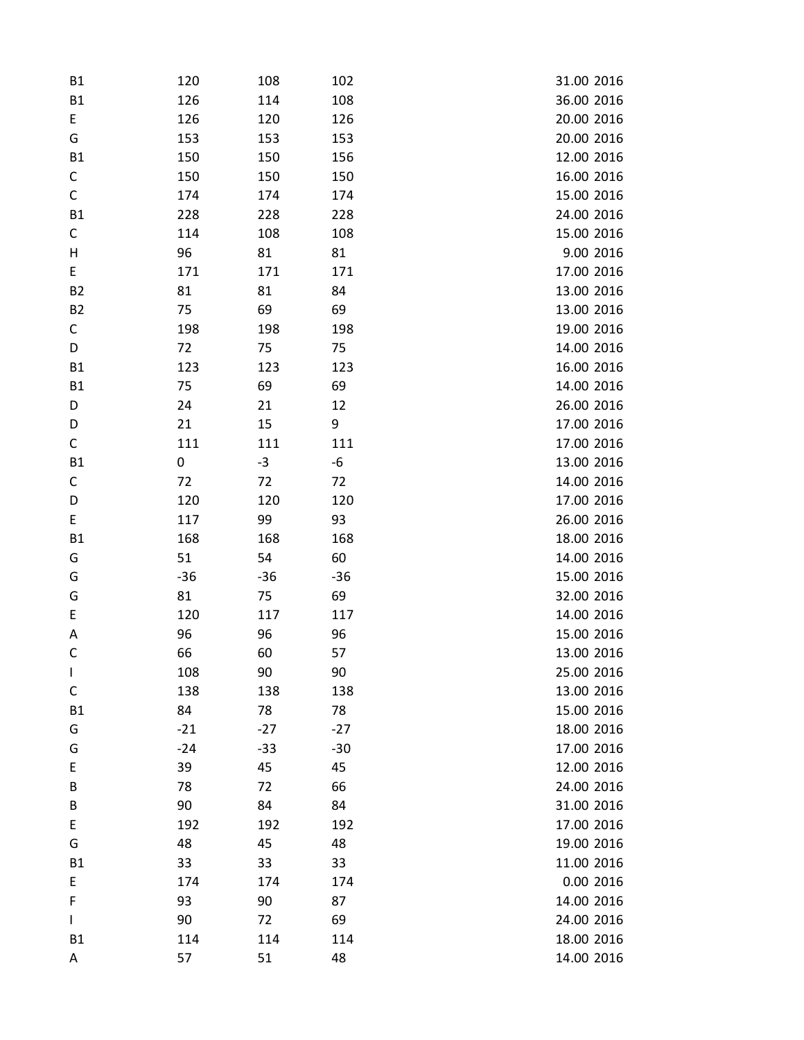| <b>B1</b>    | 120   | 108   | 102   | 31.00 2016 |
|--------------|-------|-------|-------|------------|
| B1           | 126   | 114   | 108   | 36.00 2016 |
| E            | 126   | 120   | 126   | 20.00 2016 |
| G            | 153   | 153   | 153   | 20.00 2016 |
| <b>B1</b>    | 150   | 150   | 156   | 12.00 2016 |
| С            | 150   | 150   | 150   | 16.00 2016 |
| $\mathsf C$  | 174   | 174   | 174   | 15.00 2016 |
| <b>B1</b>    | 228   | 228   | 228   | 24.00 2016 |
| С            | 114   | 108   | 108   | 15.00 2016 |
| Н            | 96    | 81    | 81    | 9.00 2016  |
| E            | 171   | 171   | 171   | 17.00 2016 |
| <b>B2</b>    | 81    | 81    | 84    | 13.00 2016 |
| <b>B2</b>    | 75    | 69    | 69    | 13.00 2016 |
| С            | 198   | 198   | 198   | 19.00 2016 |
| D            | 72    | 75    | 75    | 14.00 2016 |
| <b>B1</b>    | 123   | 123   | 123   | 16.00 2016 |
| B1           | 75    | 69    | 69    | 14.00 2016 |
| D            | 24    | 21    | 12    | 26.00 2016 |
| D            | 21    | 15    | 9     | 17.00 2016 |
| C            | 111   | 111   | 111   | 17.00 2016 |
| <b>B1</b>    | 0     | $-3$  | -6    | 13.00 2016 |
| C            | 72    | 72    | 72    | 14.00 2016 |
| D            | 120   | 120   | 120   | 17.00 2016 |
| E            | 117   | 99    | 93    | 26.00 2016 |
| <b>B1</b>    | 168   | 168   | 168   | 18.00 2016 |
| G            | 51    | 54    | 60    | 14.00 2016 |
| G            | $-36$ | $-36$ | $-36$ | 15.00 2016 |
| G            | 81    | 75    | 69    | 32.00 2016 |
| $\mathsf E$  | 120   | 117   | 117   | 14.00 2016 |
| Α            | 96    | 96    | 96    | 15.00 2016 |
| $\mathsf C$  | 66    | 60    | 57    | 13.00 2016 |
| T            | 108   | 90    | 90    | 25.00 2016 |
| C            | 138   | 138   | 138   | 13.00 2016 |
| <b>B1</b>    | 84    | 78    | 78    | 15.00 2016 |
| G            | $-21$ | $-27$ | $-27$ | 18.00 2016 |
| G            | $-24$ | $-33$ | $-30$ | 17.00 2016 |
| E            | 39    | 45    | 45    | 12.00 2016 |
| B            | 78    | 72    | 66    | 24.00 2016 |
| B            | 90    | 84    | 84    | 31.00 2016 |
| E            | 192   | 192   | 192   | 17.00 2016 |
| G            | 48    | 45    | 48    | 19.00 2016 |
| <b>B1</b>    | 33    | 33    | 33    | 11.00 2016 |
| E            | 174   | 174   | 174   | 0.00 2016  |
| $\mathsf F$  | 93    | 90    | 87    | 14.00 2016 |
| $\mathbf{I}$ | 90    | 72    | 69    | 24.00 2016 |
| <b>B1</b>    | 114   | 114   | 114   | 18.00 2016 |
| A            | 57    | 51    | 48    | 14.00 2016 |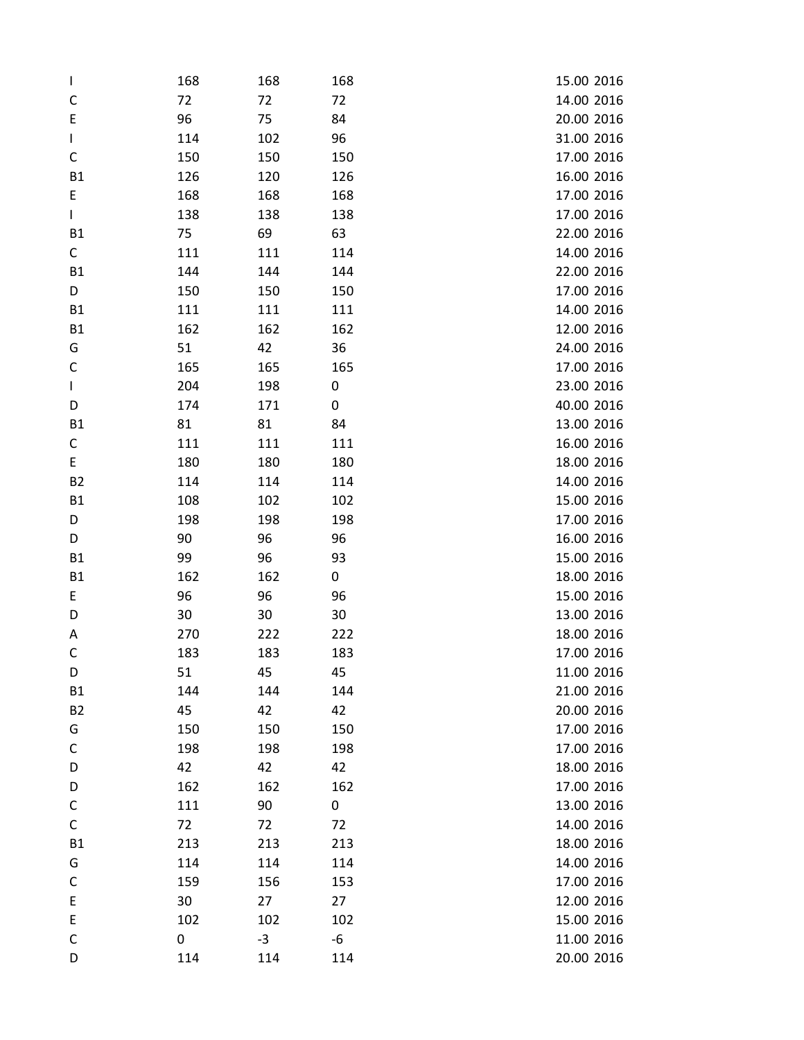| $\mathbf{I}$ | 168 | 168  | 168 | 15.00 2016 |
|--------------|-----|------|-----|------------|
| C            | 72  | 72   | 72  | 14.00 2016 |
| E            | 96  | 75   | 84  | 20.00 2016 |
| L            | 114 | 102  | 96  | 31.00 2016 |
| C            | 150 | 150  | 150 | 17.00 2016 |
| <b>B1</b>    | 126 | 120  | 126 | 16.00 2016 |
| E            | 168 | 168  | 168 | 17.00 2016 |
| $\mathbf{I}$ | 138 | 138  | 138 | 17.00 2016 |
| <b>B1</b>    | 75  | 69   | 63  | 22.00 2016 |
| С            | 111 | 111  | 114 | 14.00 2016 |
| <b>B1</b>    | 144 | 144  | 144 | 22.00 2016 |
| D            | 150 | 150  | 150 | 17.00 2016 |
| <b>B1</b>    | 111 | 111  | 111 | 14.00 2016 |
| <b>B1</b>    | 162 | 162  | 162 | 12.00 2016 |
| G            | 51  | 42   | 36  | 24.00 2016 |
| $\mathsf C$  | 165 | 165  | 165 | 17.00 2016 |
| $\mathbf{I}$ | 204 | 198  | 0   | 23.00 2016 |
| D            | 174 | 171  | 0   | 40.00 2016 |
| <b>B1</b>    | 81  | 81   | 84  | 13.00 2016 |
| С            | 111 | 111  | 111 | 16.00 2016 |
| E            | 180 | 180  | 180 | 18.00 2016 |
| <b>B2</b>    | 114 | 114  | 114 | 14.00 2016 |
| <b>B1</b>    | 108 | 102  | 102 | 15.00 2016 |
| D            | 198 | 198  | 198 | 17.00 2016 |
| D            | 90  | 96   | 96  | 16.00 2016 |
| <b>B1</b>    | 99  | 96   | 93  | 15.00 2016 |
| <b>B1</b>    | 162 | 162  | 0   | 18.00 2016 |
| E            | 96  | 96   | 96  | 15.00 2016 |
| D            | 30  | 30   | 30  | 13.00 2016 |
| Α            | 270 | 222  | 222 | 18.00 2016 |
| C            | 183 | 183  | 183 | 17.00 2016 |
| D            | 51  | 45   | 45  | 11.00 2016 |
| <b>B1</b>    | 144 | 144  | 144 | 21.00 2016 |
| <b>B2</b>    | 45  | 42   | 42  | 20.00 2016 |
| G            | 150 | 150  | 150 | 17.00 2016 |
| C            | 198 | 198  | 198 | 17.00 2016 |
| D            | 42  | 42   | 42  | 18.00 2016 |
| D            | 162 | 162  | 162 | 17.00 2016 |
| С            | 111 | 90   | 0   | 13.00 2016 |
| C            | 72  | 72   | 72  | 14.00 2016 |
| <b>B1</b>    | 213 | 213  | 213 | 18.00 2016 |
| G            | 114 | 114  | 114 | 14.00 2016 |
| C            | 159 | 156  | 153 | 17.00 2016 |
| E            | 30  | 27   | 27  | 12.00 2016 |
| E            | 102 | 102  | 102 | 15.00 2016 |
| C            | 0   | $-3$ | -6  | 11.00 2016 |
| D            | 114 | 114  | 114 | 20.00 2016 |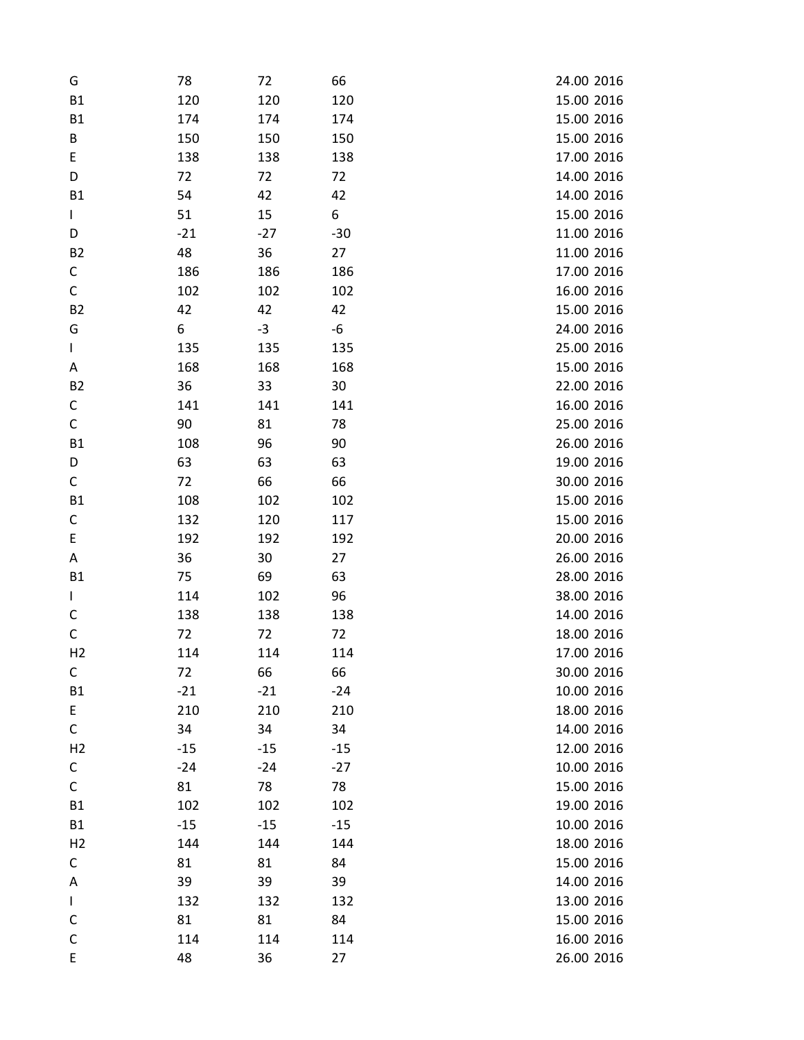| G              | 78    | 72    | 66    | 24.00 2016 |
|----------------|-------|-------|-------|------------|
| <b>B1</b>      | 120   | 120   | 120   | 15.00 2016 |
| <b>B1</b>      | 174   | 174   | 174   | 15.00 2016 |
| B              | 150   | 150   | 150   | 15.00 2016 |
| E              | 138   | 138   | 138   | 17.00 2016 |
| D              | 72    | 72    | 72    | 14.00 2016 |
| <b>B1</b>      | 54    | 42    | 42    | 14.00 2016 |
| L              | 51    | 15    | 6     | 15.00 2016 |
| D              | $-21$ | $-27$ | $-30$ | 11.00 2016 |
| <b>B2</b>      | 48    | 36    | 27    | 11.00 2016 |
| С              | 186   | 186   | 186   | 17.00 2016 |
| $\mathsf C$    | 102   | 102   | 102   | 16.00 2016 |
| <b>B2</b>      | 42    | 42    | 42    | 15.00 2016 |
| G              | 6     | $-3$  | -6    | 24.00 2016 |
| L              | 135   | 135   | 135   | 25.00 2016 |
| Α              | 168   | 168   | 168   | 15.00 2016 |
| <b>B2</b>      | 36    | 33    | 30    | 22.00 2016 |
| С              | 141   | 141   | 141   | 16.00 2016 |
| $\mathsf C$    | 90    | 81    | 78    | 25.00 2016 |
| <b>B1</b>      | 108   | 96    | 90    | 26.00 2016 |
| D              | 63    | 63    | 63    | 19.00 2016 |
| C              | 72    | 66    | 66    | 30.00 2016 |
| <b>B1</b>      | 108   | 102   | 102   | 15.00 2016 |
| C              | 132   | 120   | 117   | 15.00 2016 |
| E              | 192   | 192   | 192   | 20.00 2016 |
| Α              | 36    | 30    | 27    | 26.00 2016 |
| <b>B1</b>      | 75    | 69    | 63    | 28.00 2016 |
| L              | 114   | 102   | 96    | 38.00 2016 |
| С              | 138   | 138   | 138   | 14.00 2016 |
| C              | 72    | 72    | 72    | 18.00 2016 |
| H <sub>2</sub> | 114   | 114   | 114   | 17.00 2016 |
| С              | 72    | 66    | 66    | 30.00 2016 |
| <b>B1</b>      | $-21$ | $-21$ | $-24$ | 10.00 2016 |
| E              | 210   | 210   | 210   | 18.00 2016 |
| C              | 34    | 34    | 34    | 14.00 2016 |
| H <sub>2</sub> | $-15$ | $-15$ | $-15$ | 12.00 2016 |
| С              | $-24$ | $-24$ | $-27$ | 10.00 2016 |
| $\mathsf C$    | 81    | 78    | 78    | 15.00 2016 |
| <b>B1</b>      | 102   | 102   | 102   | 19.00 2016 |
| <b>B1</b>      | $-15$ | $-15$ | $-15$ | 10.00 2016 |
| H <sub>2</sub> | 144   | 144   | 144   | 18.00 2016 |
| С              | 81    | 81    | 84    | 15.00 2016 |
| Α              | 39    | 39    | 39    | 14.00 2016 |
| L              | 132   | 132   | 132   | 13.00 2016 |
| C              | 81    | 81    | 84    | 15.00 2016 |
| $\mathsf C$    | 114   | 114   | 114   | 16.00 2016 |
| E              | 48    | 36    | 27    | 26.00 2016 |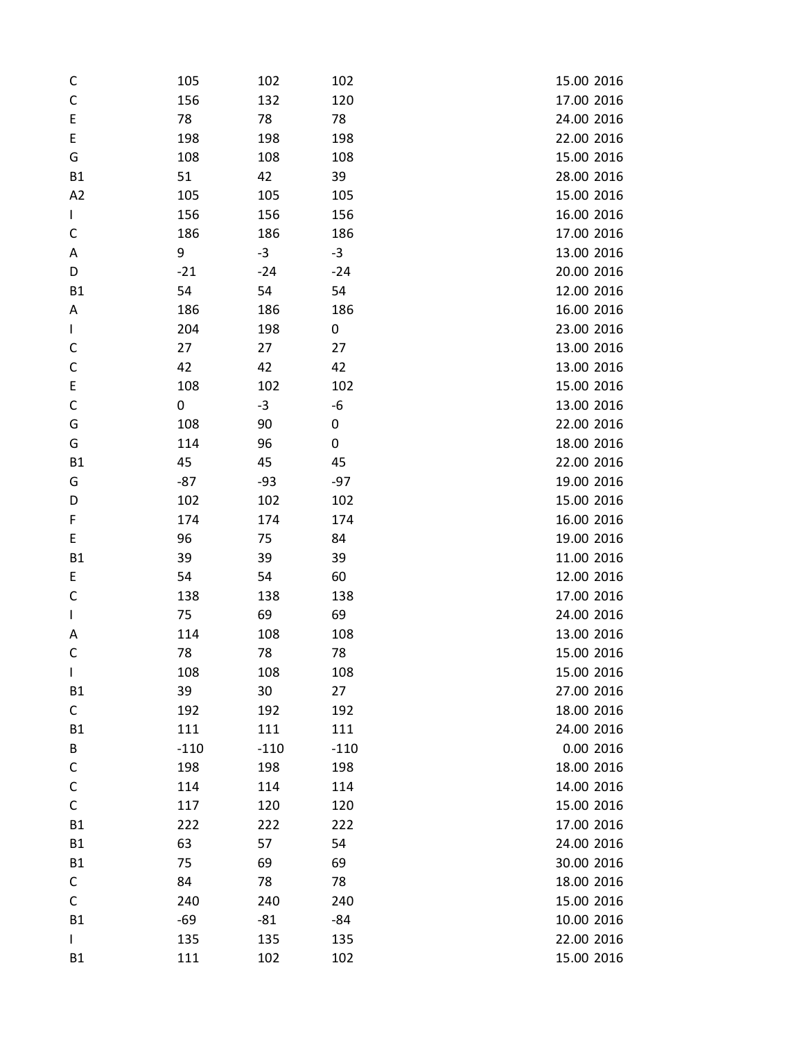| C            | 105    | 102    | 102    | 15.00 2016 |
|--------------|--------|--------|--------|------------|
| C            | 156    | 132    | 120    | 17.00 2016 |
| E            | 78     | 78     | 78     | 24.00 2016 |
| E            | 198    | 198    | 198    | 22.00 2016 |
| G            | 108    | 108    | 108    | 15.00 2016 |
| <b>B1</b>    | 51     | 42     | 39     | 28.00 2016 |
| A2           | 105    | 105    | 105    | 15.00 2016 |
| $\mathbf{I}$ | 156    | 156    | 156    | 16.00 2016 |
| C            | 186    | 186    | 186    | 17.00 2016 |
| Α            | 9      | $-3$   | $-3$   | 13.00 2016 |
| D            | $-21$  | $-24$  | $-24$  | 20.00 2016 |
| <b>B1</b>    | 54     | 54     | 54     | 12.00 2016 |
| Α            | 186    | 186    | 186    | 16.00 2016 |
| L            | 204    | 198    | 0      | 23.00 2016 |
| C            | 27     | 27     | 27     | 13.00 2016 |
| $\mathsf{C}$ | 42     | 42     | 42     | 13.00 2016 |
| E            | 108    | 102    | 102    | 15.00 2016 |
| C            | 0      | $-3$   | -6     | 13.00 2016 |
| G            | 108    | 90     | 0      | 22.00 2016 |
| G            | 114    | 96     | 0      | 18.00 2016 |
| <b>B1</b>    | 45     | 45     | 45     | 22.00 2016 |
| G            | $-87$  | $-93$  | $-97$  | 19.00 2016 |
| D            | 102    | 102    | 102    | 15.00 2016 |
| F            | 174    | 174    | 174    | 16.00 2016 |
| E            | 96     | 75     | 84     | 19.00 2016 |
| <b>B1</b>    | 39     | 39     | 39     | 11.00 2016 |
| E            | 54     | 54     | 60     | 12.00 2016 |
| C            | 138    | 138    | 138    | 17.00 2016 |
| $\mathbf{I}$ | 75     | 69     | 69     | 24.00 2016 |
| Α            | 114    | 108    | 108    | 13.00 2016 |
| C            | 78     | 78     | 78     | 15.00 2016 |
| T            | 108    | 108    | 108    | 15.00 2016 |
| <b>B1</b>    | 39     | 30     | 27     | 27.00 2016 |
| C            | 192    | 192    | 192    | 18.00 2016 |
| <b>B1</b>    | 111    | 111    | 111    | 24.00 2016 |
| B            | $-110$ | $-110$ | $-110$ | 0.00 2016  |
| С            | 198    | 198    | 198    | 18.00 2016 |
| C            | 114    | 114    | 114    | 14.00 2016 |
| C            | 117    | 120    | 120    | 15.00 2016 |
| <b>B1</b>    | 222    | 222    | 222    | 17.00 2016 |
| <b>B1</b>    | 63     | 57     | 54     | 24.00 2016 |
| <b>B1</b>    | 75     | 69     | 69     | 30.00 2016 |
| С            | 84     | 78     | 78     | 18.00 2016 |
| C            | 240    | 240    | 240    | 15.00 2016 |
| <b>B1</b>    | -69    | $-81$  | -84    | 10.00 2016 |
| L            | 135    | 135    | 135    | 22.00 2016 |
| <b>B1</b>    | 111    | 102    | 102    | 15.00 2016 |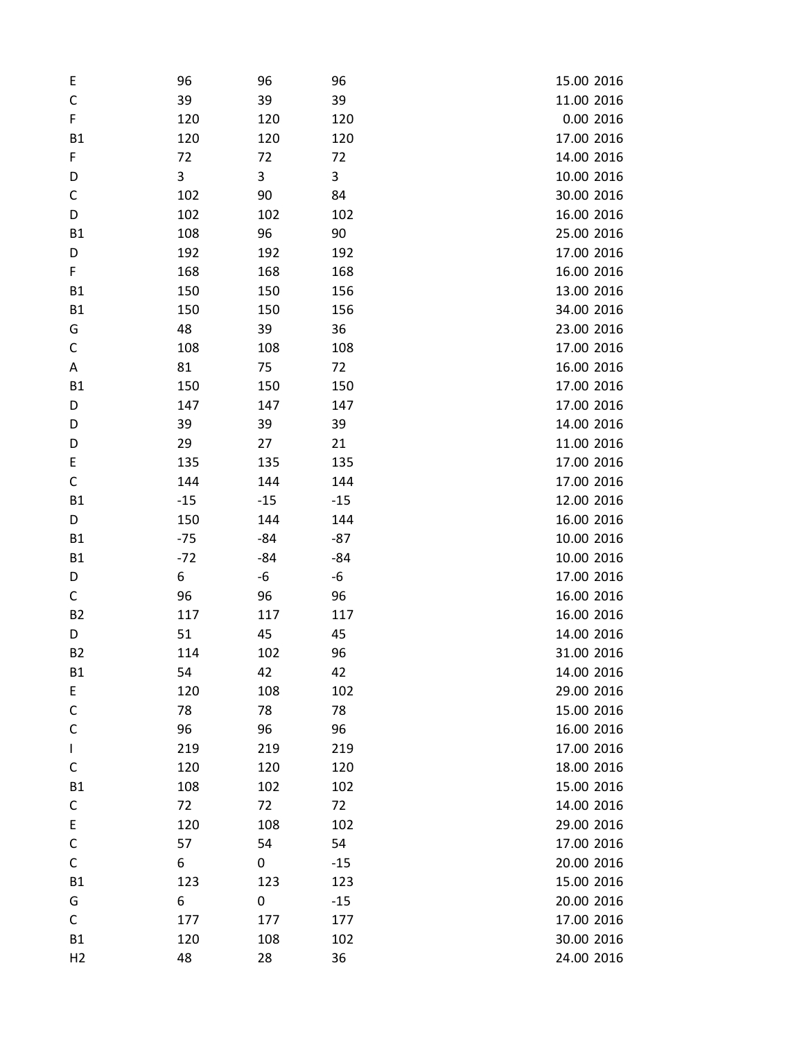| E              | 96    | 96    | 96    | 15.00 2016 |
|----------------|-------|-------|-------|------------|
| C              | 39    | 39    | 39    | 11.00 2016 |
| F              | 120   | 120   | 120   | 0.00 2016  |
| <b>B1</b>      | 120   | 120   | 120   | 17.00 2016 |
| F              | 72    | 72    | 72    | 14.00 2016 |
| D              | 3     | 3     | 3     | 10.00 2016 |
| C              | 102   | 90    | 84    | 30.00 2016 |
| D              | 102   | 102   | 102   | 16.00 2016 |
| <b>B1</b>      | 108   | 96    | 90    | 25.00 2016 |
| D              | 192   | 192   | 192   | 17.00 2016 |
| F              | 168   | 168   | 168   | 16.00 2016 |
| <b>B1</b>      | 150   | 150   | 156   | 13.00 2016 |
| <b>B1</b>      | 150   | 150   | 156   | 34.00 2016 |
| G              | 48    | 39    | 36    | 23.00 2016 |
| С              | 108   | 108   | 108   | 17.00 2016 |
| Α              | 81    | 75    | 72    | 16.00 2016 |
| <b>B1</b>      | 150   | 150   | 150   | 17.00 2016 |
| D              | 147   | 147   | 147   | 17.00 2016 |
| D              | 39    | 39    | 39    | 14.00 2016 |
| D              | 29    | 27    | 21    | 11.00 2016 |
| E              | 135   | 135   | 135   | 17.00 2016 |
| $\mathsf C$    | 144   | 144   | 144   | 17.00 2016 |
| <b>B1</b>      | $-15$ | $-15$ | $-15$ | 12.00 2016 |
| D              | 150   | 144   | 144   | 16.00 2016 |
| <b>B1</b>      | $-75$ | $-84$ | $-87$ | 10.00 2016 |
| <b>B1</b>      | $-72$ | -84   | $-84$ | 10.00 2016 |
| D              | 6     | -6    | -6    | 17.00 2016 |
| С              | 96    | 96    | 96    | 16.00 2016 |
| <b>B2</b>      | 117   | 117   | 117   | 16.00 2016 |
| D              | 51    | 45    | 45    | 14.00 2016 |
| <b>B2</b>      | 114   | 102   | 96    | 31.00 2016 |
| <b>B1</b>      | 54    | 42    | 42    | 14.00 2016 |
| E              | 120   | 108   | 102   | 29.00 2016 |
| C              | 78    | 78    | 78    | 15.00 2016 |
| C              | 96    | 96    | 96    | 16.00 2016 |
| L              | 219   | 219   | 219   | 17.00 2016 |
| C              | 120   | 120   | 120   | 18.00 2016 |
| <b>B1</b>      | 108   | 102   | 102   | 15.00 2016 |
| С              | 72    | 72    | 72    | 14.00 2016 |
| E              | 120   | 108   | 102   | 29.00 2016 |
| C              | 57    | 54    | 54    | 17.00 2016 |
| С              | 6     | 0     | $-15$ | 20.00 2016 |
| <b>B1</b>      | 123   | 123   | 123   | 15.00 2016 |
| G              | 6     | 0     | $-15$ | 20.00 2016 |
| C              | 177   | 177   | 177   | 17.00 2016 |
| <b>B1</b>      | 120   | 108   | 102   | 30.00 2016 |
| H <sub>2</sub> | 48    | 28    | 36    | 24.00 2016 |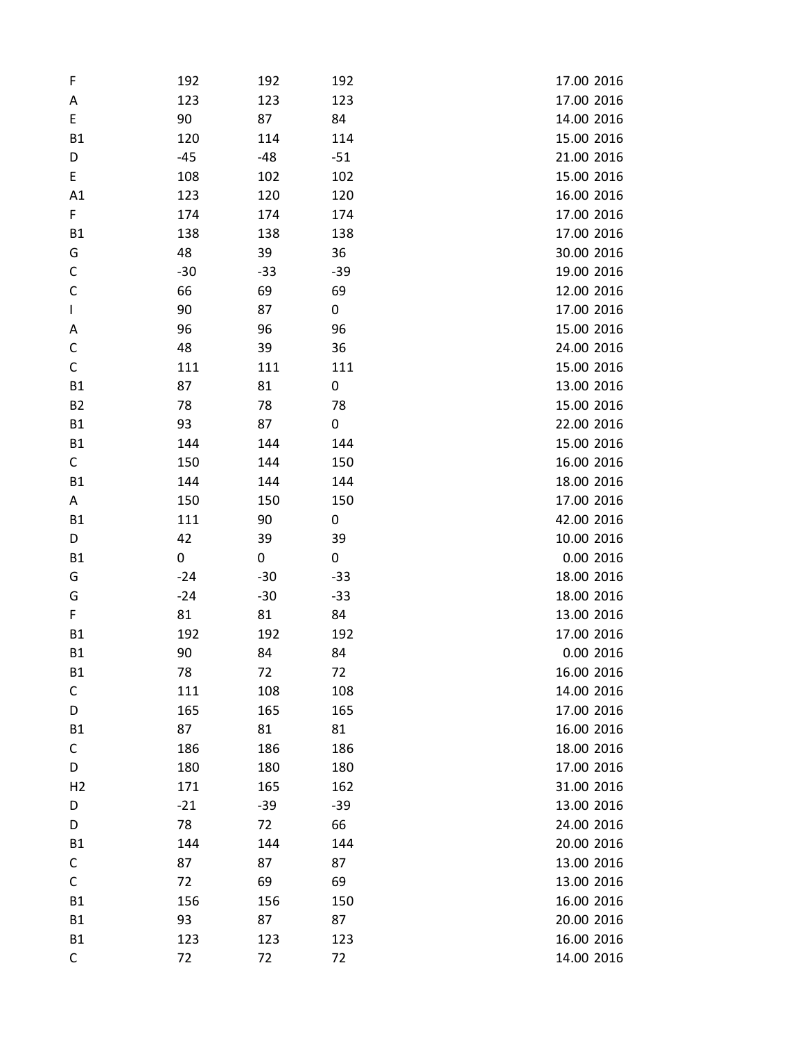| F              | 192   | 192   | 192   | 17.00 2016 |
|----------------|-------|-------|-------|------------|
| Α              | 123   | 123   | 123   | 17.00 2016 |
| E              | 90    | 87    | 84    | 14.00 2016 |
| <b>B1</b>      | 120   | 114   | 114   | 15.00 2016 |
| D              | $-45$ | -48   | $-51$ | 21.00 2016 |
| E              | 108   | 102   | 102   | 15.00 2016 |
| A1             | 123   | 120   | 120   | 16.00 2016 |
| F.             | 174   | 174   | 174   | 17.00 2016 |
| <b>B1</b>      | 138   | 138   | 138   | 17.00 2016 |
| G              | 48    | 39    | 36    | 30.00 2016 |
| C              | $-30$ | $-33$ | $-39$ | 19.00 2016 |
| $\mathsf C$    | 66    | 69    | 69    | 12.00 2016 |
| $\mathbf{I}$   | 90    | 87    | 0     | 17.00 2016 |
| Α              | 96    | 96    | 96    | 15.00 2016 |
| C              | 48    | 39    | 36    | 24.00 2016 |
| C              | 111   | 111   | 111   | 15.00 2016 |
| <b>B1</b>      | 87    | 81    | 0     | 13.00 2016 |
| <b>B2</b>      | 78    | 78    | 78    | 15.00 2016 |
| <b>B1</b>      | 93    | 87    | 0     | 22.00 2016 |
| <b>B1</b>      | 144   | 144   | 144   | 15.00 2016 |
| C              | 150   | 144   | 150   | 16.00 2016 |
| <b>B1</b>      | 144   | 144   | 144   | 18.00 2016 |
| A              | 150   | 150   | 150   | 17.00 2016 |
| <b>B1</b>      | 111   | 90    | 0     | 42.00 2016 |
| D              | 42    | 39    | 39    | 10.00 2016 |
| <b>B1</b>      | 0     | 0     | 0     | 0.00 2016  |
| G              | $-24$ | $-30$ | $-33$ | 18.00 2016 |
| G              | $-24$ | $-30$ | $-33$ | 18.00 2016 |
| F              | 81    | 81    | 84    | 13.00 2016 |
| <b>B1</b>      | 192   | 192   | 192   | 17.00 2016 |
| <b>B1</b>      | 90    | 84    | 84    | 0.00 2016  |
| <b>B1</b>      | 78    | 72    | 72    | 16.00 2016 |
| C              | 111   | 108   | 108   | 14.00 2016 |
| D              | 165   | 165   | 165   | 17.00 2016 |
| <b>B1</b>      | 87    | 81    | 81    | 16.00 2016 |
| С              | 186   | 186   | 186   | 18.00 2016 |
| D              | 180   | 180   | 180   | 17.00 2016 |
| H <sub>2</sub> | 171   | 165   | 162   | 31.00 2016 |
| D              | $-21$ | $-39$ | $-39$ | 13.00 2016 |
| D              | 78    | 72    | 66    | 24.00 2016 |
| <b>B1</b>      | 144   | 144   | 144   | 20.00 2016 |
| С              | 87    | 87    | 87    | 13.00 2016 |
| $\mathsf C$    | 72    | 69    | 69    | 13.00 2016 |
| <b>B1</b>      | 156   | 156   | 150   | 16.00 2016 |
| <b>B1</b>      | 93    | 87    | 87    | 20.00 2016 |
| <b>B1</b>      | 123   | 123   | 123   | 16.00 2016 |
| С              | 72    | 72    | 72    | 14.00 2016 |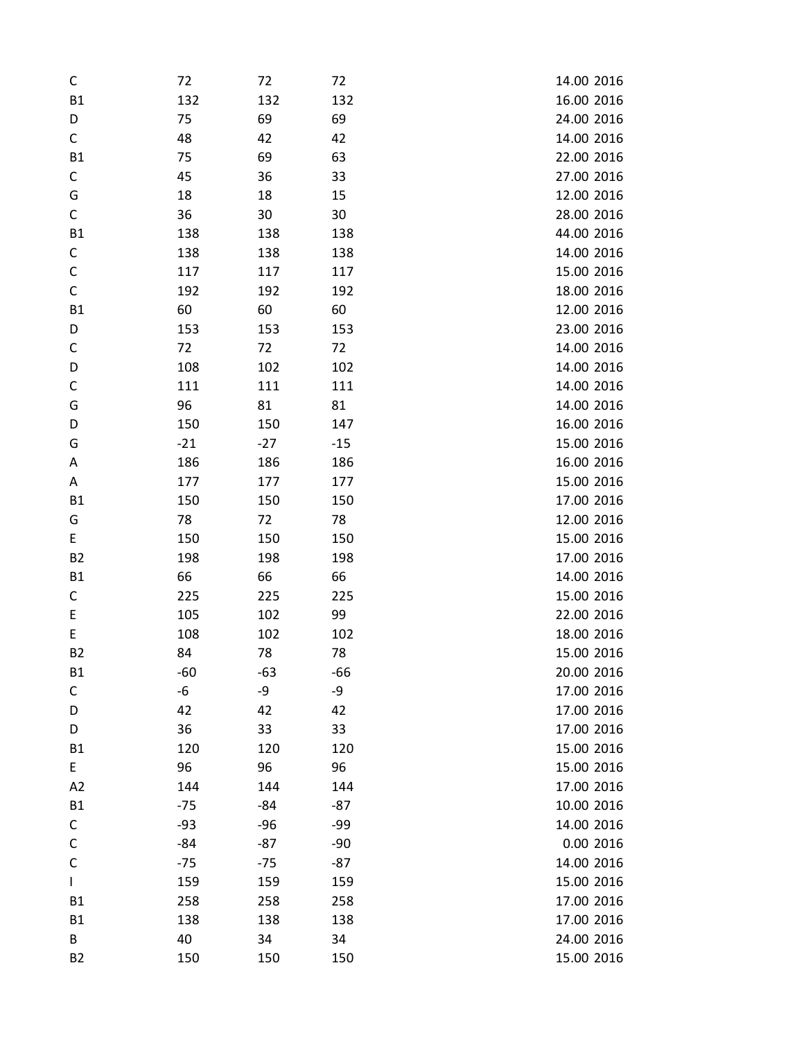| C           | 72    | 72    | 72    | 14.00 2016 |
|-------------|-------|-------|-------|------------|
| <b>B1</b>   | 132   | 132   | 132   | 16.00 2016 |
| D           | 75    | 69    | 69    | 24.00 2016 |
| C           | 48    | 42    | 42    | 14.00 2016 |
| <b>B1</b>   | 75    | 69    | 63    | 22.00 2016 |
| С           | 45    | 36    | 33    | 27.00 2016 |
| G           | 18    | 18    | 15    | 12.00 2016 |
| $\mathsf C$ | 36    | 30    | 30    | 28.00 2016 |
| <b>B1</b>   | 138   | 138   | 138   | 44.00 2016 |
| C           | 138   | 138   | 138   | 14.00 2016 |
| C           | 117   | 117   | 117   | 15.00 2016 |
| C           | 192   | 192   | 192   | 18.00 2016 |
| <b>B1</b>   | 60    | 60    | 60    | 12.00 2016 |
| D           | 153   | 153   | 153   | 23.00 2016 |
| C           | 72    | 72    | 72    | 14.00 2016 |
| D           | 108   | 102   | 102   | 14.00 2016 |
| C           | 111   | 111   | 111   | 14.00 2016 |
| G           | 96    | 81    | 81    | 14.00 2016 |
| D           | 150   | 150   | 147   | 16.00 2016 |
| G           | $-21$ | $-27$ | $-15$ | 15.00 2016 |
| Α           | 186   | 186   | 186   | 16.00 2016 |
| Α           | 177   | 177   | 177   | 15.00 2016 |
| <b>B1</b>   | 150   | 150   | 150   | 17.00 2016 |
| G           | 78    | 72    | 78    | 12.00 2016 |
| E.          | 150   | 150   | 150   | 15.00 2016 |
| <b>B2</b>   | 198   | 198   | 198   | 17.00 2016 |
| <b>B1</b>   | 66    | 66    | 66    | 14.00 2016 |
| С           | 225   | 225   | 225   | 15.00 2016 |
| E           | 105   | 102   | 99    | 22.00 2016 |
| E           | 108   | 102   | 102   | 18.00 2016 |
| <b>B2</b>   | 84    | 78    | 78    | 15.00 2016 |
| <b>B1</b>   | $-60$ | $-63$ | -66   | 20.00 2016 |
| С           | -6    | -9    | -9    | 17.00 2016 |
| D           | 42    | 42    | 42    | 17.00 2016 |
| D           | 36    | 33    | 33    | 17.00 2016 |
| <b>B1</b>   | 120   | 120   | 120   | 15.00 2016 |
| E.          | 96    | 96    | 96    | 15.00 2016 |
| A2          | 144   | 144   | 144   | 17.00 2016 |
| <b>B1</b>   | $-75$ | -84   | $-87$ | 10.00 2016 |
| С           | $-93$ | -96   | -99   | 14.00 2016 |
| C           | $-84$ | -87   | $-90$ | 0.00 2016  |
| C           | $-75$ | $-75$ | $-87$ | 14.00 2016 |
| L           | 159   | 159   | 159   | 15.00 2016 |
| <b>B1</b>   | 258   | 258   | 258   | 17.00 2016 |
| <b>B1</b>   | 138   | 138   | 138   | 17.00 2016 |
| B           | 40    | 34    | 34    | 24.00 2016 |
| <b>B2</b>   | 150   | 150   | 150   | 15.00 2016 |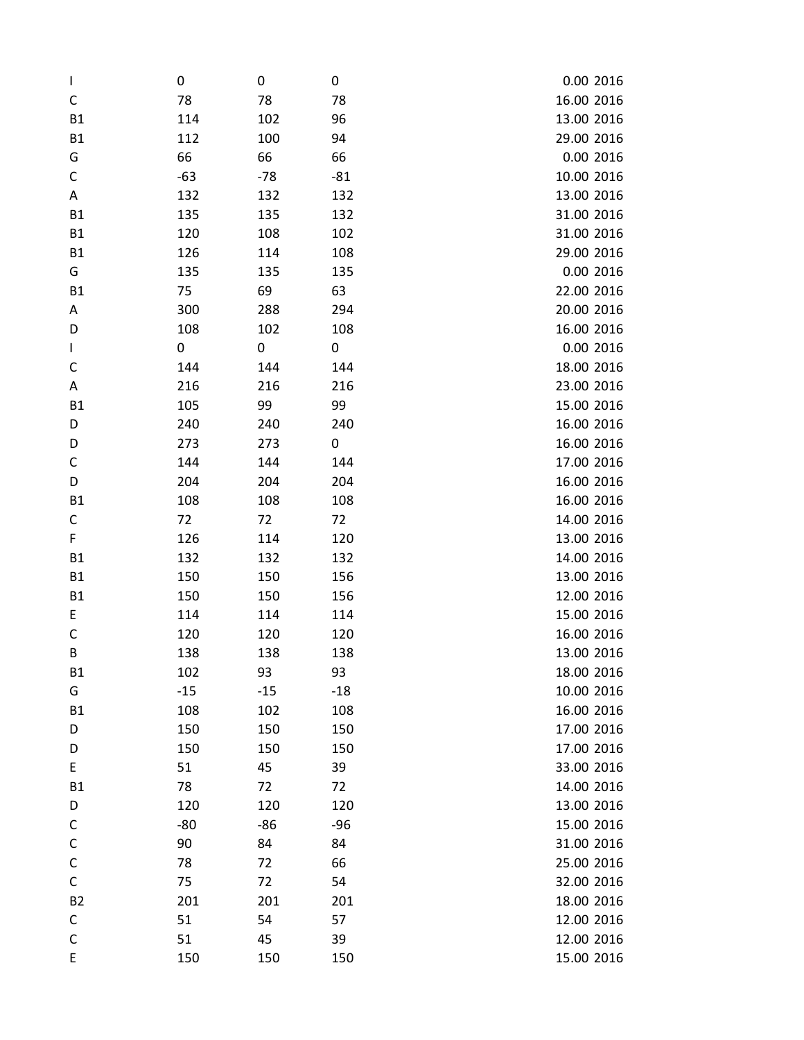| $\mathbf{I}$ | 0     | 0     | 0     | 0.00 2016  |
|--------------|-------|-------|-------|------------|
| C            | 78    | 78    | 78    | 16.00 2016 |
| <b>B1</b>    | 114   | 102   | 96    | 13.00 2016 |
| <b>B1</b>    | 112   | 100   | 94    | 29.00 2016 |
| G            | 66    | 66    | 66    | 0.00 2016  |
| С            | $-63$ | $-78$ | $-81$ | 10.00 2016 |
| Α            | 132   | 132   | 132   | 13.00 2016 |
| <b>B1</b>    | 135   | 135   | 132   | 31.00 2016 |
| <b>B1</b>    | 120   | 108   | 102   | 31.00 2016 |
| <b>B1</b>    | 126   | 114   | 108   | 29.00 2016 |
| G            | 135   | 135   | 135   | 0.00 2016  |
| <b>B1</b>    | 75    | 69    | 63    | 22.00 2016 |
| Α            | 300   | 288   | 294   | 20.00 2016 |
| D            | 108   | 102   | 108   | 16.00 2016 |
| L            | 0     | 0     | 0     | 0.00 2016  |
| C            | 144   | 144   | 144   | 18.00 2016 |
| Α            | 216   | 216   | 216   | 23.00 2016 |
| <b>B1</b>    | 105   | 99    | 99    | 15.00 2016 |
| D            | 240   | 240   | 240   | 16.00 2016 |
| D            | 273   | 273   | 0     | 16.00 2016 |
| C            | 144   | 144   | 144   | 17.00 2016 |
| D            | 204   | 204   | 204   | 16.00 2016 |
| <b>B1</b>    | 108   | 108   | 108   | 16.00 2016 |
| С            | 72    | 72    | 72    | 14.00 2016 |
| F            | 126   | 114   | 120   | 13.00 2016 |
| <b>B1</b>    | 132   | 132   | 132   | 14.00 2016 |
| <b>B1</b>    | 150   | 150   | 156   | 13.00 2016 |
| <b>B1</b>    | 150   | 150   | 156   | 12.00 2016 |
| E            | 114   | 114   | 114   | 15.00 2016 |
| C            | 120   | 120   | 120   | 16.00 2016 |
| B            | 138   | 138   | 138   | 13.00 2016 |
| <b>B1</b>    | 102   | 93    | 93    | 18.00 2016 |
| G            | $-15$ | $-15$ | $-18$ | 10.00 2016 |
| <b>B1</b>    | 108   | 102   | 108   | 16.00 2016 |
| D            | 150   | 150   | 150   | 17.00 2016 |
| D            | 150   | 150   | 150   | 17.00 2016 |
| E            | 51    | 45    | 39    | 33.00 2016 |
| <b>B1</b>    | 78    | 72    | 72    | 14.00 2016 |
| D            | 120   | 120   | 120   | 13.00 2016 |
| C            | $-80$ | $-86$ | $-96$ | 15.00 2016 |
| $\mathsf C$  | 90    | 84    | 84    | 31.00 2016 |
| С            | 78    | 72    | 66    | 25.00 2016 |
| $\mathsf C$  | 75    | 72    | 54    | 32.00 2016 |
| <b>B2</b>    | 201   | 201   | 201   | 18.00 2016 |
| С            | 51    | 54    | 57    | 12.00 2016 |
| C            | 51    | 45    | 39    | 12.00 2016 |
| E            | 150   | 150   | 150   | 15.00 2016 |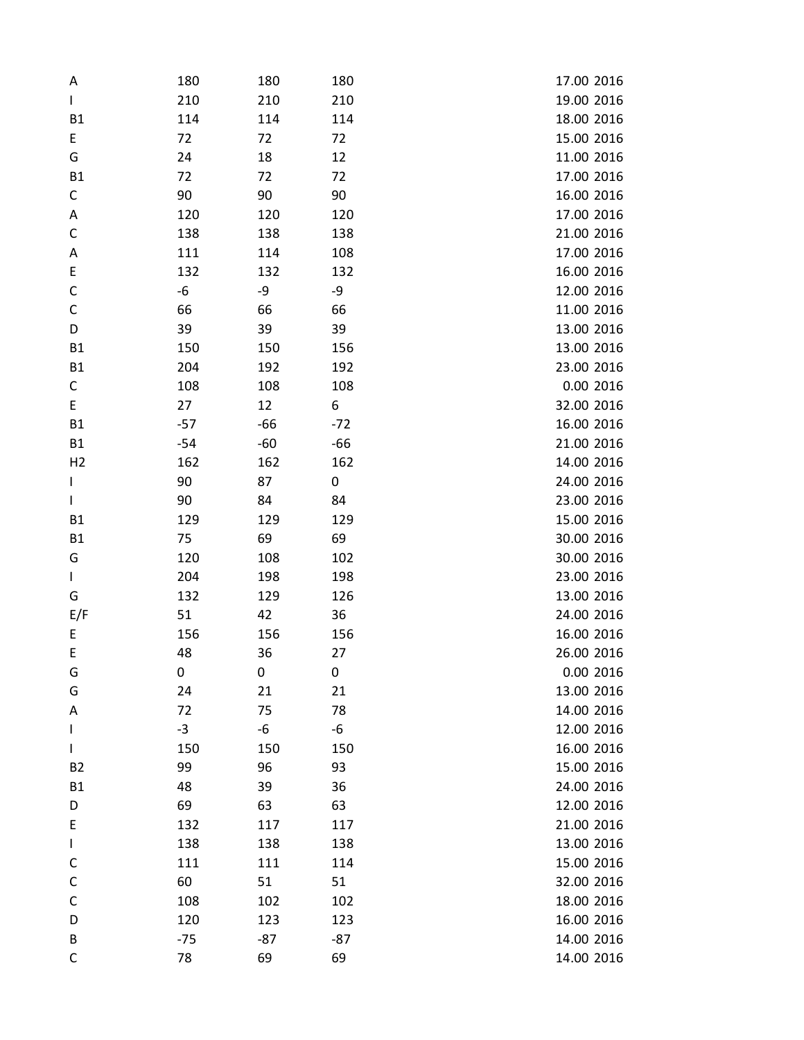| Α              | 180   | 180   | 180   | 17.00 2016 |
|----------------|-------|-------|-------|------------|
| L              | 210   | 210   | 210   | 19.00 2016 |
| <b>B1</b>      | 114   | 114   | 114   | 18.00 2016 |
| E              | 72    | 72    | 72    | 15.00 2016 |
| G              | 24    | 18    | 12    | 11.00 2016 |
| <b>B1</b>      | 72    | 72    | 72    | 17.00 2016 |
| С              | 90    | 90    | 90    | 16.00 2016 |
| Α              | 120   | 120   | 120   | 17.00 2016 |
| C              | 138   | 138   | 138   | 21.00 2016 |
| Α              | 111   | 114   | 108   | 17.00 2016 |
| E              | 132   | 132   | 132   | 16.00 2016 |
| $\mathsf C$    | -6    | -9    | -9    | 12.00 2016 |
| C              | 66    | 66    | 66    | 11.00 2016 |
| D              | 39    | 39    | 39    | 13.00 2016 |
| <b>B1</b>      | 150   | 150   | 156   | 13.00 2016 |
| <b>B1</b>      | 204   | 192   | 192   | 23.00 2016 |
| C              | 108   | 108   | 108   | 0.00 2016  |
| E              | 27    | 12    | 6     | 32.00 2016 |
| <b>B1</b>      | $-57$ | -66   | $-72$ | 16.00 2016 |
| <b>B1</b>      | $-54$ | $-60$ | -66   | 21.00 2016 |
| H <sub>2</sub> | 162   | 162   | 162   | 14.00 2016 |
| $\mathsf I$    | 90    | 87    | 0     | 24.00 2016 |
| $\mathbf{I}$   | 90    | 84    | 84    | 23.00 2016 |
| <b>B1</b>      | 129   | 129   | 129   | 15.00 2016 |
| <b>B1</b>      | 75    | 69    | 69    | 30.00 2016 |
| G              | 120   | 108   | 102   | 30.00 2016 |
| $\mathbf{I}$   | 204   | 198   | 198   | 23.00 2016 |
| G              | 132   | 129   | 126   | 13.00 2016 |
| E/F            | 51    | 42    | 36    | 24.00 2016 |
| E              | 156   | 156   | 156   | 16.00 2016 |
| E              | 48    | 36    | 27    | 26.00 2016 |
| G              | 0     | 0     | 0     | 0.00 2016  |
| G              | 24    | 21    | 21    | 13.00 2016 |
| Α              | 72    | 75    | 78    | 14.00 2016 |
| L              | $-3$  | -6    | -6    | 12.00 2016 |
| $\mathbf{I}$   | 150   | 150   | 150   | 16.00 2016 |
| <b>B2</b>      | 99    | 96    | 93    | 15.00 2016 |
| <b>B1</b>      | 48    | 39    | 36    | 24.00 2016 |
| D              | 69    | 63    | 63    | 12.00 2016 |
| E              | 132   | 117   | 117   | 21.00 2016 |
| L              | 138   | 138   | 138   | 13.00 2016 |
| C              | 111   | 111   | 114   | 15.00 2016 |
| C              | 60    | 51    | 51    | 32.00 2016 |
| C              | 108   | 102   | 102   | 18.00 2016 |
| D              | 120   | 123   | 123   | 16.00 2016 |
| B              | $-75$ | -87   | $-87$ | 14.00 2016 |
| С              | 78    | 69    | 69    | 14.00 2016 |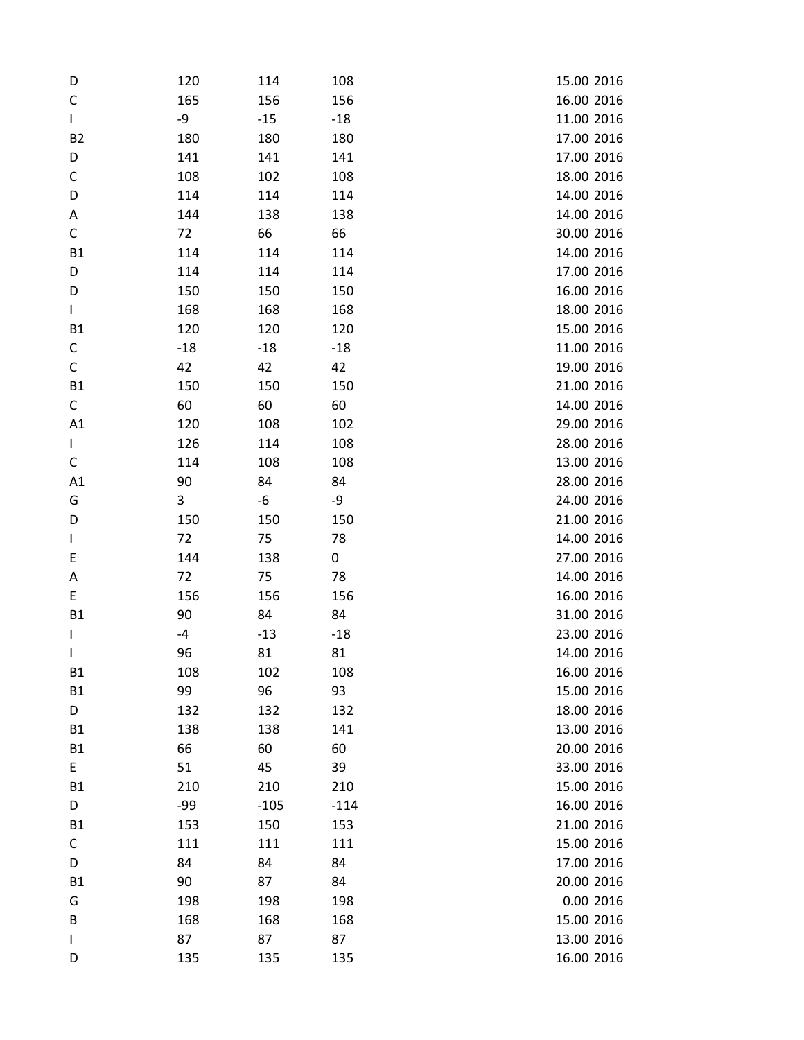| D            | 120   | 114    | 108    | 15.00 2016 |
|--------------|-------|--------|--------|------------|
| C            | 165   | 156    | 156    | 16.00 2016 |
| $\mathbf{I}$ | -9    | $-15$  | $-18$  | 11.00 2016 |
| <b>B2</b>    | 180   | 180    | 180    | 17.00 2016 |
| D            | 141   | 141    | 141    | 17.00 2016 |
| С            | 108   | 102    | 108    | 18.00 2016 |
| D            | 114   | 114    | 114    | 14.00 2016 |
| Α            | 144   | 138    | 138    | 14.00 2016 |
| $\mathsf C$  | 72    | 66     | 66     | 30.00 2016 |
| <b>B1</b>    | 114   | 114    | 114    | 14.00 2016 |
| D            | 114   | 114    | 114    | 17.00 2016 |
| D            | 150   | 150    | 150    | 16.00 2016 |
| $\mathsf{L}$ | 168   | 168    | 168    | 18.00 2016 |
| <b>B1</b>    | 120   | 120    | 120    | 15.00 2016 |
| C            | $-18$ | $-18$  | $-18$  | 11.00 2016 |
| $\mathsf C$  | 42    | 42     | 42     | 19.00 2016 |
| <b>B1</b>    | 150   | 150    | 150    | 21.00 2016 |
| C            | 60    | 60     | 60     | 14.00 2016 |
| A1           | 120   | 108    | 102    | 29.00 2016 |
| $\mathbf{I}$ | 126   | 114    | 108    | 28.00 2016 |
| C            | 114   | 108    | 108    | 13.00 2016 |
| A1           | 90    | 84     | 84     | 28.00 2016 |
| G            | 3     | -6     | -9     | 24.00 2016 |
| D            | 150   | 150    | 150    | 21.00 2016 |
| L            | 72    | 75     | 78     | 14.00 2016 |
| E            | 144   | 138    | 0      | 27.00 2016 |
| Α            | 72    | 75     | 78     | 14.00 2016 |
| E            | 156   | 156    | 156    | 16.00 2016 |
| <b>B1</b>    | 90    | 84     | 84     | 31.00 2016 |
| $\mathbf{I}$ | -4    | $-13$  | $-18$  | 23.00 2016 |
| $\mathsf{I}$ | 96    | 81     | 81     | 14.00 2016 |
| <b>B1</b>    | 108   | 102    | 108    | 16.00 2016 |
| <b>B1</b>    | 99    | 96     | 93     | 15.00 2016 |
| D            | 132   | 132    | 132    | 18.00 2016 |
| <b>B1</b>    | 138   | 138    | 141    | 13.00 2016 |
| <b>B1</b>    | 66    | 60     | 60     | 20.00 2016 |
| E            | 51    | 45     | 39     | 33.00 2016 |
| <b>B1</b>    | 210   | 210    | 210    | 15.00 2016 |
| D            | $-99$ | $-105$ | $-114$ | 16.00 2016 |
| <b>B1</b>    | 153   | 150    | 153    | 21.00 2016 |
| C            | 111   | 111    | 111    | 15.00 2016 |
| D            | 84    | 84     | 84     | 17.00 2016 |
| <b>B1</b>    | 90    | 87     | 84     | 20.00 2016 |
| G            | 198   | 198    | 198    | 0.00 2016  |
| В            | 168   | 168    | 168    | 15.00 2016 |
| $\mathbf{I}$ | 87    | 87     | 87     | 13.00 2016 |
| D            | 135   | 135    | 135    | 16.00 2016 |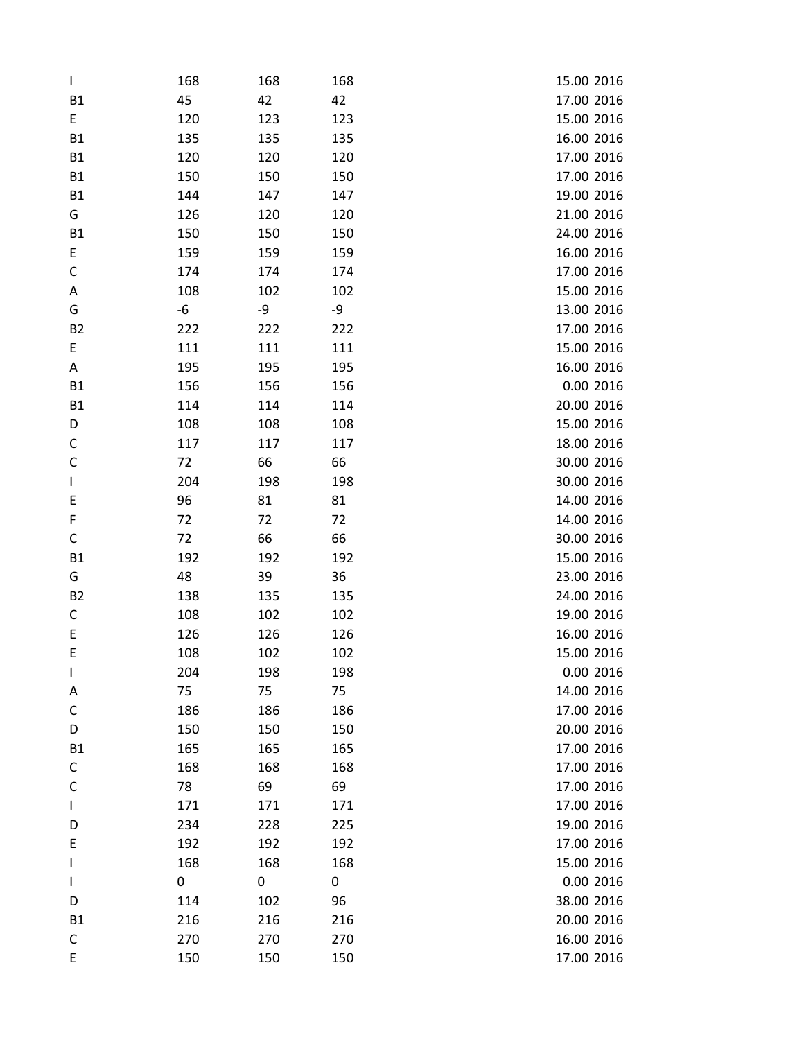| $\mathbf{I}$ | 168 | 168 | 168 | 15.00 2016 |
|--------------|-----|-----|-----|------------|
| <b>B1</b>    | 45  | 42  | 42  | 17.00 2016 |
| E.           | 120 | 123 | 123 | 15.00 2016 |
| <b>B1</b>    | 135 | 135 | 135 | 16.00 2016 |
| <b>B1</b>    | 120 | 120 | 120 | 17.00 2016 |
| <b>B1</b>    | 150 | 150 | 150 | 17.00 2016 |
| B1           | 144 | 147 | 147 | 19.00 2016 |
| G            | 126 | 120 | 120 | 21.00 2016 |
| <b>B1</b>    | 150 | 150 | 150 | 24.00 2016 |
| E            | 159 | 159 | 159 | 16.00 2016 |
| C            | 174 | 174 | 174 | 17.00 2016 |
| Α            | 108 | 102 | 102 | 15.00 2016 |
| G            | -6  | -9  | -9  | 13.00 2016 |
| <b>B2</b>    | 222 | 222 | 222 | 17.00 2016 |
| E            | 111 | 111 | 111 | 15.00 2016 |
| Α            | 195 | 195 | 195 | 16.00 2016 |
| <b>B1</b>    | 156 | 156 | 156 | 0.00 2016  |
| <b>B1</b>    | 114 | 114 | 114 | 20.00 2016 |
| D            | 108 | 108 | 108 | 15.00 2016 |
| С            | 117 | 117 | 117 | 18.00 2016 |
| $\mathsf C$  | 72  | 66  | 66  | 30.00 2016 |
| L            | 204 | 198 | 198 | 30.00 2016 |
| E            | 96  | 81  | 81  | 14.00 2016 |
| F            | 72  | 72  | 72  | 14.00 2016 |
| C            | 72  | 66  | 66  | 30.00 2016 |
| <b>B1</b>    | 192 | 192 | 192 | 15.00 2016 |
| G            | 48  | 39  | 36  | 23.00 2016 |
| <b>B2</b>    | 138 | 135 | 135 | 24.00 2016 |
| C            | 108 | 102 | 102 | 19.00 2016 |
| E            | 126 | 126 | 126 | 16.00 2016 |
| E            | 108 | 102 | 102 | 15.00 2016 |
| $\mathbf{I}$ | 204 | 198 | 198 | 0.00 2016  |
| Α            | 75  | 75  | 75  | 14.00 2016 |
| C            | 186 | 186 | 186 | 17.00 2016 |
| D            | 150 | 150 | 150 | 20.00 2016 |
| <b>B1</b>    | 165 | 165 | 165 | 17.00 2016 |
| С            | 168 | 168 | 168 | 17.00 2016 |
| C            | 78  | 69  | 69  | 17.00 2016 |
| L            | 171 | 171 | 171 | 17.00 2016 |
| D            | 234 | 228 | 225 | 19.00 2016 |
| E            | 192 | 192 | 192 | 17.00 2016 |
| L            | 168 | 168 | 168 | 15.00 2016 |
| L            | 0   | 0   | 0   | 0.00 2016  |
| D            | 114 | 102 | 96  | 38.00 2016 |
| <b>B1</b>    | 216 | 216 | 216 | 20.00 2016 |
| С            | 270 | 270 | 270 | 16.00 2016 |
| E            | 150 | 150 | 150 | 17.00 2016 |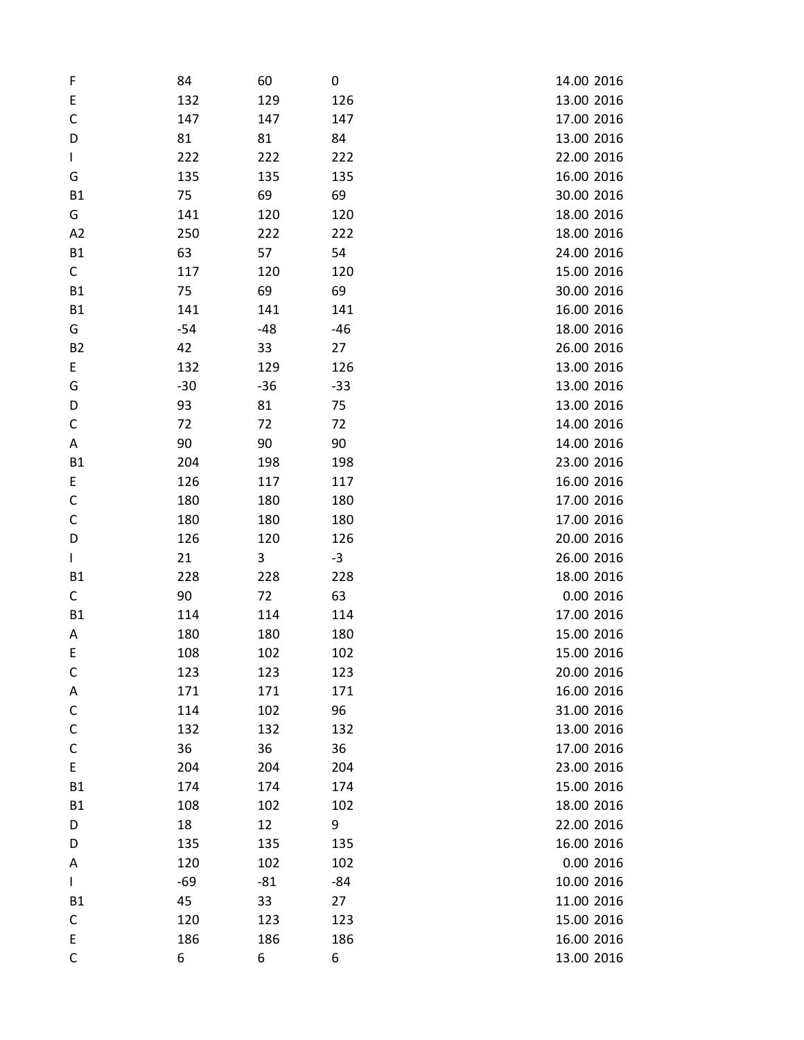| F            | 84    | 60    | 0     | 14.00 2016 |
|--------------|-------|-------|-------|------------|
| E            | 132   | 129   | 126   | 13.00 2016 |
| C            | 147   | 147   | 147   | 17.00 2016 |
| D            | 81    | 81    | 84    | 13.00 2016 |
| $\mathbf{I}$ | 222   | 222   | 222   | 22.00 2016 |
| G            | 135   | 135   | 135   | 16.00 2016 |
| <b>B1</b>    | 75    | 69    | 69    | 30.00 2016 |
| G            | 141   | 120   | 120   | 18.00 2016 |
| A2           | 250   | 222   | 222   | 18.00 2016 |
| <b>B1</b>    | 63    | 57    | 54    | 24.00 2016 |
| $\mathsf{C}$ | 117   | 120   | 120   | 15.00 2016 |
| <b>B1</b>    | 75    | 69    | 69    | 30.00 2016 |
| <b>B1</b>    | 141   | 141   | 141   | 16.00 2016 |
| G            | $-54$ | -48   | -46   | 18.00 2016 |
| <b>B2</b>    | 42    | 33    | 27    | 26.00 2016 |
| E            | 132   | 129   | 126   | 13.00 2016 |
| G            | $-30$ | $-36$ | $-33$ | 13.00 2016 |
| D            | 93    | 81    | 75    | 13.00 2016 |
| C            | 72    | 72    | 72    | 14.00 2016 |
| Α            | 90    | 90    | 90    | 14.00 2016 |
| <b>B1</b>    | 204   | 198   | 198   | 23.00 2016 |
| E            | 126   | 117   | 117   | 16.00 2016 |
| $\mathsf C$  | 180   | 180   | 180   | 17.00 2016 |
| C            | 180   | 180   | 180   | 17.00 2016 |
| D            | 126   | 120   | 126   | 20.00 2016 |
| L            | 21    | 3     | $-3$  | 26.00 2016 |
| <b>B1</b>    | 228   | 228   | 228   | 18.00 2016 |
| C            | 90    | 72    | 63    | 0.00 2016  |
| <b>B1</b>    | 114   | 114   | 114   | 17.00 2016 |
| Α            | 180   | 180   | 180   | 15.00 2016 |
| E            | 108   | 102   | 102   | 15.00 2016 |
| C            | 123   | 123   | 123   | 20.00 2016 |
| Α            | 171   | 171   | 171   | 16.00 2016 |
| C            | 114   | 102   | 96    | 31.00 2016 |
| C            | 132   | 132   | 132   | 13.00 2016 |
| C            | 36    | 36    | 36    | 17.00 2016 |
| E            | 204   | 204   | 204   | 23.00 2016 |
| <b>B1</b>    | 174   | 174   | 174   | 15.00 2016 |
| <b>B1</b>    | 108   | 102   | 102   | 18.00 2016 |
| D            | 18    | 12    | 9     | 22.00 2016 |
| D            | 135   | 135   | 135   | 16.00 2016 |
| A            | 120   | 102   | 102   | 0.00 2016  |
| L            | -69   | $-81$ | -84   | 10.00 2016 |
| <b>B1</b>    | 45    | 33    | 27    | 11.00 2016 |
| C            | 120   | 123   | 123   | 15.00 2016 |
| E            | 186   | 186   | 186   | 16.00 2016 |
| C            | 6     | 6     | 6     | 13.00 2016 |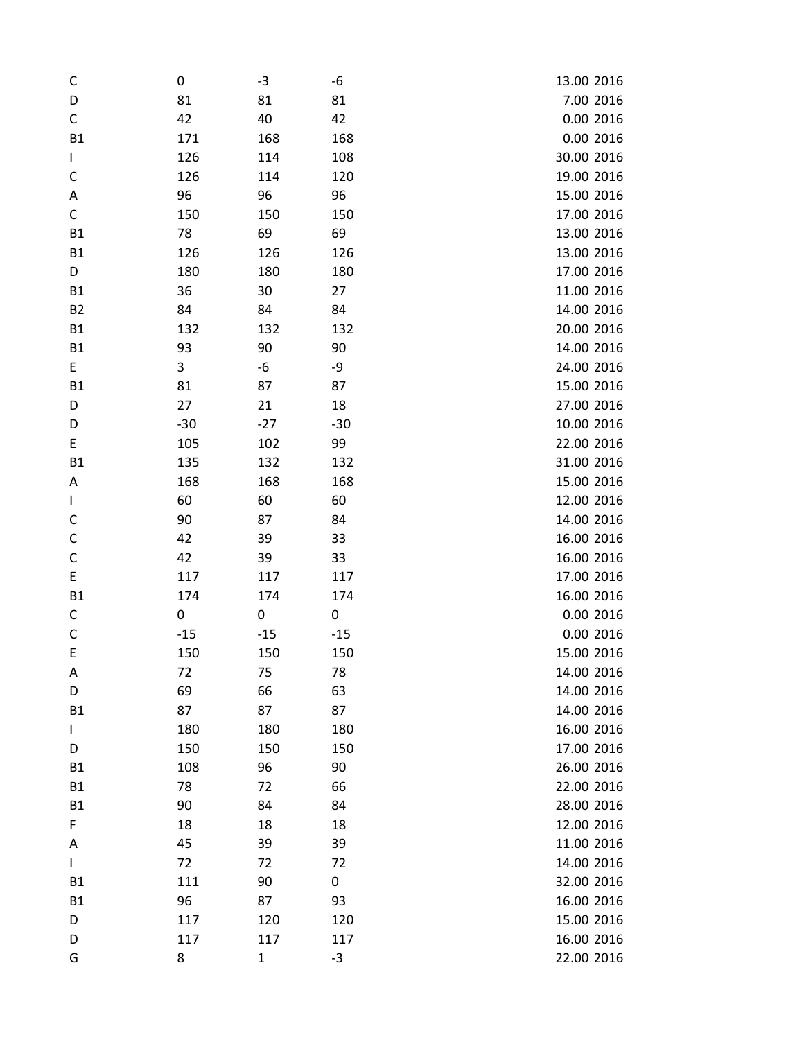| C                                          | 0     | $-3$         | -6    | 13.00 2016 |
|--------------------------------------------|-------|--------------|-------|------------|
| D                                          | 81    | 81           | 81    | 7.00 2016  |
| $\mathsf C$                                | 42    | 40           | 42    | 0.00 2016  |
| <b>B1</b>                                  | 171   | 168          | 168   | 0.00 2016  |
| $\mathbf{I}$                               | 126   | 114          | 108   | 30.00 2016 |
| C                                          | 126   | 114          | 120   | 19.00 2016 |
| Α                                          | 96    | 96           | 96    | 15.00 2016 |
| $\mathsf C$                                | 150   | 150          | 150   | 17.00 2016 |
| <b>B1</b>                                  | 78    | 69           | 69    | 13.00 2016 |
| <b>B1</b>                                  | 126   | 126          | 126   | 13.00 2016 |
| D                                          | 180   | 180          | 180   | 17.00 2016 |
| <b>B1</b>                                  | 36    | 30           | 27    | 11.00 2016 |
| <b>B2</b>                                  | 84    | 84           | 84    | 14.00 2016 |
| <b>B1</b>                                  | 132   | 132          | 132   | 20.00 2016 |
| <b>B1</b>                                  | 93    | 90           | 90    | 14.00 2016 |
| E                                          | 3     | -6           | -9    | 24.00 2016 |
| <b>B1</b>                                  | 81    | 87           | 87    | 15.00 2016 |
| D                                          | 27    | 21           | 18    | 27.00 2016 |
| D                                          | $-30$ | $-27$        | $-30$ | 10.00 2016 |
| E                                          | 105   | 102          | 99    | 22.00 2016 |
| <b>B1</b>                                  | 135   | 132          | 132   | 31.00 2016 |
| Α                                          | 168   | 168          | 168   | 15.00 2016 |
| L                                          | 60    | 60           | 60    | 12.00 2016 |
| C                                          | 90    | 87           | 84    | 14.00 2016 |
| $\mathsf C$                                | 42    | 39           | 33    | 16.00 2016 |
| $\mathsf C$                                | 42    | 39           | 33    | 16.00 2016 |
| $\mathsf{E}% _{0}\left( \mathsf{E}\right)$ | 117   | 117          | 117   | 17.00 2016 |
| <b>B1</b>                                  | 174   | 174          | 174   | 16.00 2016 |
| C                                          | 0     | 0            | 0     | 0.00 2016  |
| $\mathsf C$                                | $-15$ | $-15$        | $-15$ | 0.00 2016  |
| E                                          | 150   | 150          | 150   | 15.00 2016 |
| Α                                          | 72    | 75           | 78    | 14.00 2016 |
| D                                          | 69    | 66           | 63    | 14.00 2016 |
| <b>B1</b>                                  | 87    | 87           | 87    | 14.00 2016 |
| L                                          | 180   | 180          | 180   | 16.00 2016 |
| D                                          | 150   | 150          | 150   | 17.00 2016 |
| <b>B1</b>                                  | 108   | 96           | 90    | 26.00 2016 |
| <b>B1</b>                                  | 78    | 72           | 66    | 22.00 2016 |
| <b>B1</b>                                  | 90    | 84           | 84    | 28.00 2016 |
| F                                          | 18    | 18           | 18    | 12.00 2016 |
| Α                                          | 45    | 39           | 39    | 11.00 2016 |
| L                                          | 72    | 72           | 72    | 14.00 2016 |
| <b>B1</b>                                  | 111   | 90           | 0     | 32.00 2016 |
| <b>B1</b>                                  | 96    | 87           | 93    | 16.00 2016 |
| D                                          | 117   | 120          | 120   | 15.00 2016 |
| D                                          | 117   | 117          | 117   | 16.00 2016 |
| G                                          | 8     | $\mathbf{1}$ | $-3$  | 22.00 2016 |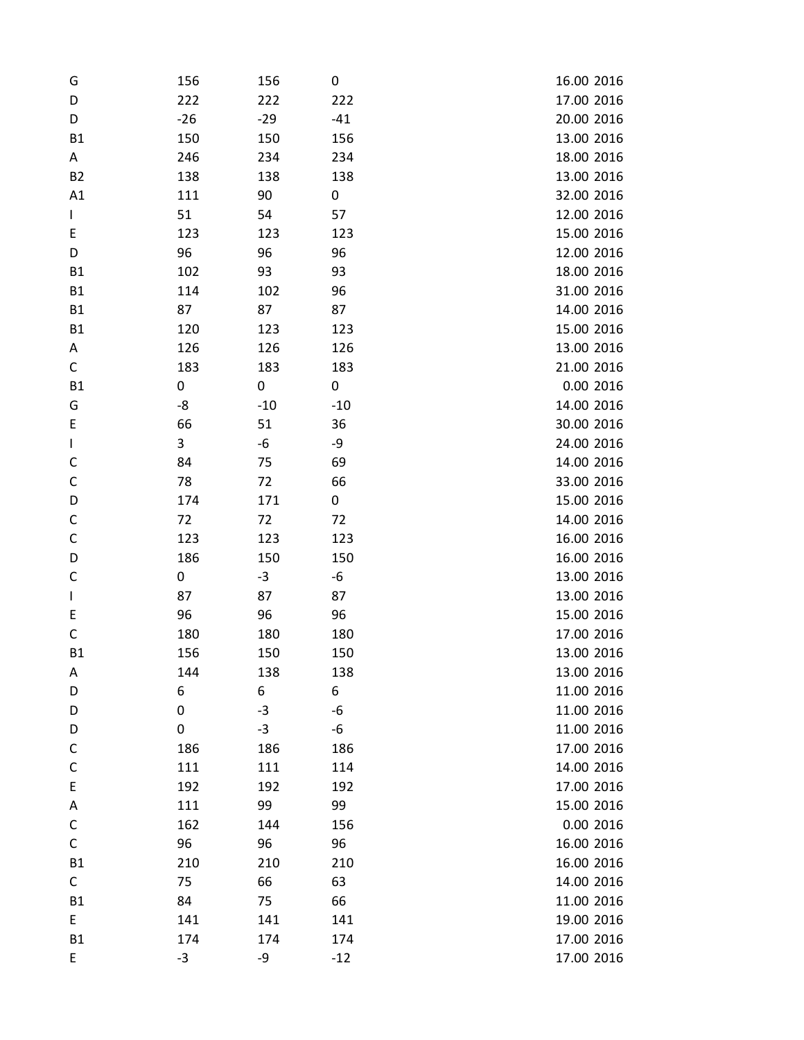| G            | 156   | 156   | 0     | 16.00 2016 |
|--------------|-------|-------|-------|------------|
| D            | 222   | 222   | 222   | 17.00 2016 |
| D            | $-26$ | $-29$ | $-41$ | 20.00 2016 |
| <b>B1</b>    | 150   | 150   | 156   | 13.00 2016 |
| A            | 246   | 234   | 234   | 18.00 2016 |
| <b>B2</b>    | 138   | 138   | 138   | 13.00 2016 |
| A1           | 111   | 90    | 0     | 32.00 2016 |
| $\mathbf{I}$ | 51    | 54    | 57    | 12.00 2016 |
| E            | 123   | 123   | 123   | 15.00 2016 |
| D            | 96    | 96    | 96    | 12.00 2016 |
| <b>B1</b>    | 102   | 93    | 93    | 18.00 2016 |
| <b>B1</b>    | 114   | 102   | 96    | 31.00 2016 |
| <b>B1</b>    | 87    | 87    | 87    | 14.00 2016 |
| <b>B1</b>    | 120   | 123   | 123   | 15.00 2016 |
| Α            | 126   | 126   | 126   | 13.00 2016 |
| C            | 183   | 183   | 183   | 21.00 2016 |
| <b>B1</b>    | 0     | 0     | 0     | 0.00 2016  |
| G            | -8    | $-10$ | $-10$ | 14.00 2016 |
| E            | 66    | 51    | 36    | 30.00 2016 |
| L            | 3     | -6    | -9    | 24.00 2016 |
| C            | 84    | 75    | 69    | 14.00 2016 |
| $\mathsf C$  | 78    | 72    | 66    | 33.00 2016 |
| D            | 174   | 171   | 0     | 15.00 2016 |
| $\mathsf C$  | 72    | 72    | 72    | 14.00 2016 |
| $\mathsf C$  | 123   | 123   | 123   | 16.00 2016 |
| D            | 186   | 150   | 150   | 16.00 2016 |
| C            | 0     | $-3$  | -6    | 13.00 2016 |
| L            | 87    | 87    | 87    | 13.00 2016 |
| E            | 96    | 96    | 96    | 15.00 2016 |
| $\mathsf C$  | 180   | 180   | 180   | 17.00 2016 |
| <b>B1</b>    | 156   | 150   | 150   | 13.00 2016 |
| Α            | 144   | 138   | 138   | 13.00 2016 |
| D            | 6     | 6     | 6     | 11.00 2016 |
| D            | 0     | $-3$  | $-6$  | 11.00 2016 |
| D            | 0     | $-3$  | -6    | 11.00 2016 |
| $\mathsf C$  | 186   | 186   | 186   | 17.00 2016 |
| C            | 111   | 111   | 114   | 14.00 2016 |
| E            | 192   | 192   | 192   | 17.00 2016 |
| Α            | 111   | 99    | 99    | 15.00 2016 |
| С            | 162   | 144   | 156   | 0.00 2016  |
| C            | 96    | 96    | 96    | 16.00 2016 |
| <b>B1</b>    | 210   | 210   | 210   | 16.00 2016 |
| $\mathsf{C}$ | 75    | 66    | 63    | 14.00 2016 |
| <b>B1</b>    | 84    | 75    | 66    | 11.00 2016 |
| E            | 141   | 141   | 141   | 19.00 2016 |
| <b>B1</b>    | 174   | 174   | 174   | 17.00 2016 |
| E            | $-3$  | -9    | $-12$ | 17.00 2016 |